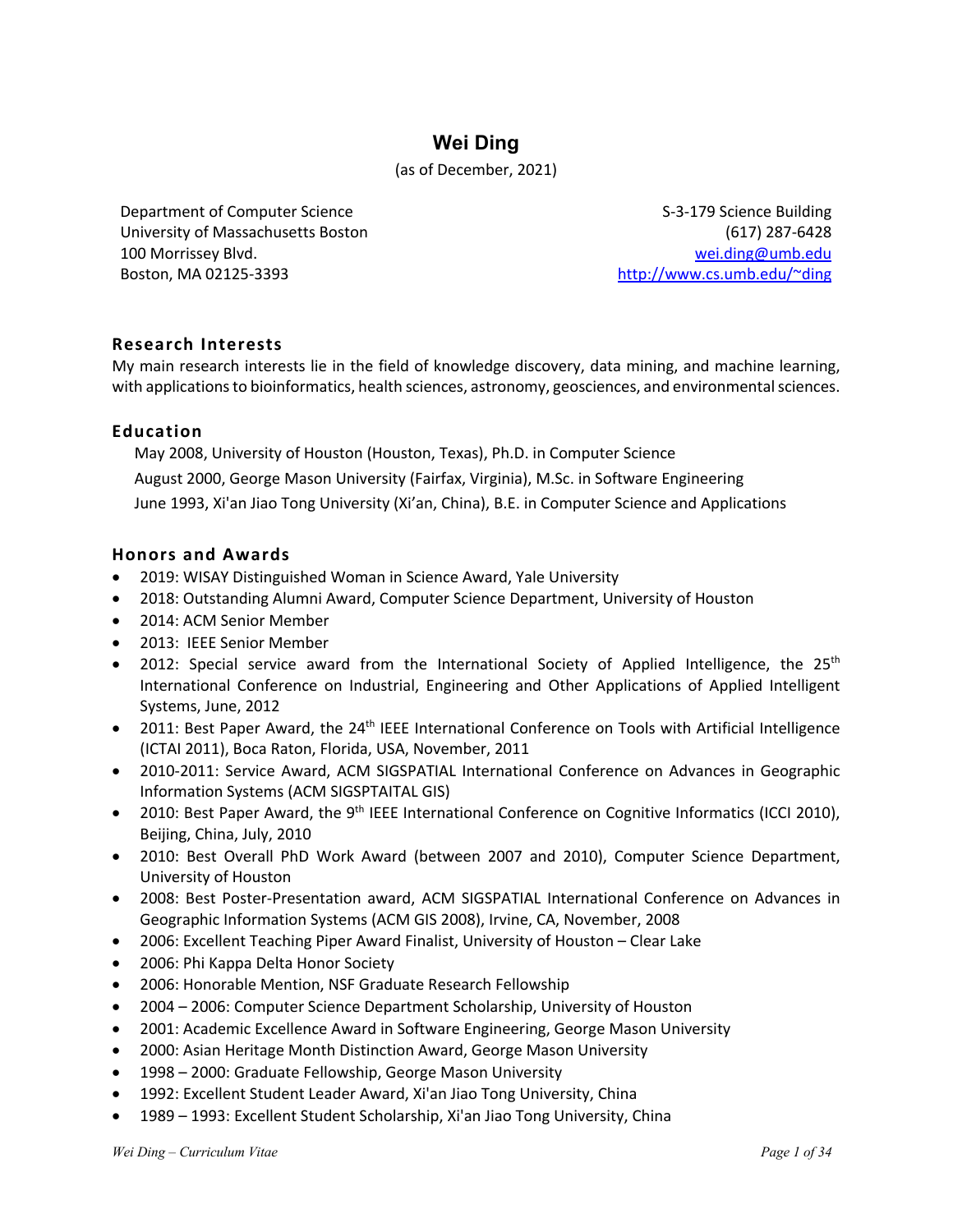# **Wei Ding**

### (as of December, 2021)

Department of Computer Science University of Massachusetts Boston 100 Morrissey Blvd. Boston, MA 02125-3393

S-3-179 Science Building (617) 287-6428 wei.ding@umb.edu http://www.cs.umb.edu/~ding

## **Research Interests**

My main research interests lie in the field of knowledge discovery, data mining, and machine learning, with applications to bioinformatics, health sciences, astronomy, geosciences, and environmental sciences.

### **Education**

May 2008, University of Houston (Houston, Texas), Ph.D. in Computer Science August 2000, George Mason University (Fairfax, Virginia), M.Sc. in Software Engineering June 1993, Xi'an Jiao Tong University (Xi'an, China), B.E. in Computer Science and Applications

### **Honors and Awards**

- 2019: WISAY Distinguished Woman in Science Award, Yale University
- 2018: Outstanding Alumni Award, Computer Science Department, University of Houston
- 2014: ACM Senior Member
- 2013: IEEE Senior Member
- 2012: Special service award from the International Society of Applied Intelligence, the 25<sup>th</sup> International Conference on Industrial, Engineering and Other Applications of Applied Intelligent Systems, June, 2012
- 2011: Best Paper Award, the 24<sup>th</sup> IEEE International Conference on Tools with Artificial Intelligence (ICTAI 2011), Boca Raton, Florida, USA, November, 2011
- 2010-2011: Service Award, ACM SIGSPATIAL International Conference on Advances in Geographic Information Systems (ACM SIGSPTAITAL GIS)
- 2010: Best Paper Award, the 9<sup>th</sup> IEEE International Conference on Cognitive Informatics (ICCI 2010), Beijing, China, July, 2010
- 2010: Best Overall PhD Work Award (between 2007 and 2010), Computer Science Department, University of Houston
- 2008: Best Poster-Presentation award, ACM SIGSPATIAL International Conference on Advances in Geographic Information Systems (ACM GIS 2008), Irvine, CA, November, 2008
- 2006: Excellent Teaching Piper Award Finalist, University of Houston Clear Lake
- 2006: Phi Kappa Delta Honor Society
- 2006: Honorable Mention, NSF Graduate Research Fellowship
- 2004 2006: Computer Science Department Scholarship, University of Houston
- 2001: Academic Excellence Award in Software Engineering, George Mason University
- 2000: Asian Heritage Month Distinction Award, George Mason University
- 1998 2000: Graduate Fellowship, George Mason University
- 1992: Excellent Student Leader Award, Xi'an Jiao Tong University, China
- 1989 1993: Excellent Student Scholarship, Xi'an Jiao Tong University, China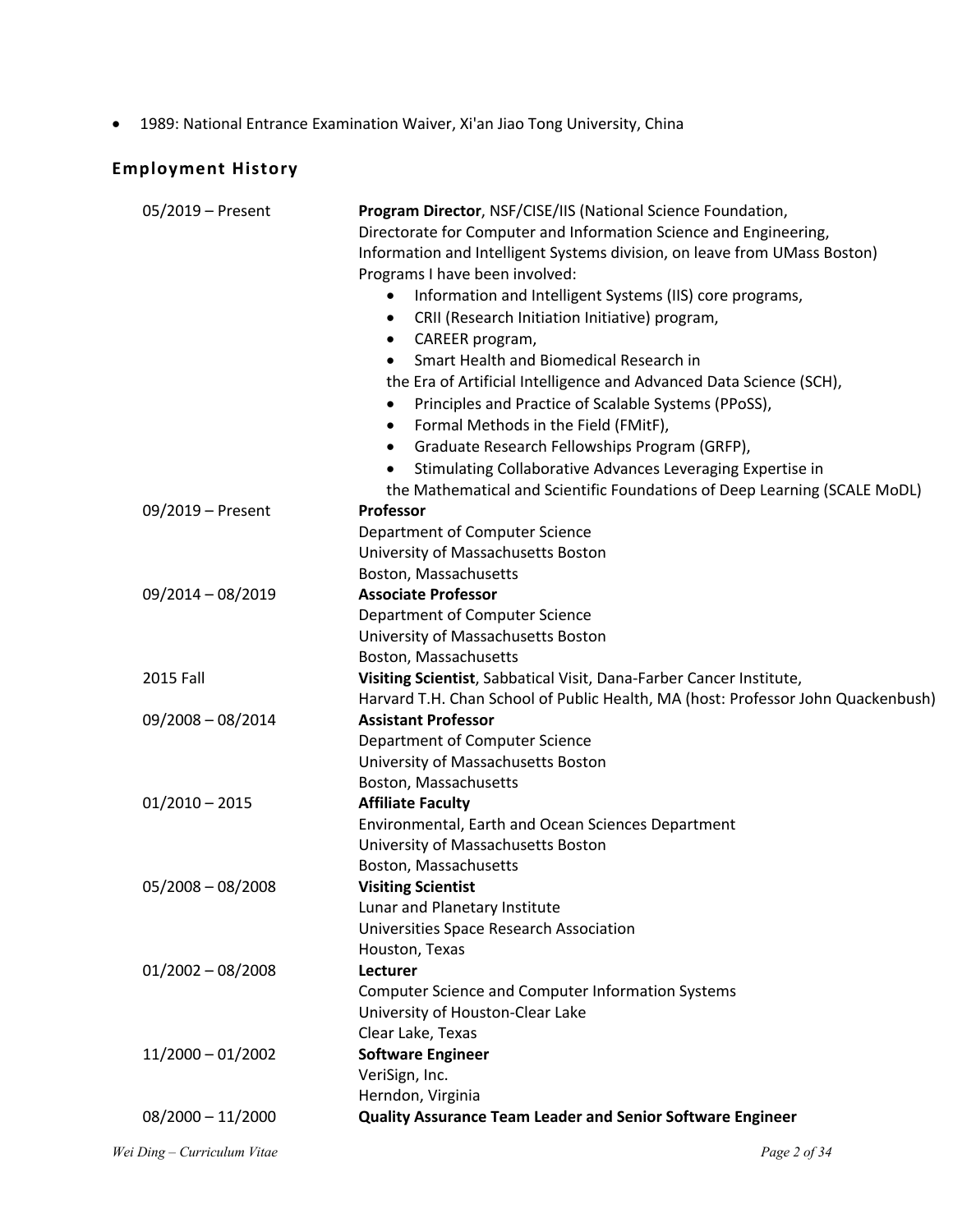• 1989: National Entrance Examination Waiver, Xi'an Jiao Tong University, China

# **Employment History**

| 05/2019 - Present   | Program Director, NSF/CISE/IIS (National Science Foundation,<br>Directorate for Computer and Information Science and Engineering,<br>Information and Intelligent Systems division, on leave from UMass Boston) |  |  |  |  |
|---------------------|----------------------------------------------------------------------------------------------------------------------------------------------------------------------------------------------------------------|--|--|--|--|
|                     | Programs I have been involved:                                                                                                                                                                                 |  |  |  |  |
|                     | Information and Intelligent Systems (IIS) core programs,<br>$\bullet$                                                                                                                                          |  |  |  |  |
|                     | CRII (Research Initiation Initiative) program,<br>$\bullet$                                                                                                                                                    |  |  |  |  |
|                     | CAREER program,<br>٠                                                                                                                                                                                           |  |  |  |  |
|                     | Smart Health and Biomedical Research in                                                                                                                                                                        |  |  |  |  |
|                     | the Era of Artificial Intelligence and Advanced Data Science (SCH),                                                                                                                                            |  |  |  |  |
|                     | Principles and Practice of Scalable Systems (PPoSS),<br>$\bullet$                                                                                                                                              |  |  |  |  |
|                     | Formal Methods in the Field (FMitF),<br>$\bullet$                                                                                                                                                              |  |  |  |  |
|                     | Graduate Research Fellowships Program (GRFP),<br>$\bullet$                                                                                                                                                     |  |  |  |  |
|                     | Stimulating Collaborative Advances Leveraging Expertise in                                                                                                                                                     |  |  |  |  |
|                     | the Mathematical and Scientific Foundations of Deep Learning (SCALE MoDL)                                                                                                                                      |  |  |  |  |
| 09/2019 - Present   | <b>Professor</b>                                                                                                                                                                                               |  |  |  |  |
|                     | Department of Computer Science                                                                                                                                                                                 |  |  |  |  |
|                     | University of Massachusetts Boston                                                                                                                                                                             |  |  |  |  |
|                     | Boston, Massachusetts                                                                                                                                                                                          |  |  |  |  |
| 09/2014 - 08/2019   | <b>Associate Professor</b>                                                                                                                                                                                     |  |  |  |  |
|                     | Department of Computer Science                                                                                                                                                                                 |  |  |  |  |
|                     | University of Massachusetts Boston                                                                                                                                                                             |  |  |  |  |
|                     | Boston, Massachusetts                                                                                                                                                                                          |  |  |  |  |
| 2015 Fall           | Visiting Scientist, Sabbatical Visit, Dana-Farber Cancer Institute,                                                                                                                                            |  |  |  |  |
|                     | Harvard T.H. Chan School of Public Health, MA (host: Professor John Quackenbush)                                                                                                                               |  |  |  |  |
| $09/2008 - 08/2014$ | <b>Assistant Professor</b>                                                                                                                                                                                     |  |  |  |  |
|                     | Department of Computer Science                                                                                                                                                                                 |  |  |  |  |
|                     | University of Massachusetts Boston                                                                                                                                                                             |  |  |  |  |
|                     | Boston, Massachusetts                                                                                                                                                                                          |  |  |  |  |
| $01/2010 - 2015$    | <b>Affiliate Faculty</b>                                                                                                                                                                                       |  |  |  |  |
|                     | Environmental, Earth and Ocean Sciences Department                                                                                                                                                             |  |  |  |  |
|                     | University of Massachusetts Boston                                                                                                                                                                             |  |  |  |  |
|                     | Boston, Massachusetts                                                                                                                                                                                          |  |  |  |  |
| $05/2008 - 08/2008$ | <b>Visiting Scientist</b>                                                                                                                                                                                      |  |  |  |  |
|                     | Lunar and Planetary Institute                                                                                                                                                                                  |  |  |  |  |
|                     | Universities Space Research Association                                                                                                                                                                        |  |  |  |  |
|                     | Houston, Texas                                                                                                                                                                                                 |  |  |  |  |
| $01/2002 - 08/2008$ | Lecturer                                                                                                                                                                                                       |  |  |  |  |
|                     | <b>Computer Science and Computer Information Systems</b>                                                                                                                                                       |  |  |  |  |
|                     | University of Houston-Clear Lake                                                                                                                                                                               |  |  |  |  |
|                     | Clear Lake, Texas                                                                                                                                                                                              |  |  |  |  |
| $11/2000 - 01/2002$ | <b>Software Engineer</b>                                                                                                                                                                                       |  |  |  |  |
|                     | VeriSign, Inc.                                                                                                                                                                                                 |  |  |  |  |
|                     | Herndon, Virginia                                                                                                                                                                                              |  |  |  |  |
| $08/2000 - 11/2000$ | <b>Quality Assurance Team Leader and Senior Software Engineer</b>                                                                                                                                              |  |  |  |  |
|                     |                                                                                                                                                                                                                |  |  |  |  |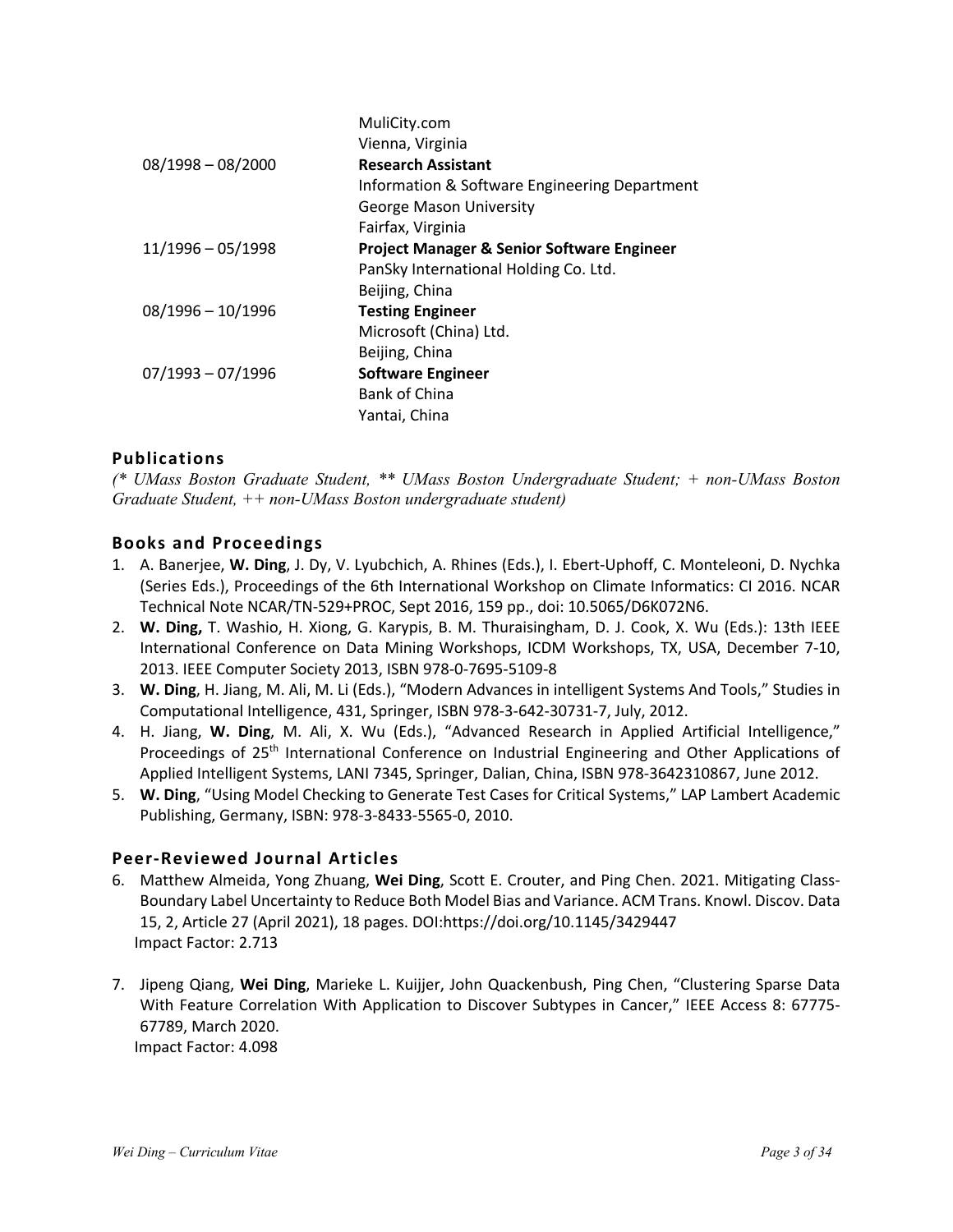|                     | MuliCity.com                                          |
|---------------------|-------------------------------------------------------|
|                     | Vienna, Virginia                                      |
| $08/1998 - 08/2000$ | <b>Research Assistant</b>                             |
|                     | Information & Software Engineering Department         |
|                     | <b>George Mason University</b>                        |
|                     | Fairfax, Virginia                                     |
| $11/1996 - 05/1998$ | <b>Project Manager &amp; Senior Software Engineer</b> |
|                     | PanSky International Holding Co. Ltd.                 |
|                     | Beijing, China                                        |
| $08/1996 - 10/1996$ | <b>Testing Engineer</b>                               |
|                     | Microsoft (China) Ltd.                                |
|                     | Beijing, China                                        |
| $07/1993 - 07/1996$ | <b>Software Engineer</b>                              |
|                     | Bank of China                                         |
|                     | Yantai, China                                         |

## **Publications**

*(\* UMass Boston Graduate Student, \*\* UMass Boston Undergraduate Student; + non-UMass Boston Graduate Student, ++ non-UMass Boston undergraduate student)*

### **Books and Proceedings**

- 1. A. Banerjee, **W. Ding**, J. Dy, V. Lyubchich, A. Rhines (Eds.), I. Ebert-Uphoff, C. Monteleoni, D. Nychka (Series Eds.), Proceedings of the 6th International Workshop on Climate Informatics: CI 2016. NCAR Technical Note NCAR/TN-529+PROC, Sept 2016, 159 pp., doi: 10.5065/D6K072N6.
- 2. **W. Ding,** T. Washio, H. Xiong, G. Karypis, B. M. Thuraisingham, D. J. Cook, X. Wu (Eds.): 13th IEEE International Conference on Data Mining Workshops, ICDM Workshops, TX, USA, December 7-10, 2013. IEEE Computer Society 2013, ISBN 978-0-7695-5109-8
- 3. **W. Ding**, H. Jiang, M. Ali, M. Li (Eds.), "Modern Advances in intelligent Systems And Tools," Studies in Computational Intelligence, 431, Springer, ISBN 978-3-642-30731-7, July, 2012.
- 4. H. Jiang, **W. Ding**, M. Ali, X. Wu (Eds.), "Advanced Research in Applied Artificial Intelligence," Proceedings of 25<sup>th</sup> International Conference on Industrial Engineering and Other Applications of Applied Intelligent Systems, LANI 7345, Springer, Dalian, China, ISBN 978-3642310867, June 2012.
- 5. **W. Ding**, "Using Model Checking to Generate Test Cases for Critical Systems," LAP Lambert Academic Publishing, Germany, ISBN: 978-3-8433-5565-0, 2010.

#### **Peer-Reviewed Journal Articles**

- 6. Matthew Almeida, Yong Zhuang, **Wei Ding**, Scott E. Crouter, and Ping Chen. 2021. Mitigating Class-Boundary Label Uncertainty to Reduce Both Model Bias and Variance. ACM Trans. Knowl. Discov. Data 15, 2, Article 27 (April 2021), 18 pages. DOI:https://doi.org/10.1145/3429447 Impact Factor: 2.713
- 7. Jipeng Qiang, **Wei Ding**, Marieke L. Kuijjer, John Quackenbush, Ping Chen, "Clustering Sparse Data With Feature Correlation With Application to Discover Subtypes in Cancer," IEEE Access 8: 67775- 67789, March 2020. Impact Factor: 4.098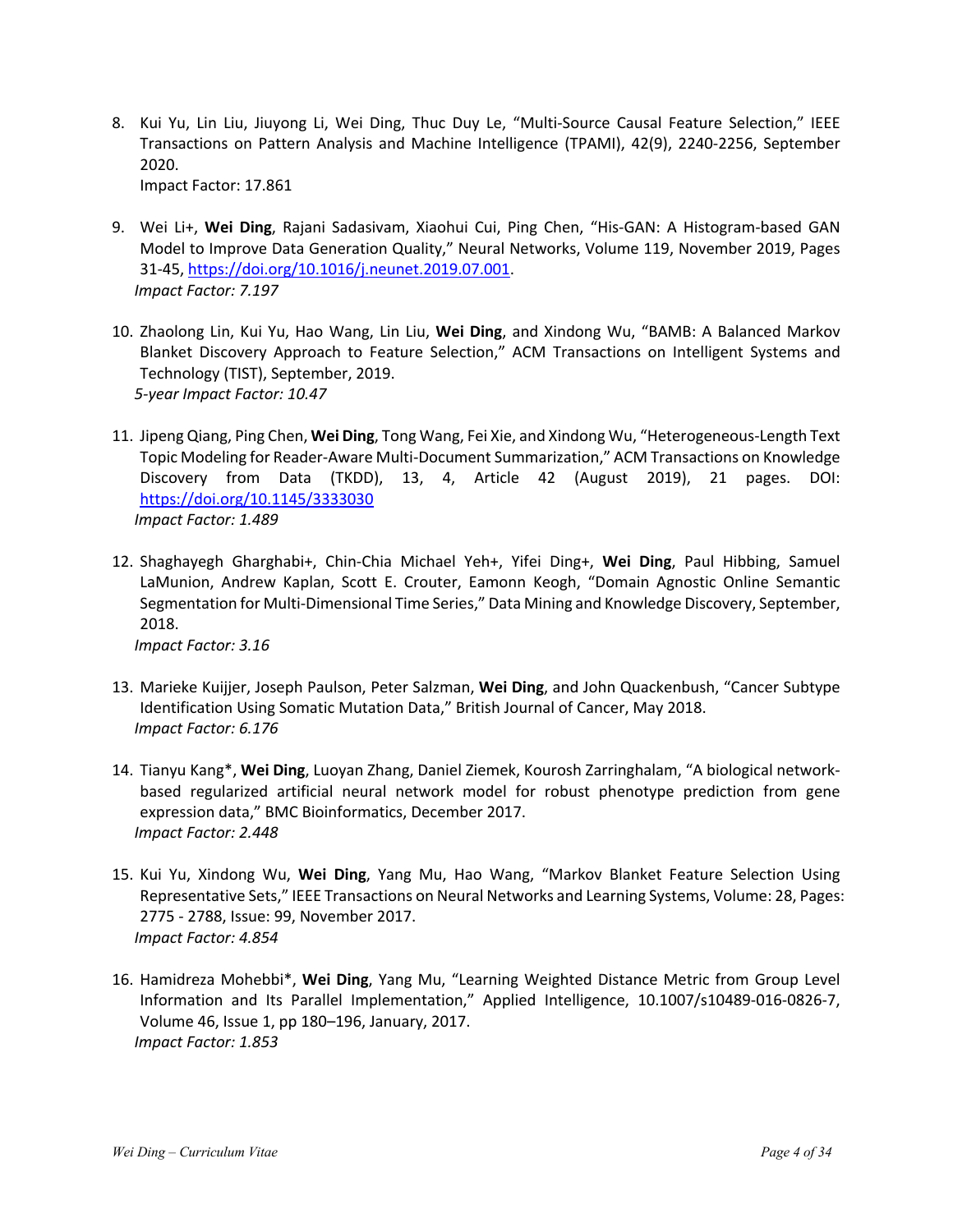- 8. Kui Yu, Lin Liu, Jiuyong Li, Wei Ding, Thuc Duy Le, "Multi-Source Causal Feature Selection," IEEE Transactions on Pattern Analysis and Machine Intelligence (TPAMI), 42(9), 2240-2256, September 2020. Impact Factor: 17.861
	-
- 9. Wei Li+, **Wei Ding**, Rajani Sadasivam, Xiaohui Cui, Ping Chen, "His-GAN: A Histogram-based GAN Model to Improve Data Generation Quality," Neural Networks, Volume 119, November 2019, Pages 31-45, https://doi.org/10.1016/j.neunet.2019.07.001. *Impact Factor: 7.197*
- 10. Zhaolong Lin, Kui Yu, Hao Wang, Lin Liu, **Wei Ding**, and Xindong Wu, "BAMB: A Balanced Markov Blanket Discovery Approach to Feature Selection," ACM Transactions on Intelligent Systems and Technology (TIST), September, 2019. *5-year Impact Factor: 10.47*
- 11. Jipeng Qiang, Ping Chen, **Wei Ding**, Tong Wang, Fei Xie, and Xindong Wu, "Heterogeneous-Length Text Topic Modeling for Reader-Aware Multi-Document Summarization," ACM Transactions on Knowledge Discovery from Data (TKDD), 13, 4, Article 42 (August 2019), 21 pages. DOI: https://doi.org/10.1145/3333030 *Impact Factor: 1.489*
- 12. Shaghayegh Gharghabi+, Chin-Chia Michael Yeh+, Yifei Ding+, **Wei Ding**, Paul Hibbing, Samuel LaMunion, Andrew Kaplan, Scott E. Crouter, Eamonn Keogh, "Domain Agnostic Online Semantic Segmentation for Multi-Dimensional Time Series," Data Mining and Knowledge Discovery, September, 2018.

*Impact Factor: 3.16*

- 13. Marieke Kuijjer, Joseph Paulson, Peter Salzman, **Wei Ding**, and John Quackenbush, "Cancer Subtype Identification Using Somatic Mutation Data," British Journal of Cancer, May 2018. *Impact Factor: 6.176*
- 14. Tianyu Kang\*, **Wei Ding**, Luoyan Zhang, Daniel Ziemek, Kourosh Zarringhalam, "A biological networkbased regularized artificial neural network model for robust phenotype prediction from gene expression data," BMC Bioinformatics, December 2017. *Impact Factor: 2.448*
- 15. Kui Yu, Xindong Wu, **Wei Ding**, Yang Mu, Hao Wang, "Markov Blanket Feature Selection Using Representative Sets," IEEE Transactions on Neural Networks and Learning Systems, Volume: 28, Pages: 2775 - 2788, Issue: 99, November 2017. *Impact Factor: 4.854*
- 16. Hamidreza Mohebbi\*, **Wei Ding**, Yang Mu, "Learning Weighted Distance Metric from Group Level Information and Its Parallel Implementation," Applied Intelligence, 10.1007/s10489-016-0826-7, Volume 46, Issue 1, pp 180–196, January, 2017. *Impact Factor: 1.853*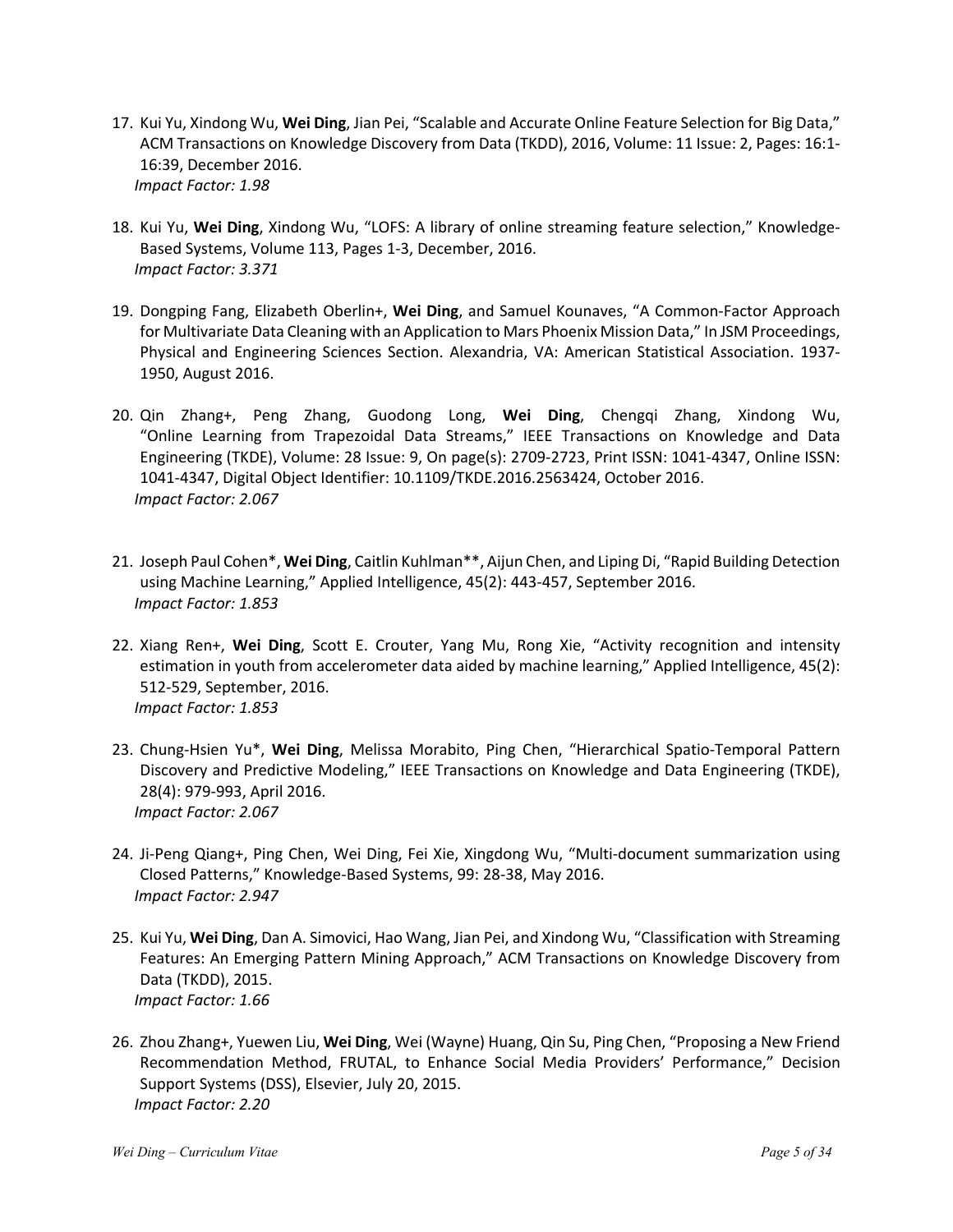- 17. Kui Yu, Xindong Wu, **Wei Ding**, Jian Pei, "Scalable and Accurate Online Feature Selection for Big Data," ACM Transactions on Knowledge Discovery from Data (TKDD), 2016, Volume: 11 Issue: 2, Pages: 16:1- 16:39, December 2016. *Impact Factor: 1.98*
- 18. Kui Yu, **Wei Ding**, Xindong Wu, "LOFS: A library of online streaming feature selection," Knowledge-Based Systems, Volume 113, Pages 1-3, December, 2016. *Impact Factor: 3.371*
- 19. Dongping Fang, Elizabeth Oberlin+, **Wei Ding**, and Samuel Kounaves, "A Common-Factor Approach for Multivariate Data Cleaning with an Application to Mars Phoenix Mission Data," In JSM Proceedings, Physical and Engineering Sciences Section. Alexandria, VA: American Statistical Association. 1937- 1950, August 2016.
- 20. Qin Zhang+, Peng Zhang, Guodong Long, **Wei Ding**, Chengqi Zhang, Xindong Wu, "Online Learning from Trapezoidal Data Streams," IEEE Transactions on Knowledge and Data Engineering (TKDE), Volume: 28 Issue: 9, On page(s): 2709-2723, Print ISSN: 1041-4347, Online ISSN: 1041-4347, Digital Object Identifier: 10.1109/TKDE.2016.2563424, October 2016. *Impact Factor: 2.067*
- 21. Joseph Paul Cohen\*, **Wei Ding**, Caitlin Kuhlman\*\*, Aijun Chen, and Liping Di, "Rapid Building Detection using Machine Learning," Applied Intelligence, 45(2): 443-457, September 2016. *Impact Factor: 1.853*
- 22. Xiang Ren+, **Wei Ding**, Scott E. Crouter, Yang Mu, Rong Xie, "Activity recognition and intensity estimation in youth from accelerometer data aided by machine learning," Applied Intelligence, 45(2): 512-529, September, 2016. *Impact Factor: 1.853*
- 23. Chung-Hsien Yu\*, **Wei Ding**, Melissa Morabito, Ping Chen, "Hierarchical Spatio-Temporal Pattern Discovery and Predictive Modeling," IEEE Transactions on Knowledge and Data Engineering (TKDE), 28(4): 979-993, April 2016. *Impact Factor: 2.067*
- 24. Ji-Peng Qiang+, Ping Chen, Wei Ding, Fei Xie, Xingdong Wu, "Multi-document summarization using Closed Patterns," Knowledge-Based Systems, 99: 28-38, May 2016. *Impact Factor: 2.947*
- 25. Kui Yu, **Wei Ding**, Dan A. Simovici, Hao Wang, Jian Pei, and Xindong Wu, "Classification with Streaming Features: An Emerging Pattern Mining Approach," ACM Transactions on Knowledge Discovery from Data (TKDD), 2015. *Impact Factor: 1.66*
- 26. Zhou Zhang+, Yuewen Liu, **Wei Ding**, Wei (Wayne) Huang, Qin Su, Ping Chen, "Proposing a New Friend Recommendation Method, FRUTAL, to Enhance Social Media Providers' Performance," Decision Support Systems (DSS), Elsevier, July 20, 2015. *Impact Factor: 2.20*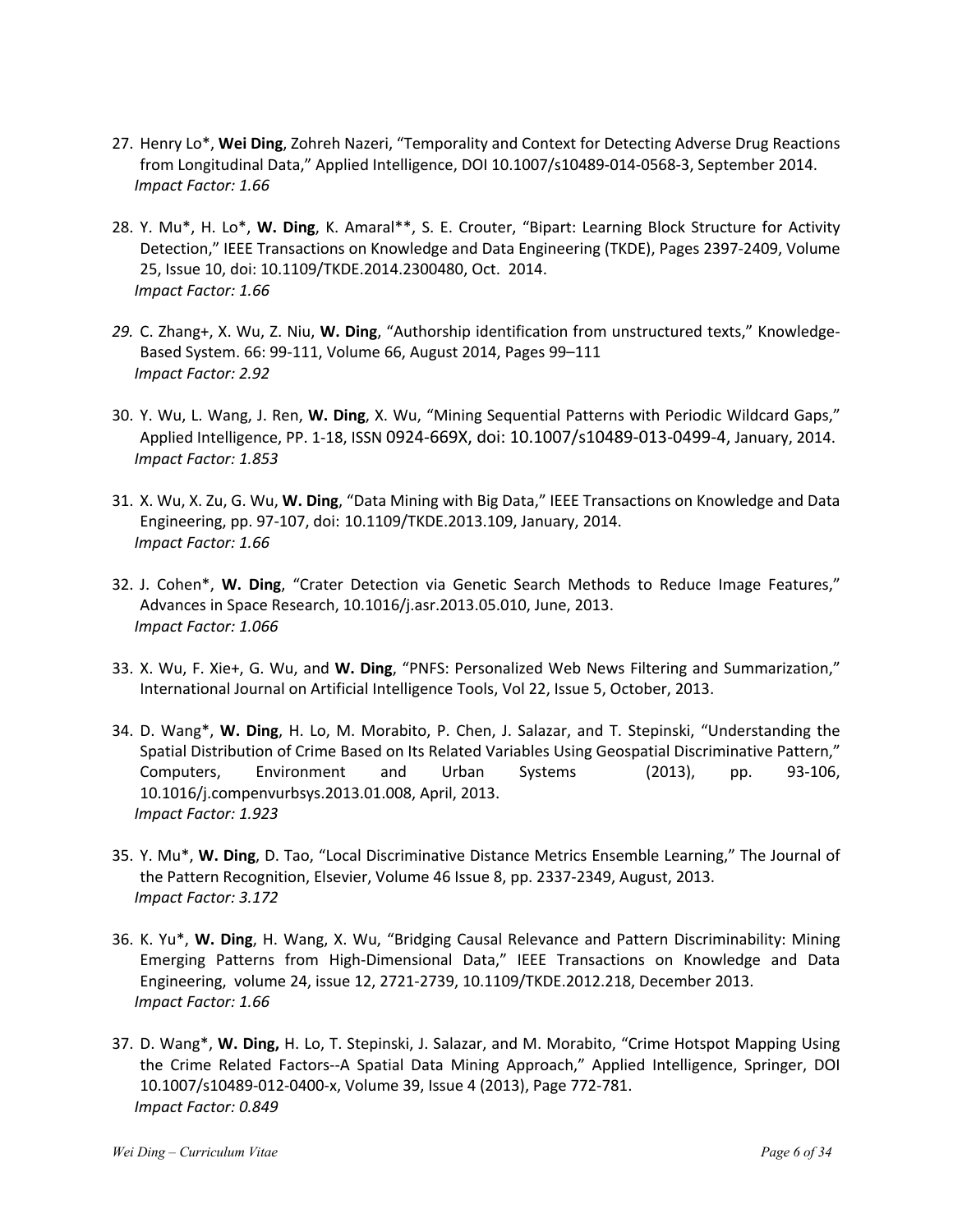- 27. Henry Lo\*, **Wei Ding**, Zohreh Nazeri, "Temporality and Context for Detecting Adverse Drug Reactions from Longitudinal Data," Applied Intelligence, DOI 10.1007/s10489-014-0568-3, September 2014. *Impact Factor: 1.66*
- 28. Y. Mu\*, H. Lo\*, **W. Ding**, K. Amaral\*\*, S. E. Crouter, "Bipart: Learning Block Structure for Activity Detection," IEEE Transactions on Knowledge and Data Engineering (TKDE), Pages 2397-2409, Volume 25, Issue 10, doi: 10.1109/TKDE.2014.2300480, Oct. 2014. *Impact Factor: 1.66*
- *29.* C. Zhang+, X. Wu, Z. Niu, **W. Ding**, "Authorship identification from unstructured texts," Knowledge-Based System. 66: 99-111, Volume 66, August 2014, Pages 99–111 *Impact Factor: 2.92*
- 30. Y. Wu, L. Wang, J. Ren, **W. Ding**, X. Wu, "Mining Sequential Patterns with Periodic Wildcard Gaps," Applied Intelligence, PP. 1-18, ISSN 0924-669X, doi: 10.1007/s10489-013-0499-4, January, 2014. *Impact Factor: 1.853*
- 31. X. Wu, X. Zu, G. Wu, **W. Ding**, "Data Mining with Big Data," IEEE Transactions on Knowledge and Data Engineering, pp. 97-107, doi: 10.1109/TKDE.2013.109, January, 2014. *Impact Factor: 1.66*
- 32. J. Cohen\*, **W. Ding**, "Crater Detection via Genetic Search Methods to Reduce Image Features," Advances in Space Research, 10.1016/j.asr.2013.05.010, June, 2013. *Impact Factor: 1.066*
- 33. X. Wu, F. Xie+, G. Wu, and **W. Ding**, "PNFS: Personalized Web News Filtering and Summarization," International Journal on Artificial Intelligence Tools, Vol 22, Issue 5, October, 2013.
- 34. D. Wang\*, **W. Ding**, H. Lo, M. Morabito, P. Chen, J. Salazar, and T. Stepinski, "Understanding the Spatial Distribution of Crime Based on Its Related Variables Using Geospatial Discriminative Pattern," Computers, Environment and Urban Systems (2013), pp. 93-106, 10.1016/j.compenvurbsys.2013.01.008, April, 2013. *Impact Factor: 1.923*
- 35. Y. Mu\*, **W. Ding**, D. Tao, "Local Discriminative Distance Metrics Ensemble Learning," The Journal of the Pattern Recognition, Elsevier, Volume 46 Issue 8, pp. 2337-2349, August, 2013. *Impact Factor: 3.172*
- 36. K. Yu\*, **W. Ding**, H. Wang, X. Wu, "Bridging Causal Relevance and Pattern Discriminability: Mining Emerging Patterns from High-Dimensional Data," IEEE Transactions on Knowledge and Data Engineering, volume 24, issue 12, 2721-2739, 10.1109/TKDE.2012.218, December 2013. *Impact Factor: 1.66*
- 37. D. Wang\*, **W. Ding,** H. Lo, T. Stepinski, J. Salazar, and M. Morabito, "Crime Hotspot Mapping Using the Crime Related Factors--A Spatial Data Mining Approach," Applied Intelligence, Springer, DOI 10.1007/s10489-012-0400-x, Volume 39, Issue 4 (2013), Page 772-781. *Impact Factor: 0.849*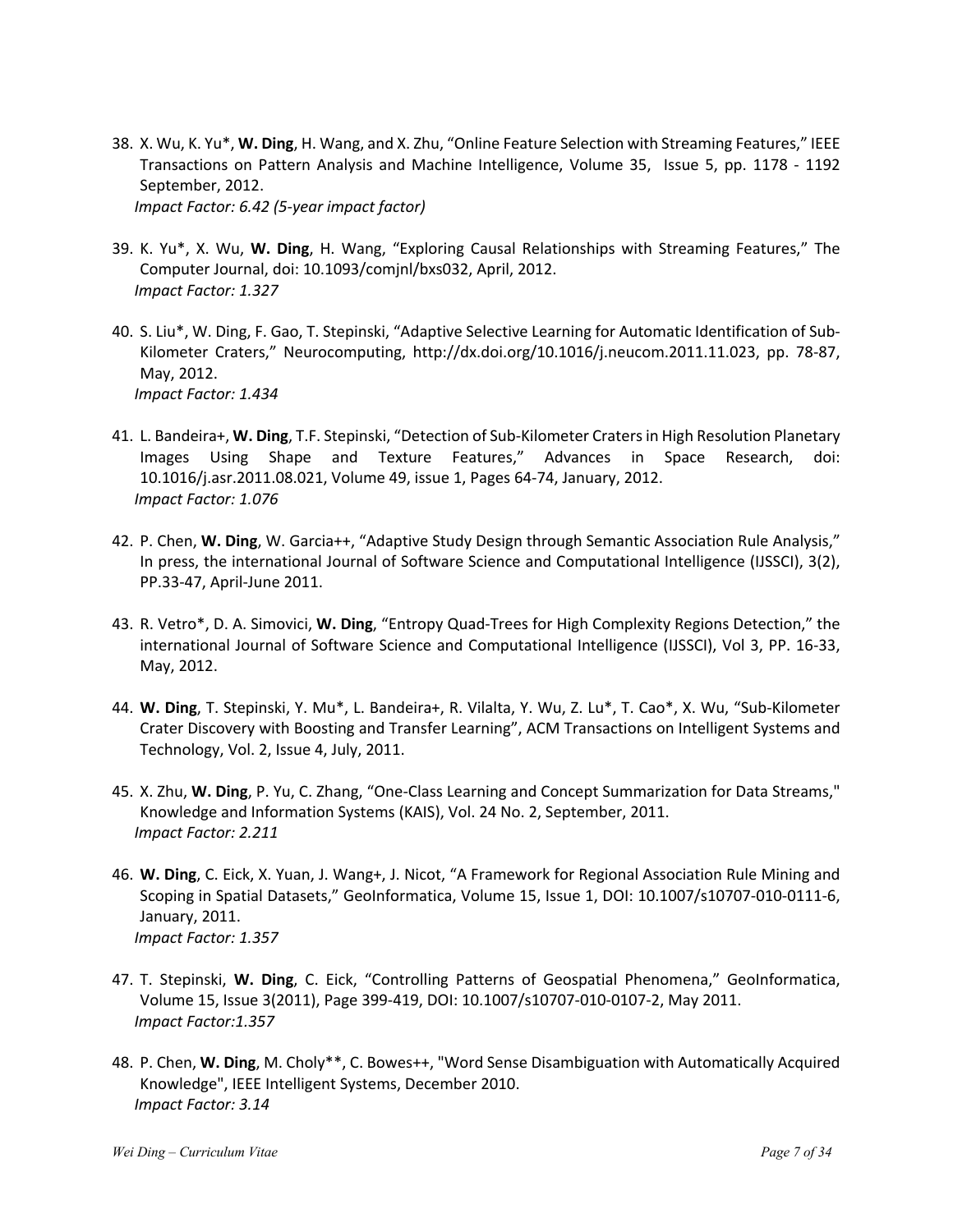- 38. X. Wu, K. Yu\*, **W. Ding**, H. Wang, and X. Zhu, "Online Feature Selection with Streaming Features," IEEE Transactions on Pattern Analysis and Machine Intelligence, Volume 35, Issue 5, pp. 1178 - 1192 September, 2012. *Impact Factor: 6.42 (5-year impact factor)*
- 39. K. Yu\*, X. Wu, **W. Ding**, H. Wang, "Exploring Causal Relationships with Streaming Features," The Computer Journal, doi: 10.1093/comjnl/bxs032, April, 2012. *Impact Factor: 1.327*
- 40. S. Liu\*, W. Ding, F. Gao, T. Stepinski, "Adaptive Selective Learning for Automatic Identification of Sub-Kilometer Craters," Neurocomputing, http://dx.doi.org/10.1016/j.neucom.2011.11.023, pp. 78-87, May, 2012. *Impact Factor: 1.434*
- 41. L. Bandeira+, **W. Ding**, T.F. Stepinski, "Detection of Sub-Kilometer Craters in High Resolution Planetary Images Using Shape and Texture Features," Advances in Space Research, doi: 10.1016/j.asr.2011.08.021, Volume 49, issue 1, Pages 64-74, January, 2012. *Impact Factor: 1.076*
- 42. P. Chen, **W. Ding**, W. Garcia++, "Adaptive Study Design through Semantic Association Rule Analysis," In press, the international Journal of Software Science and Computational Intelligence (IJSSCI), 3(2), PP.33-47, April-June 2011.
- 43. R. Vetro\*, D. A. Simovici, **W. Ding**, "Entropy Quad-Trees for High Complexity Regions Detection," the international Journal of Software Science and Computational Intelligence (IJSSCI), Vol 3, PP. 16-33, May, 2012.
- 44. **W. Ding**, T. Stepinski, Y. Mu\*, L. Bandeira+, R. Vilalta, Y. Wu, Z. Lu\*, T. Cao\*, X. Wu, "Sub-Kilometer Crater Discovery with Boosting and Transfer Learning", ACM Transactions on Intelligent Systems and Technology, Vol. 2, Issue 4, July, 2011.
- 45. X. Zhu, **W. Ding**, P. Yu, C. Zhang, "One-Class Learning and Concept Summarization for Data Streams," Knowledge and Information Systems (KAIS), Vol. 24 No. 2, September, 2011. *Impact Factor: 2.211*
- 46. **W. Ding**, C. Eick, X. Yuan, J. Wang+, J. Nicot, "A Framework for Regional Association Rule Mining and Scoping in Spatial Datasets," GeoInformatica, Volume 15, Issue 1, DOI: 10.1007/s10707-010-0111-6, January, 2011. *Impact Factor: 1.357*
- 47. T. Stepinski, **W. Ding**, C. Eick, "Controlling Patterns of Geospatial Phenomena," GeoInformatica, Volume 15, Issue 3(2011), Page 399-419, DOI: 10.1007/s10707-010-0107-2, May 2011. *Impact Factor:1.357*
- 48. P. Chen, **W. Ding**, M. Choly\*\*, C. Bowes++, "Word Sense Disambiguation with Automatically Acquired Knowledge", IEEE Intelligent Systems, December 2010. *Impact Factor: 3.14*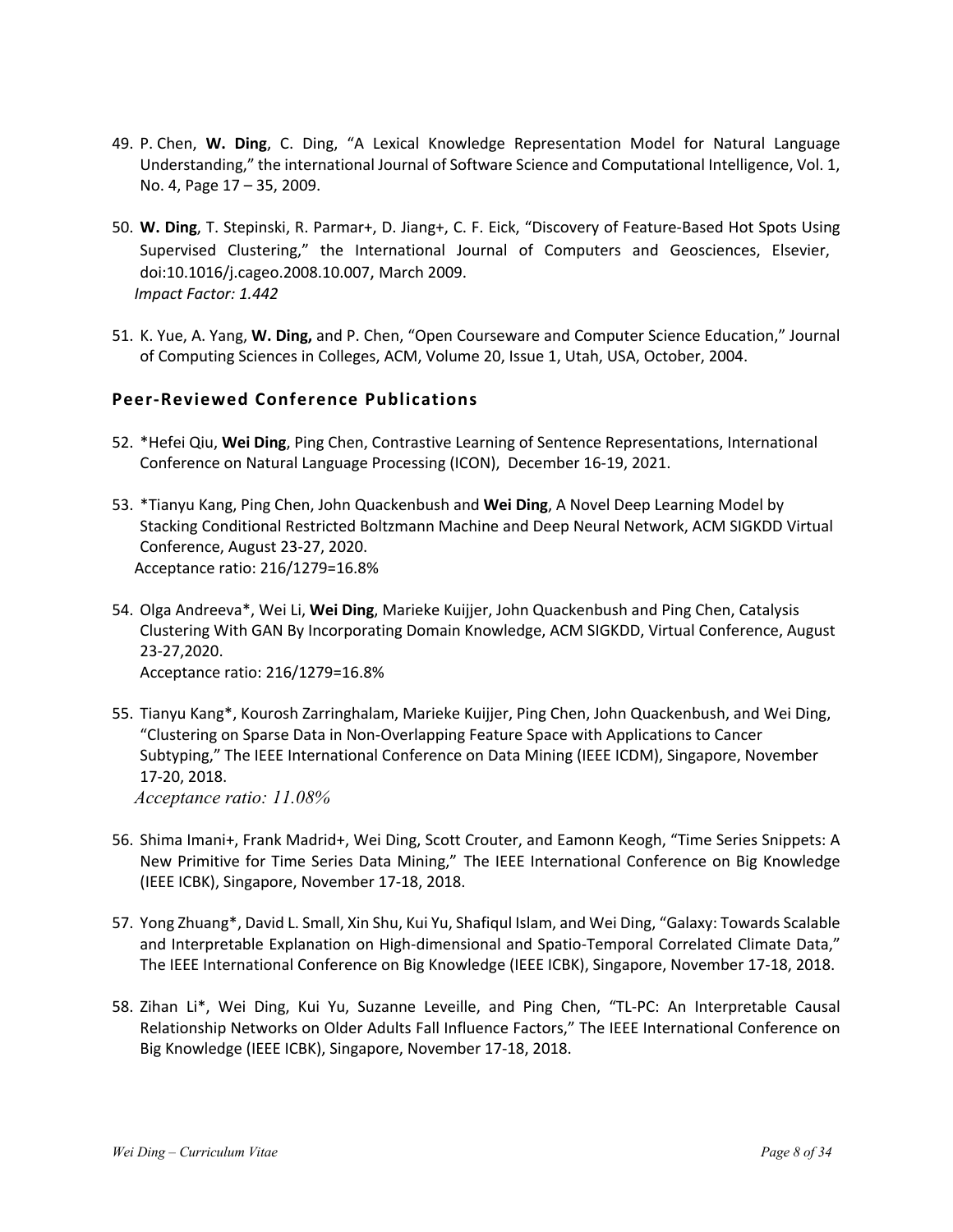- 49. P. Chen, **W. Ding**, C. Ding, "A Lexical Knowledge Representation Model for Natural Language Understanding," the international Journal of Software Science and Computational Intelligence, Vol. 1, No. 4, Page 17 – 35, 2009.
- 50. **W. Ding**, T. Stepinski, R. Parmar+, D. Jiang+, C. F. Eick, "Discovery of Feature-Based Hot Spots Using Supervised Clustering," the International Journal of Computers and Geosciences, Elsevier, doi:10.1016/j.cageo.2008.10.007, March 2009. *Impact Factor: 1.442*
- 51. K. Yue, A. Yang, **W. Ding,** and P. Chen, "Open Courseware and Computer Science Education," Journal of Computing Sciences in Colleges, ACM, Volume 20, Issue 1, Utah, USA, October, 2004.

### **Peer-Reviewed Conference Publications**

- 52. \*Hefei Qiu, **Wei Ding**, Ping Chen, Contrastive Learning of Sentence Representations, International Conference on Natural Language Processing (ICON), December 16-19, 2021.
- 53. \*Tianyu Kang, Ping Chen, John Quackenbush and **Wei Ding**, A Novel Deep Learning Model by Stacking Conditional Restricted Boltzmann Machine and Deep Neural Network, ACM SIGKDD Virtual Conference, August 23-27, 2020. Acceptance ratio: 216/1279=16.8%
- 54. Olga Andreeva\*, Wei Li, **Wei Ding**, Marieke Kuijjer, John Quackenbush and Ping Chen, Catalysis Clustering With GAN By Incorporating Domain Knowledge, ACM SIGKDD, Virtual Conference, August 23-27,2020. Acceptance ratio: 216/1279=16.8%
- 55. Tianyu Kang\*, Kourosh Zarringhalam, Marieke Kuijjer, Ping Chen, John Quackenbush, and Wei Ding, "Clustering on Sparse Data in Non-Overlapping Feature Space with Applications to Cancer Subtyping," The IEEE International Conference on Data Mining (IEEE ICDM), Singapore, November 17-20, 2018.

*Acceptance ratio: 11.08%*

- 56. Shima Imani+, Frank Madrid+, Wei Ding, Scott Crouter, and Eamonn Keogh, "Time Series Snippets: A New Primitive for Time Series Data Mining," The IEEE International Conference on Big Knowledge (IEEE ICBK), Singapore, November 17-18, 2018.
- 57. Yong Zhuang\*, David L. Small, Xin Shu, Kui Yu, Shafiqul Islam, and Wei Ding, "Galaxy: Towards Scalable and Interpretable Explanation on High-dimensional and Spatio-Temporal Correlated Climate Data," The IEEE International Conference on Big Knowledge (IEEE ICBK), Singapore, November 17-18, 2018.
- 58. Zihan Li\*, Wei Ding, Kui Yu, Suzanne Leveille, and Ping Chen, "TL-PC: An Interpretable Causal Relationship Networks on Older Adults Fall Influence Factors," The IEEE International Conference on Big Knowledge (IEEE ICBK), Singapore, November 17-18, 2018.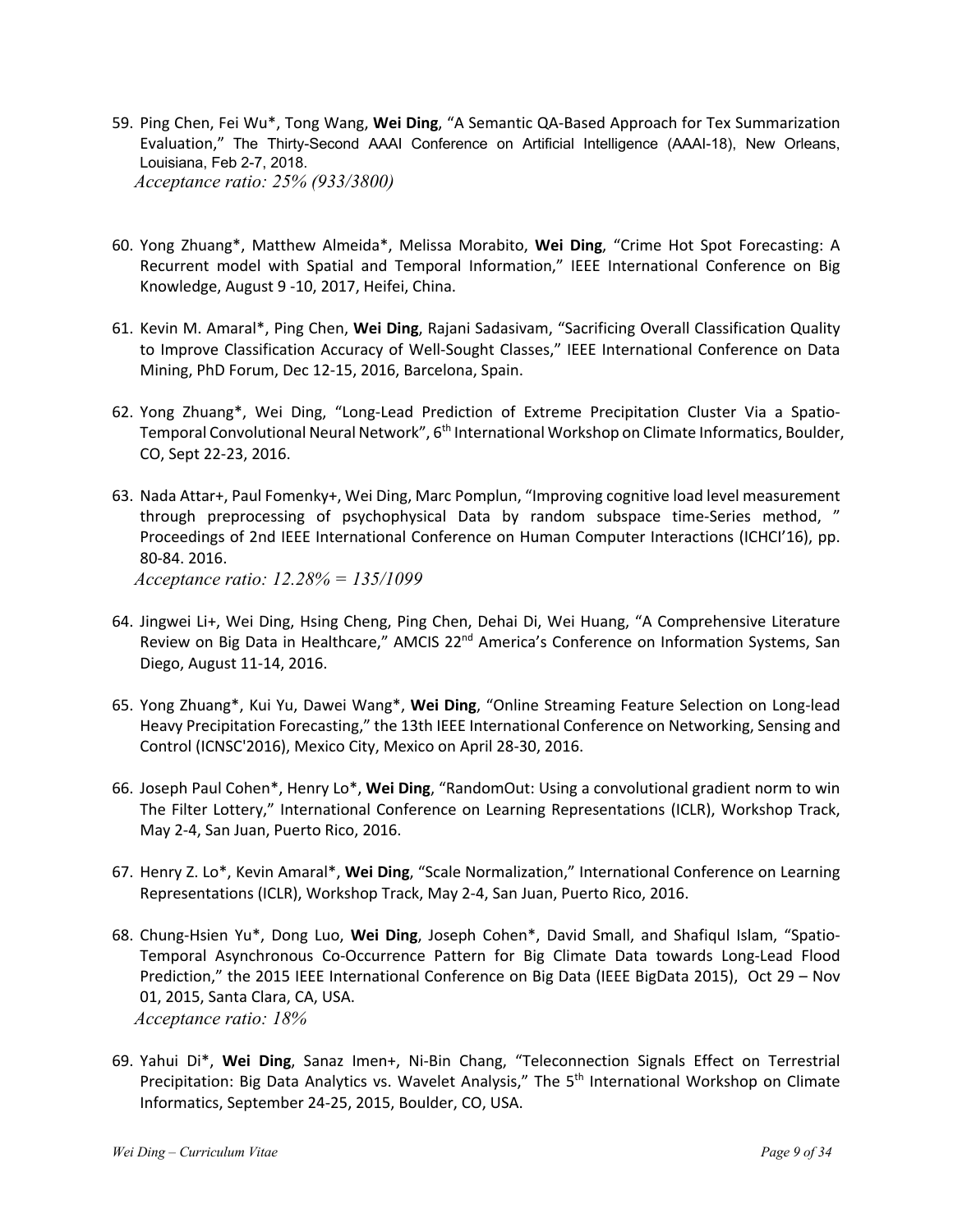- 59. Ping Chen, Fei Wu\*, Tong Wang, **Wei Ding**, "A Semantic QA-Based Approach for Tex Summarization Evaluation," The Thirty-Second AAAI Conference on Artificial Intelligence (AAAI-18), New Orleans, Louisiana, Feb 2-7, 2018. *Acceptance ratio: 25% (933/3800)*
- 60. Yong Zhuang\*, Matthew Almeida\*, Melissa Morabito, **Wei Ding**, "Crime Hot Spot Forecasting: A Recurrent model with Spatial and Temporal Information," IEEE International Conference on Big Knowledge, August 9 -10, 2017, Heifei, China.
- 61. Kevin M. Amaral\*, Ping Chen, **Wei Ding**, Rajani Sadasivam, "Sacrificing Overall Classification Quality to Improve Classification Accuracy of Well-Sought Classes," IEEE International Conference on Data Mining, PhD Forum, Dec 12-15, 2016, Barcelona, Spain.
- 62. Yong Zhuang\*, Wei Ding, "Long-Lead Prediction of Extreme Precipitation Cluster Via a Spatio-Temporal Convolutional Neural Network", 6<sup>th</sup> International Workshop on Climate Informatics, Boulder, CO, Sept 22-23, 2016.
- 63. Nada Attar+, Paul Fomenky+, Wei Ding, Marc Pomplun, "Improving cognitive load level measurement through preprocessing of psychophysical Data by random subspace time-Series method, " Proceedings of 2nd IEEE International Conference on Human Computer Interactions (ICHCI'16), pp. 80-84. 2016. *Acceptance ratio: 12.28% = 135/1099*
- 64. Jingwei Li+, Wei Ding, Hsing Cheng, Ping Chen, Dehai Di, Wei Huang, "A Comprehensive Literature Review on Big Data in Healthcare," AMCIS 22<sup>nd</sup> America's Conference on Information Systems, San Diego, August 11-14, 2016.
- 65. Yong Zhuang\*, Kui Yu, Dawei Wang\*, **Wei Ding**, "Online Streaming Feature Selection on Long-lead Heavy Precipitation Forecasting," the 13th IEEE International Conference on Networking, Sensing and Control (ICNSC'2016), Mexico City, Mexico on April 28-30, 2016.
- 66. Joseph Paul Cohen\*, Henry Lo\*, **Wei Ding**, "RandomOut: Using a convolutional gradient norm to win The Filter Lottery," International Conference on Learning Representations (ICLR), Workshop Track, May 2-4, San Juan, Puerto Rico, 2016.
- 67. Henry Z. Lo\*, Kevin Amaral\*, **Wei Ding**, "Scale Normalization," International Conference on Learning Representations (ICLR), Workshop Track, May 2-4, San Juan, Puerto Rico, 2016.
- 68. Chung-Hsien Yu\*, Dong Luo, **Wei Ding**, Joseph Cohen\*, David Small, and Shafiqul Islam, "Spatio-Temporal Asynchronous Co-Occurrence Pattern for Big Climate Data towards Long-Lead Flood Prediction," the 2015 IEEE International Conference on Big Data (IEEE BigData 2015), Oct 29 – Nov 01, 2015, Santa Clara, CA, USA. *Acceptance ratio: 18%*
- 69. Yahui Di\*, **Wei Ding**, Sanaz Imen+, Ni-Bin Chang, "Teleconnection Signals Effect on Terrestrial Precipitation: Big Data Analytics vs. Wavelet Analysis," The 5<sup>th</sup> International Workshop on Climate Informatics, September 24-25, 2015, Boulder, CO, USA.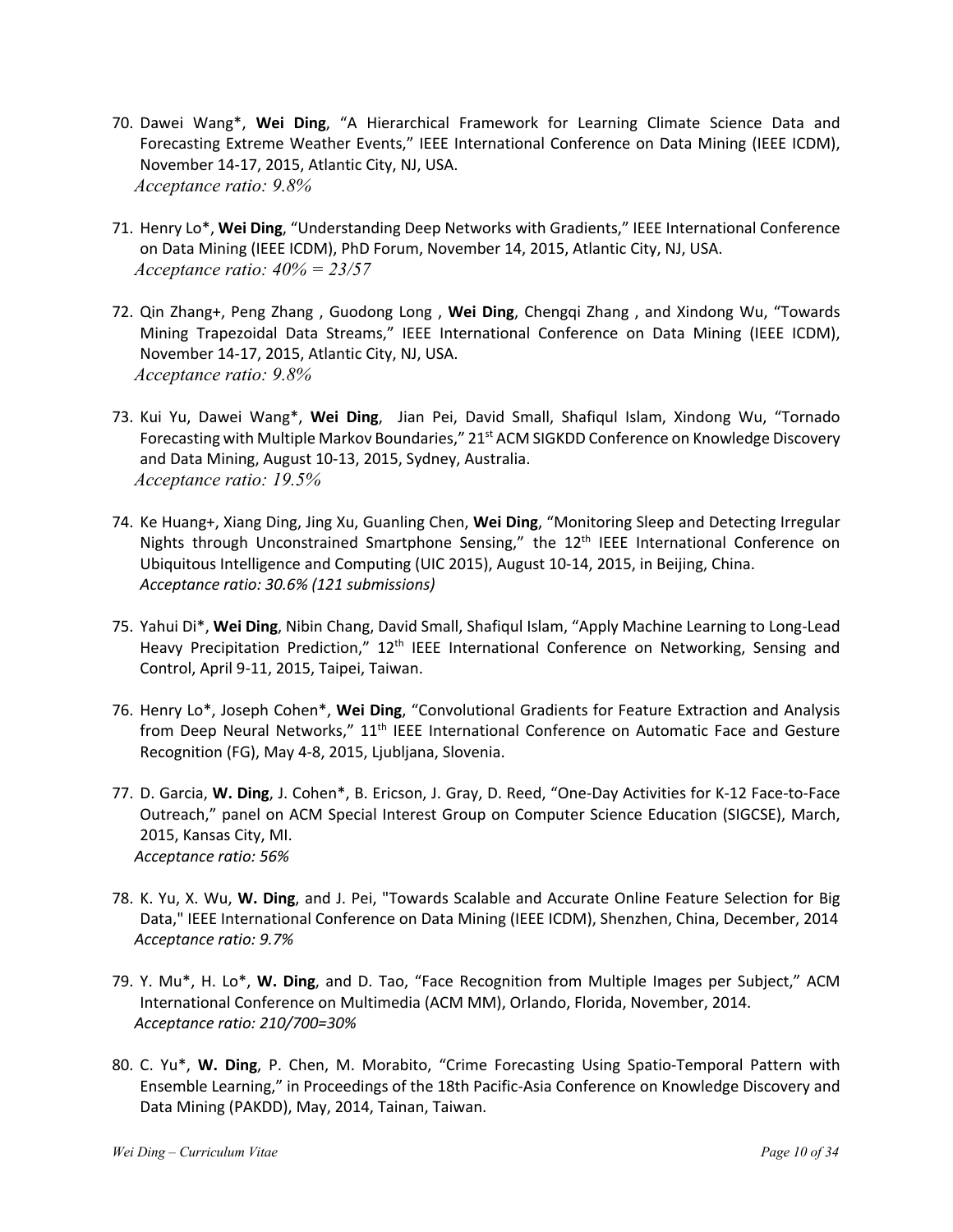- 70. Dawei Wang\*, **Wei Ding**, "A Hierarchical Framework for Learning Climate Science Data and Forecasting Extreme Weather Events," IEEE International Conference on Data Mining (IEEE ICDM), November 14-17, 2015, Atlantic City, NJ, USA. *Acceptance ratio: 9.8%*
- 71. Henry Lo\*, **Wei Ding**, "Understanding Deep Networks with Gradients," IEEE International Conference on Data Mining (IEEE ICDM), PhD Forum, November 14, 2015, Atlantic City, NJ, USA. *Acceptance ratio: 40% = 23/57*
- 72. Qin Zhang+, Peng Zhang , Guodong Long , **Wei Ding**, Chengqi Zhang , and Xindong Wu, "Towards Mining Trapezoidal Data Streams," IEEE International Conference on Data Mining (IEEE ICDM), November 14-17, 2015, Atlantic City, NJ, USA. *Acceptance ratio: 9.8%*
- 73. Kui Yu, Dawei Wang\*, **Wei Ding**, Jian Pei, David Small, Shafiqul Islam, Xindong Wu, "Tornado Forecasting with Multiple Markov Boundaries," 21<sup>st</sup> ACM SIGKDD Conference on Knowledge Discovery and Data Mining, August 10-13, 2015, Sydney, Australia. *Acceptance ratio: 19.5%*
- 74. Ke Huang+, Xiang Ding, Jing Xu, Guanling Chen, **Wei Ding**, "Monitoring Sleep and Detecting Irregular Nights through Unconstrained Smartphone Sensing," the  $12<sup>th</sup>$  IEEE International Conference on Ubiquitous Intelligence and Computing (UIC 2015), August 10-14, 2015, in Beijing, China. *Acceptance ratio: 30.6% (121 submissions)*
- 75. Yahui Di\*, **Wei Ding**, Nibin Chang, David Small, Shafiqul Islam, "Apply Machine Learning to Long-Lead Heavy Precipitation Prediction," 12<sup>th</sup> IEEE International Conference on Networking, Sensing and Control, April 9-11, 2015, Taipei, Taiwan.
- 76. Henry Lo\*, Joseph Cohen\*, **Wei Ding**, "Convolutional Gradients for Feature Extraction and Analysis from Deep Neural Networks," 11<sup>th</sup> IEEE International Conference on Automatic Face and Gesture Recognition (FG), May 4-8, 2015, Ljubljana, Slovenia.
- 77. D. Garcia, **W. Ding**, J. Cohen\*, B. Ericson, J. Gray, D. Reed, "One-Day Activities for K-12 Face-to-Face Outreach," panel on ACM Special Interest Group on Computer Science Education (SIGCSE), March, 2015, Kansas City, MI. *Acceptance ratio: 56%*
- 78. K. Yu, X. Wu, **W. Ding**, and J. Pei, "Towards Scalable and Accurate Online Feature Selection for Big Data," IEEE International Conference on Data Mining (IEEE ICDM), Shenzhen, China, December, 2014 *Acceptance ratio: 9.7%*
- 79. Y. Mu\*, H. Lo\*, **W. Ding**, and D. Tao, "Face Recognition from Multiple Images per Subject," ACM International Conference on Multimedia (ACM MM), Orlando, Florida, November, 2014. *Acceptance ratio: 210/700=30%*
- 80. C. Yu\*, **W. Ding**, P. Chen, M. Morabito, "Crime Forecasting Using Spatio-Temporal Pattern with Ensemble Learning," in Proceedings of the 18th Pacific-Asia Conference on Knowledge Discovery and Data Mining (PAKDD), May, 2014, Tainan, Taiwan.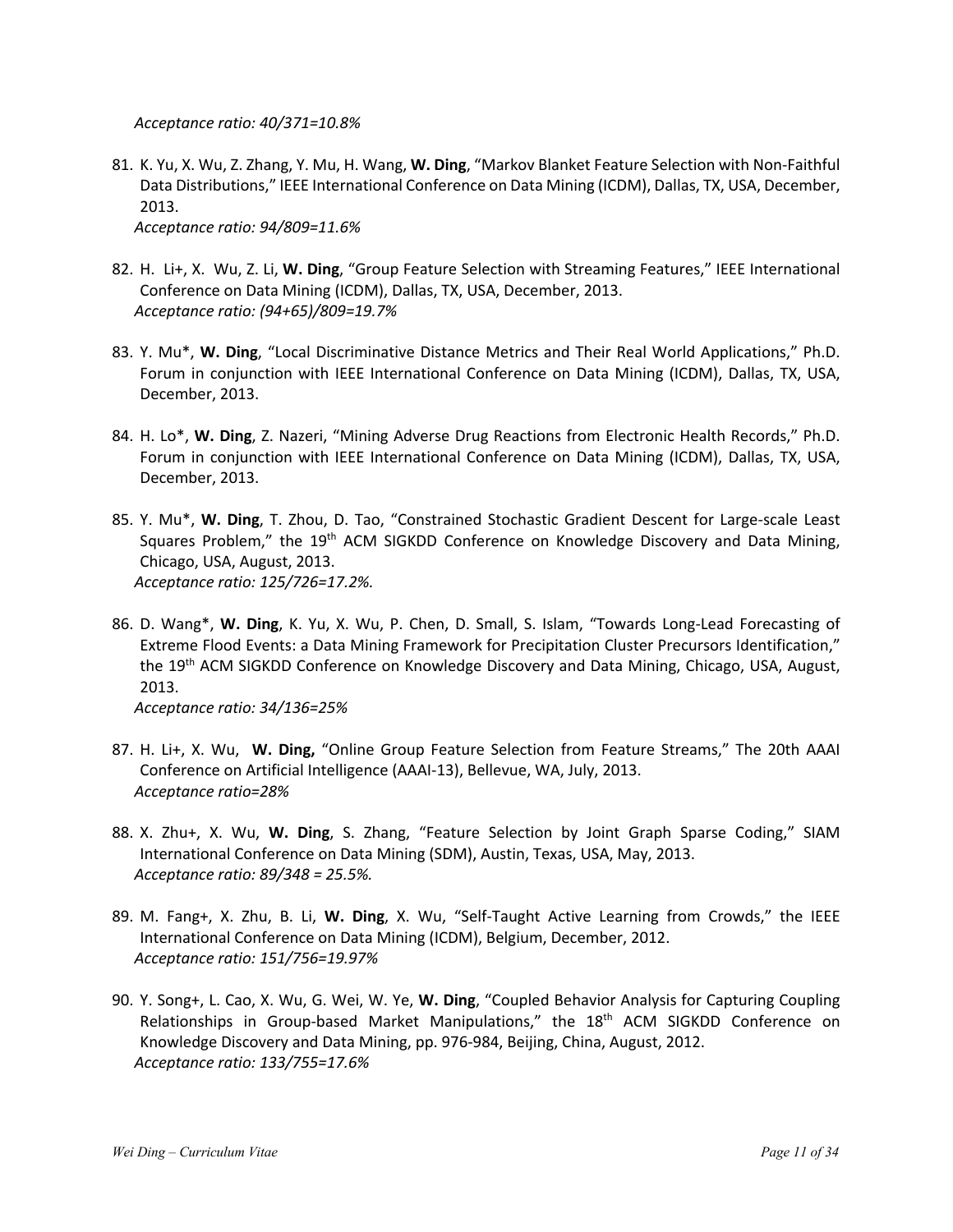*Acceptance ratio: 40/371=10.8%*

- 81. K. Yu, X. Wu, Z. Zhang, Y. Mu, H. Wang, **W. Ding**, "Markov Blanket Feature Selection with Non-Faithful Data Distributions," IEEE International Conference on Data Mining (ICDM), Dallas, TX, USA, December, 2013. *Acceptance ratio: 94/809=11.6%*
- 82. H. Li+, X. Wu, Z. Li, **W. Ding**, "Group Feature Selection with Streaming Features," IEEE International Conference on Data Mining (ICDM), Dallas, TX, USA, December, 2013. *Acceptance ratio: (94+65)/809=19.7%*
- 83. Y. Mu\*, **W. Ding**, "Local Discriminative Distance Metrics and Their Real World Applications," Ph.D. Forum in conjunction with IEEE International Conference on Data Mining (ICDM), Dallas, TX, USA, December, 2013.
- 84. H. Lo\*, **W. Ding**, Z. Nazeri, "Mining Adverse Drug Reactions from Electronic Health Records," Ph.D. Forum in conjunction with IEEE International Conference on Data Mining (ICDM), Dallas, TX, USA, December, 2013.
- 85. Y. Mu\*, **W. Ding**, T. Zhou, D. Tao, "Constrained Stochastic Gradient Descent for Large-scale Least Squares Problem," the 19<sup>th</sup> ACM SIGKDD Conference on Knowledge Discovery and Data Mining, Chicago, USA, August, 2013. *Acceptance ratio: 125/726=17.2%.*
- 86. D. Wang\*, **W. Ding**, K. Yu, X. Wu, P. Chen, D. Small, S. Islam, "Towards Long-Lead Forecasting of Extreme Flood Events: a Data Mining Framework for Precipitation Cluster Precursors Identification," the 19<sup>th</sup> ACM SIGKDD Conference on Knowledge Discovery and Data Mining, Chicago, USA, August, 2013.

*Acceptance ratio: 34/136=25%*

- 87. H. Li+, X. Wu, **W. Ding,** "Online Group Feature Selection from Feature Streams," The 20th AAAI Conference on Artificial Intelligence (AAAI-13), Bellevue, WA, July, 2013. *Acceptance ratio=28%*
- 88. X. Zhu+, X. Wu, **W. Ding**, S. Zhang, "Feature Selection by Joint Graph Sparse Coding," SIAM International Conference on Data Mining (SDM), Austin, Texas, USA, May, 2013. *Acceptance ratio: 89/348 = 25.5%.*
- 89. M. Fang+, X. Zhu, B. Li, **W. Ding**, X. Wu, "Self-Taught Active Learning from Crowds," the IEEE International Conference on Data Mining (ICDM), Belgium, December, 2012. *Acceptance ratio: 151/756=19.97%*
- 90. Y. Song+, L. Cao, X. Wu, G. Wei, W. Ye, **W. Ding**, "Coupled Behavior Analysis for Capturing Coupling Relationships in Group-based Market Manipulations," the 18<sup>th</sup> ACM SIGKDD Conference on Knowledge Discovery and Data Mining, pp. 976-984, Beijing, China, August, 2012. *Acceptance ratio: 133/755=17.6%*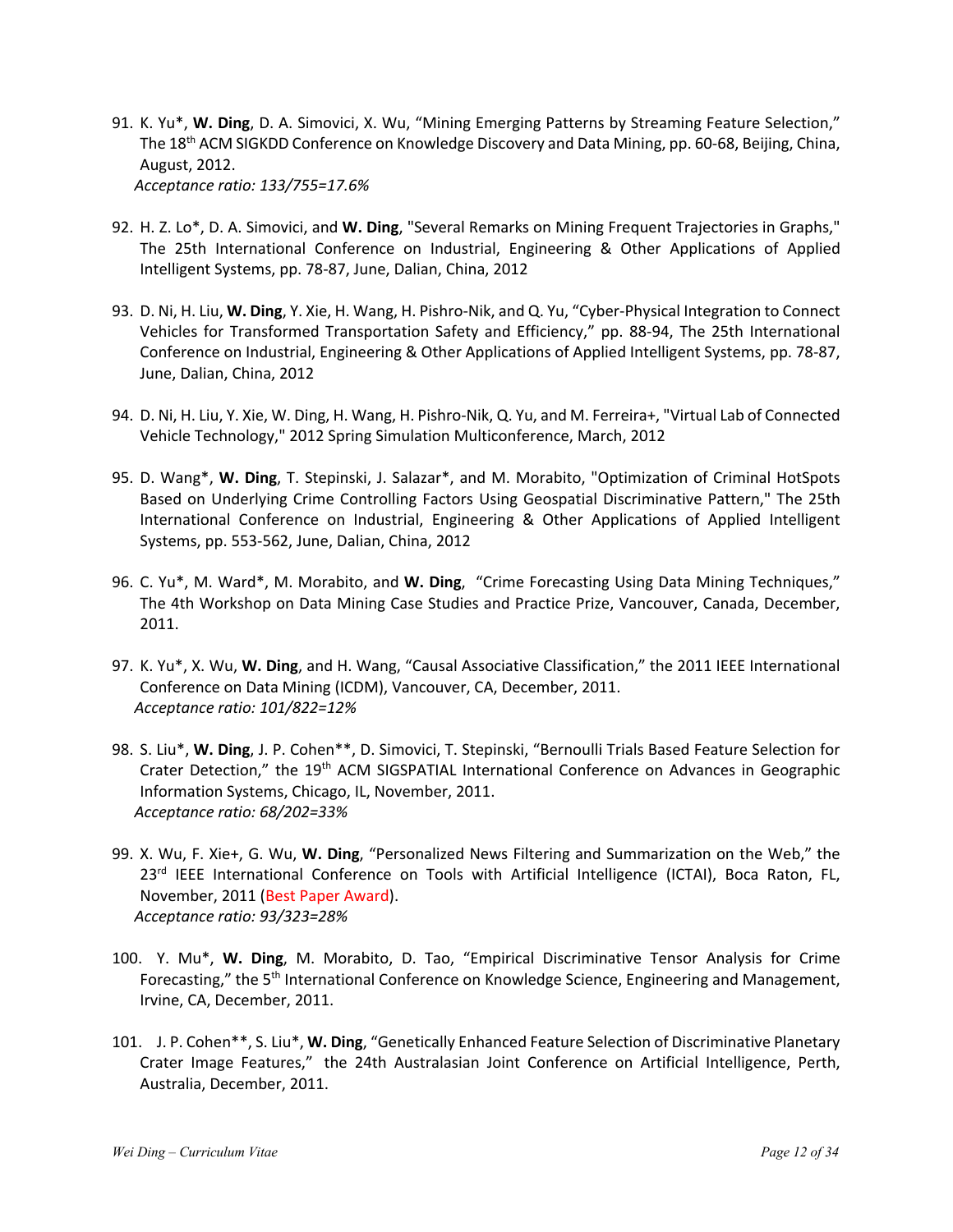- 91. K. Yu\*, **W. Ding**, D. A. Simovici, X. Wu, "Mining Emerging Patterns by Streaming Feature Selection," The 18<sup>th</sup> ACM SIGKDD Conference on Knowledge Discovery and Data Mining, pp. 60-68, Beijing, China, August, 2012. *Acceptance ratio: 133/755=17.6%*
- 92. H. Z. Lo\*, D. A. Simovici, and **W. Ding**, "Several Remarks on Mining Frequent Trajectories in Graphs," The 25th International Conference on Industrial, Engineering & Other Applications of Applied Intelligent Systems, pp. 78-87, June, Dalian, China, 2012
- 93. D. Ni, H. Liu, **W. Ding**, Y. Xie, H. Wang, H. Pishro-Nik, and Q. Yu, "Cyber-Physical Integration to Connect Vehicles for Transformed Transportation Safety and Efficiency," pp. 88-94, The 25th International Conference on Industrial, Engineering & Other Applications of Applied Intelligent Systems, pp. 78-87, June, Dalian, China, 2012
- 94. D. Ni, H. Liu, Y. Xie, W. Ding, H. Wang, H. Pishro-Nik, Q. Yu, and M. Ferreira+, "Virtual Lab of Connected Vehicle Technology," 2012 Spring Simulation Multiconference, March, 2012
- 95. D. Wang\*, **W. Ding**, T. Stepinski, J. Salazar\*, and M. Morabito, "Optimization of Criminal HotSpots Based on Underlying Crime Controlling Factors Using Geospatial Discriminative Pattern," The 25th International Conference on Industrial, Engineering & Other Applications of Applied Intelligent Systems, pp. 553-562, June, Dalian, China, 2012
- 96. C. Yu\*, M. Ward\*, M. Morabito, and **W. Ding**, "Crime Forecasting Using Data Mining Techniques," The 4th Workshop on Data Mining Case Studies and Practice Prize, Vancouver, Canada, December, 2011.
- 97. K. Yu\*, X. Wu, **W. Ding**, and H. Wang, "Causal Associative Classification," the 2011 IEEE International Conference on Data Mining (ICDM), Vancouver, CA, December, 2011. *Acceptance ratio: 101/822=12%*
- 98. S. Liu\*, **W. Ding**, J. P. Cohen\*\*, D. Simovici, T. Stepinski, "Bernoulli Trials Based Feature Selection for Crater Detection," the 19<sup>th</sup> ACM SIGSPATIAL International Conference on Advances in Geographic Information Systems, Chicago, IL, November, 2011. *Acceptance ratio: 68/202=33%*
- 99. X. Wu, F. Xie+, G. Wu, **W. Ding**, "Personalized News Filtering and Summarization on the Web," the 23<sup>rd</sup> IEEE International Conference on Tools with Artificial Intelligence (ICTAI), Boca Raton, FL, November, 2011 (Best Paper Award). *Acceptance ratio: 93/323=28%*
- 100. Y. Mu\*, **W. Ding**, M. Morabito, D. Tao, "Empirical Discriminative Tensor Analysis for Crime Forecasting," the 5<sup>th</sup> International Conference on Knowledge Science, Engineering and Management, Irvine, CA, December, 2011.
- 101. J. P. Cohen\*\*, S. Liu\*, **W. Ding**, "Genetically Enhanced Feature Selection of Discriminative Planetary Crater Image Features," the 24th Australasian Joint Conference on Artificial Intelligence, Perth, Australia, December, 2011.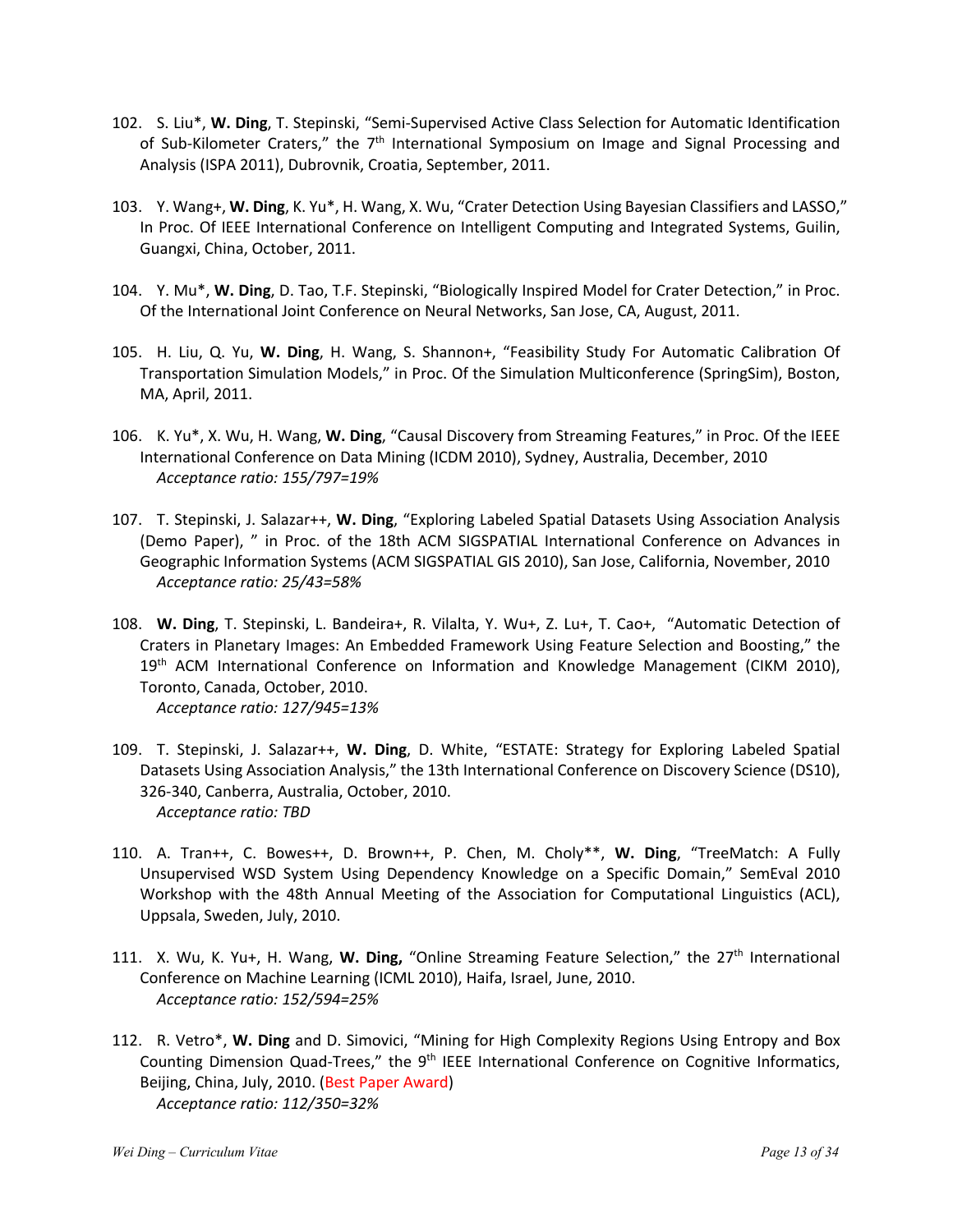- 102. S. Liu\*, **W. Ding**, T. Stepinski, "Semi-Supervised Active Class Selection for Automatic Identification of Sub-Kilometer Craters," the 7<sup>th</sup> International Symposium on Image and Signal Processing and Analysis (ISPA 2011), Dubrovnik, Croatia, September, 2011.
- 103. Y. Wang+, **W. Ding**, K. Yu\*, H. Wang, X. Wu, "Crater Detection Using Bayesian Classifiers and LASSO," In Proc. Of IEEE International Conference on Intelligent Computing and Integrated Systems, Guilin, Guangxi, China, October, 2011.
- 104. Y. Mu\*, **W. Ding**, D. Tao, T.F. Stepinski, "Biologically Inspired Model for Crater Detection," in Proc. Of the International Joint Conference on Neural Networks, San Jose, CA, August, 2011.
- 105. H. Liu, Q. Yu, **W. Ding**, H. Wang, S. Shannon+, "Feasibility Study For Automatic Calibration Of Transportation Simulation Models," in Proc. Of the Simulation Multiconference (SpringSim), Boston, MA, April, 2011.
- 106. K. Yu\*, X. Wu, H. Wang, **W. Ding**, "Causal Discovery from Streaming Features," in Proc. Of the IEEE International Conference on Data Mining (ICDM 2010), Sydney, Australia, December, 2010 *Acceptance ratio: 155/797=19%*
- 107. T. Stepinski, J. Salazar++, **W. Ding**, "Exploring Labeled Spatial Datasets Using Association Analysis (Demo Paper), " in Proc. of the 18th ACM SIGSPATIAL International Conference on Advances in Geographic Information Systems (ACM SIGSPATIAL GIS 2010), San Jose, California, November, 2010 *Acceptance ratio: 25/43=58%*
- 108. **W. Ding**, T. Stepinski, L. Bandeira+, R. Vilalta, Y. Wu+, Z. Lu+, T. Cao+, "Automatic Detection of Craters in Planetary Images: An Embedded Framework Using Feature Selection and Boosting," the 19<sup>th</sup> ACM International Conference on Information and Knowledge Management (CIKM 2010), Toronto, Canada, October, 2010. *Acceptance ratio: 127/945=13%*
- 109. T. Stepinski, J. Salazar++, **W. Ding**, D. White, "ESTATE: Strategy for Exploring Labeled Spatial Datasets Using Association Analysis," the 13th International Conference on Discovery Science (DS10), 326-340, Canberra, Australia, October, 2010. *Acceptance ratio: TBD*
- 110. A. Tran++, C. Bowes++, D. Brown++, P. Chen, M. Choly\*\*, **W. Ding**, "TreeMatch: A Fully Unsupervised WSD System Using Dependency Knowledge on a Specific Domain," SemEval 2010 Workshop with the 48th Annual Meeting of the Association for Computational Linguistics (ACL), Uppsala, Sweden, July, 2010.
- 111. X. Wu, K. Yu+, H. Wang, **W. Ding,** "Online Streaming Feature Selection," the 27th International Conference on Machine Learning (ICML 2010), Haifa, Israel, June, 2010. *Acceptance ratio: 152/594=25%*
- 112. R. Vetro\*, **W. Ding** and D. Simovici, "Mining for High Complexity Regions Using Entropy and Box Counting Dimension Quad-Trees," the 9<sup>th</sup> IEEE International Conference on Cognitive Informatics, Beijing, China, July, 2010. (Best Paper Award) *Acceptance ratio: 112/350=32%*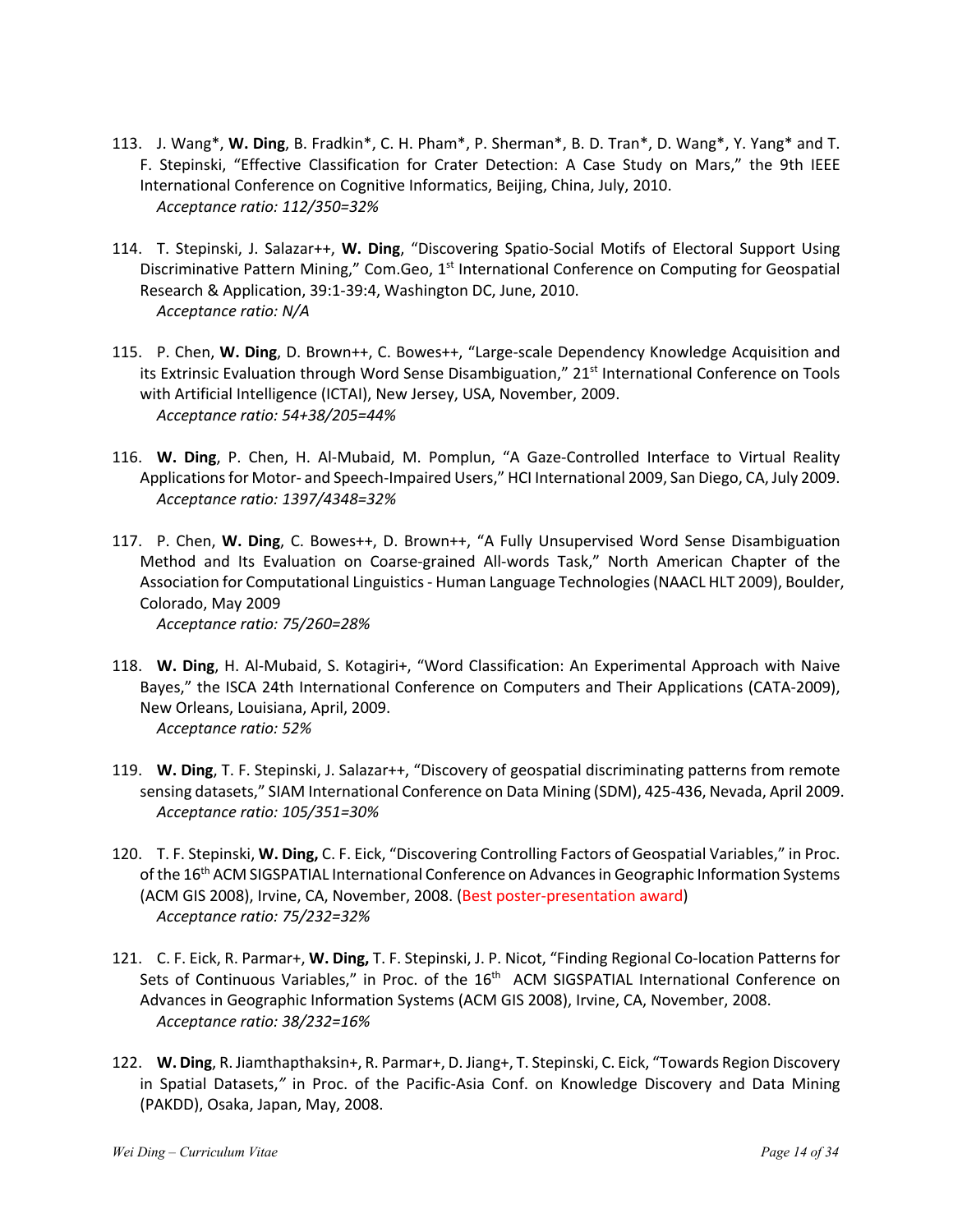- 113. J. Wang\*, **W. Ding**, B. Fradkin\*, C. H. Pham\*, P. Sherman\*, B. D. Tran\*, D. Wang\*, Y. Yang\* and T. F. Stepinski, "Effective Classification for Crater Detection: A Case Study on Mars," the 9th IEEE International Conference on Cognitive Informatics, Beijing, China, July, 2010. *Acceptance ratio: 112/350=32%*
- 114. T. Stepinski, J. Salazar++, **W. Ding**, "Discovering Spatio-Social Motifs of Electoral Support Using Discriminative Pattern Mining," Com.Geo, 1<sup>st</sup> International Conference on Computing for Geospatial Research & Application, 39:1-39:4, Washington DC, June, 2010. *Acceptance ratio: N/A*
- 115. P. Chen, **W. Ding**, D. Brown++, C. Bowes++, "Large-scale Dependency Knowledge Acquisition and its Extrinsic Evaluation through Word Sense Disambiguation," 21<sup>st</sup> International Conference on Tools with Artificial Intelligence (ICTAI), New Jersey, USA, November, 2009. *Acceptance ratio: 54+38/205=44%*
- 116. **W. Ding**, P. Chen, H. Al-Mubaid, M. Pomplun, "A Gaze-Controlled Interface to Virtual Reality Applications for Motor- and Speech-Impaired Users," HCI International 2009, San Diego, CA, July 2009. *Acceptance ratio: 1397/4348=32%*
- 117. P. Chen, **W. Ding**, C. Bowes++, D. Brown++, "A Fully Unsupervised Word Sense Disambiguation Method and Its Evaluation on Coarse-grained All-words Task," North American Chapter of the Association for Computational Linguistics - Human Language Technologies (NAACL HLT 2009), Boulder, Colorado, May 2009 *Acceptance ratio: 75/260=28%*

- 118. **W. Ding**, H. Al-Mubaid, S. Kotagiri+, "Word Classification: An Experimental Approach with Naive Bayes," the ISCA 24th International Conference on Computers and Their Applications (CATA-2009), New Orleans, Louisiana, April, 2009. *Acceptance ratio: 52%*
- 119. **W. Ding**, T. F. Stepinski, J. Salazar++, "Discovery of geospatial discriminating patterns from remote sensing datasets," SIAM International Conference on Data Mining (SDM), 425-436, Nevada, April 2009. *Acceptance ratio: 105/351=30%*
- 120. T. F. Stepinski, **W. Ding,** C. F. Eick, "Discovering Controlling Factors of Geospatial Variables," in Proc. of the 16<sup>th</sup> ACM SIGSPATIAL International Conference on Advances in Geographic Information Systems (ACM GIS 2008), Irvine, CA, November, 2008. (Best poster-presentation award) *Acceptance ratio: 75/232=32%*
- 121. C. F. Eick, R. Parmar+, **W. Ding,** T. F. Stepinski, J. P. Nicot, "Finding Regional Co-location Patterns for Sets of Continuous Variables," in Proc. of the 16<sup>th</sup> ACM SIGSPATIAL International Conference on Advances in Geographic Information Systems (ACM GIS 2008), Irvine, CA, November, 2008. *Acceptance ratio: 38/232=16%*
- 122. **W. Ding**, R. Jiamthapthaksin+, R. Parmar+, D. Jiang+, T. Stepinski, C. Eick, "Towards Region Discovery in Spatial Datasets,*"* in Proc. of the Pacific-Asia Conf. on Knowledge Discovery and Data Mining (PAKDD), Osaka, Japan, May, 2008.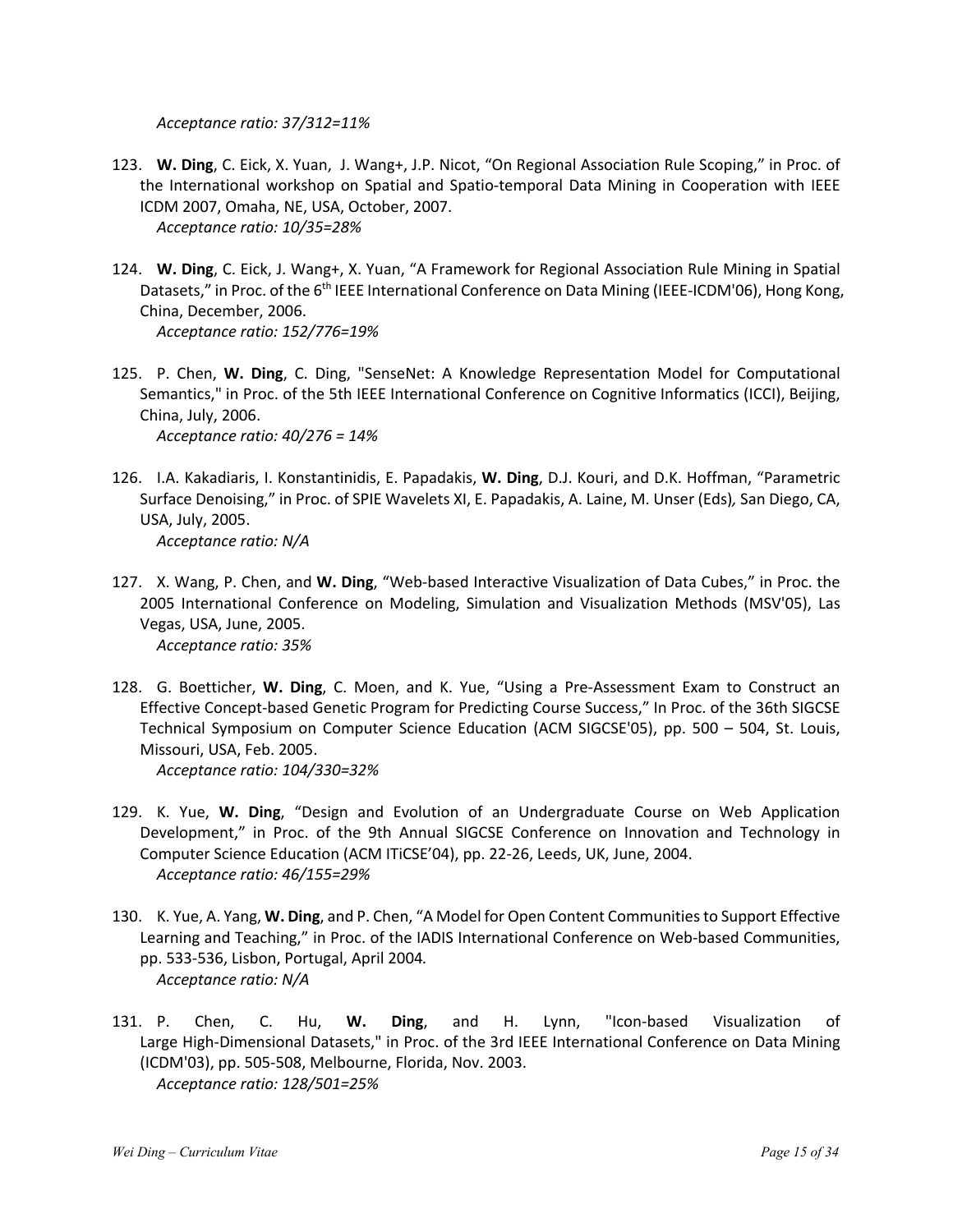*Acceptance ratio: 37/312=11%*

- 123. **W. Ding**, C. Eick, X. Yuan, J. Wang+, J.P. Nicot, "On Regional Association Rule Scoping," in Proc. of the International workshop on Spatial and Spatio-temporal Data Mining in Cooperation with IEEE ICDM 2007, Omaha, NE, USA, October, 2007. *Acceptance ratio: 10/35=28%*
- 124. **W. Ding**, C. Eick, J. Wang+, X. Yuan, "A Framework for Regional Association Rule Mining in Spatial Datasets," in Proc. of the 6<sup>th</sup> IEEE International Conference on Data Mining (IEEE-ICDM'06), Hong Kong, China, December, 2006. *Acceptance ratio: 152/776=19%*
- 125. P. Chen, **W. Ding**, C. Ding, "SenseNet: A Knowledge Representation Model for Computational Semantics," in Proc. of the 5th IEEE International Conference on Cognitive Informatics (ICCI), Beijing, China, July, 2006. *Acceptance ratio: 40/276 = 14%*
- 126. I.A. Kakadiaris, I. Konstantinidis, E. Papadakis, **W. Ding**, D.J. Kouri, and D.K. Hoffman, "Parametric Surface Denoising," in Proc. of SPIE Wavelets XI, E. Papadakis, A. Laine, M. Unser (Eds)*,* San Diego, CA, USA, July, 2005. *Acceptance ratio: N/A*
- 127. X. Wang, P. Chen, and **W. Ding**, "Web-based Interactive Visualization of Data Cubes," in Proc. the 2005 International Conference on Modeling, Simulation and Visualization Methods (MSV'05), Las Vegas, USA, June, 2005. *Acceptance ratio: 35%*
- 128. G. Boetticher, **W. Ding**, C. Moen, and K. Yue, "Using a Pre-Assessment Exam to Construct an Effective Concept-based Genetic Program for Predicting Course Success," In Proc. of the 36th SIGCSE Technical Symposium on Computer Science Education (ACM SIGCSE'05), pp. 500 – 504, St. Louis, Missouri, USA, Feb. 2005. *Acceptance ratio: 104/330=32%*
- 129. K. Yue, **W. Ding**, "Design and Evolution of an Undergraduate Course on Web Application Development," in Proc. of the 9th Annual SIGCSE Conference on Innovation and Technology in Computer Science Education (ACM ITiCSE'04), pp. 22-26, Leeds, UK, June, 2004. *Acceptance ratio: 46/155=29%*
- 130. K. Yue, A. Yang, **W. Ding**, and P. Chen, "A Model for Open Content Communities to Support Effective Learning and Teaching," in Proc. of the IADIS International Conference on Web-based Communities, pp. 533-536, Lisbon, Portugal, April 2004*. Acceptance ratio: N/A*
- 131. P. Chen, C. Hu, **W. Ding**, and H. Lynn, "Icon-based Visualization of Large High-Dimensional Datasets," in Proc. of the 3rd IEEE International Conference on Data Mining (ICDM'03), pp. 505-508, Melbourne, Florida, Nov. 2003. *Acceptance ratio: 128/501=25%*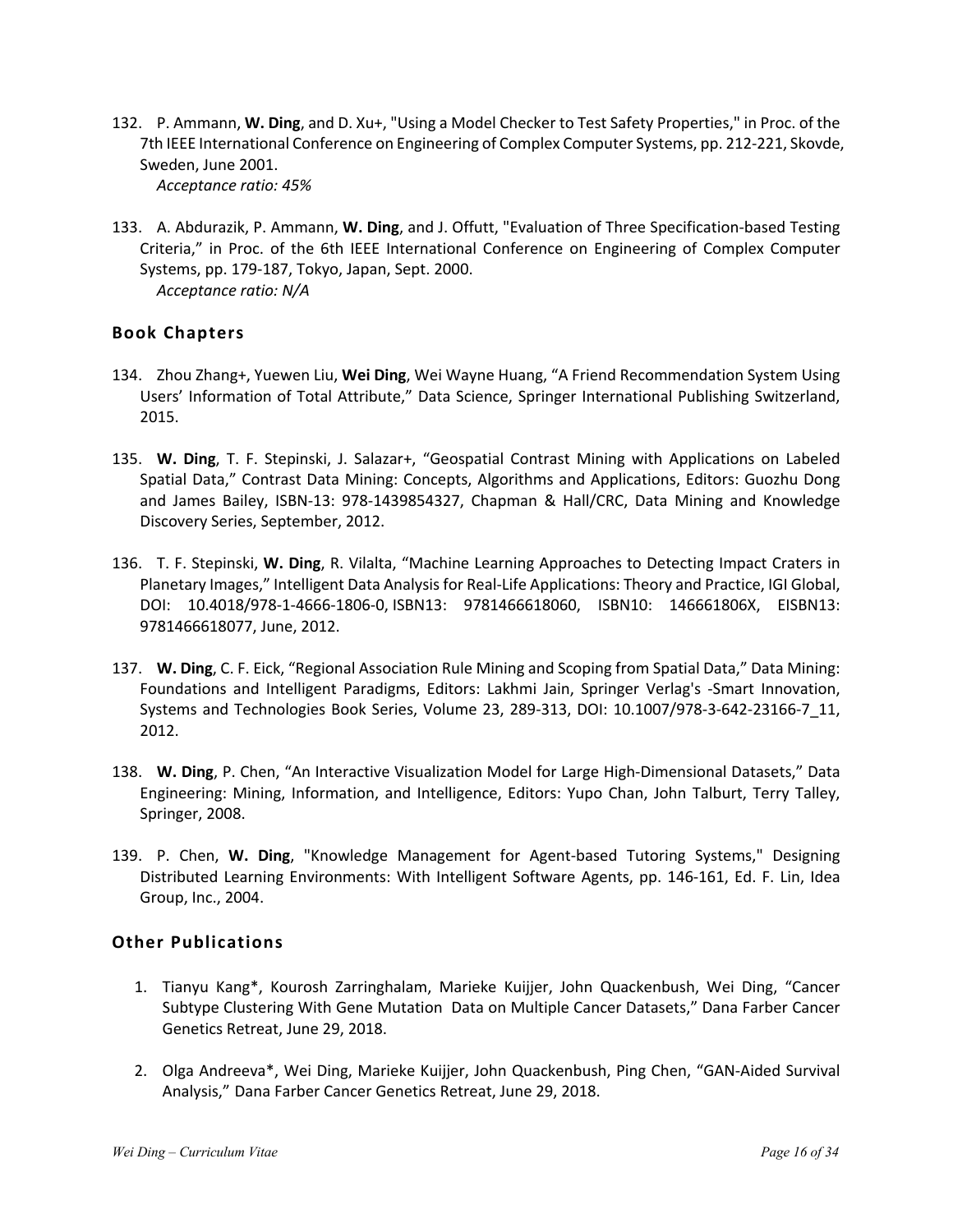- 132. P. Ammann, **W. Ding**, and D. Xu+, "Using a Model Checker to Test Safety Properties," in Proc. of the 7th IEEE International Conference on Engineering of Complex Computer Systems, pp. 212-221, Skovde, Sweden, June 2001. *Acceptance ratio: 45%*
- 133. A. Abdurazik, P. Ammann, **W. Ding**, and J. Offutt, "Evaluation of Three Specification-based Testing Criteria," in Proc. of the 6th IEEE International Conference on Engineering of Complex Computer Systems, pp. 179-187, Tokyo, Japan, Sept. 2000. *Acceptance ratio: N/A*

### **Book Chapters**

- 134. Zhou Zhang+, Yuewen Liu, **Wei Ding**, Wei Wayne Huang, "A Friend Recommendation System Using Users' Information of Total Attribute," Data Science, Springer International Publishing Switzerland, 2015.
- 135. **W. Ding**, T. F. Stepinski, J. Salazar+, "Geospatial Contrast Mining with Applications on Labeled Spatial Data," Contrast Data Mining: Concepts, Algorithms and Applications, Editors: Guozhu Dong and James Bailey, ISBN-13: 978-1439854327, Chapman & Hall/CRC, Data Mining and Knowledge Discovery Series, September, 2012.
- 136. T. F. Stepinski, **W. Ding**, R. Vilalta, "Machine Learning Approaches to Detecting Impact Craters in Planetary Images," Intelligent Data Analysis for Real-Life Applications: Theory and Practice, IGI Global, DOI: 10.4018/978-1-4666-1806-0, ISBN13: 9781466618060, ISBN10: 146661806X, EISBN13: 9781466618077, June, 2012.
- 137. **W. Ding**, C. F. Eick, "Regional Association Rule Mining and Scoping from Spatial Data," Data Mining: Foundations and Intelligent Paradigms, Editors: Lakhmi Jain, Springer Verlag's -Smart Innovation, Systems and Technologies Book Series, Volume 23, 289-313, DOI: 10.1007/978-3-642-23166-7\_11, 2012.
- 138. **W. Ding**, P. Chen, "An Interactive Visualization Model for Large High-Dimensional Datasets," Data Engineering: Mining, Information, and Intelligence, Editors: Yupo Chan, John Talburt, Terry Talley, Springer, 2008.
- 139. P. Chen, **W. Ding**, "Knowledge Management for Agent-based Tutoring Systems," Designing Distributed Learning Environments: With Intelligent Software Agents, pp. 146-161, Ed. F. Lin, Idea Group, Inc., 2004.

## **Other Publications**

- 1. Tianyu Kang\*, Kourosh Zarringhalam, Marieke Kuijjer, John Quackenbush, Wei Ding, "Cancer Subtype Clustering With Gene Mutation Data on Multiple Cancer Datasets," Dana Farber Cancer Genetics Retreat, June 29, 2018.
- 2. Olga Andreeva\*, Wei Ding, Marieke Kuijjer, John Quackenbush, Ping Chen, "GAN-Aided Survival Analysis," Dana Farber Cancer Genetics Retreat, June 29, 2018.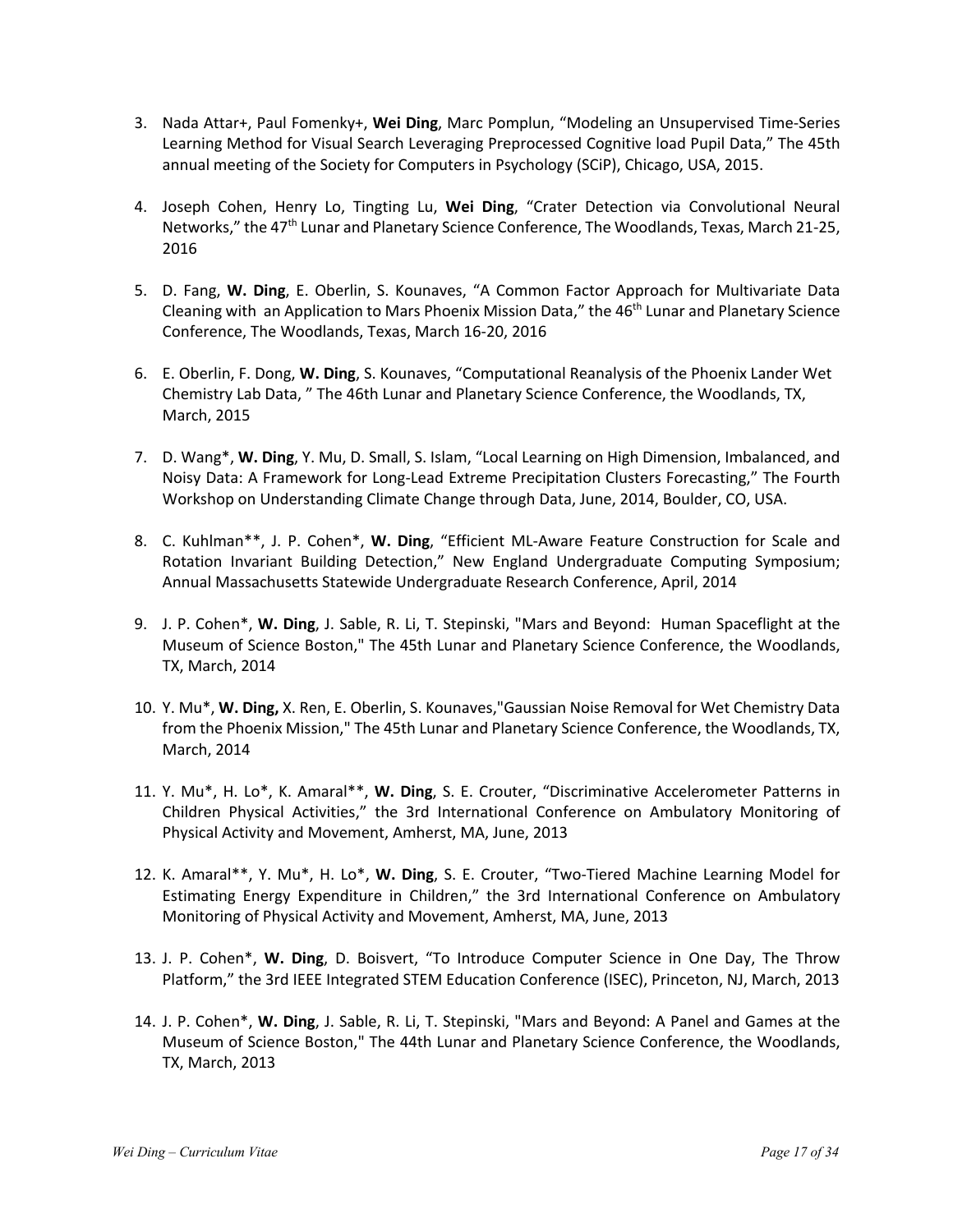- 3. Nada Attar+, Paul Fomenky+, **Wei Ding**, Marc Pomplun, "Modeling an Unsupervised Time-Series Learning Method for Visual Search Leveraging Preprocessed Cognitive load Pupil Data," The 45th annual meeting of the Society for Computers in Psychology (SCiP), Chicago, USA, 2015.
- 4. Joseph Cohen, Henry Lo, Tingting Lu, **Wei Ding**, "Crater Detection via Convolutional Neural Networks," the 47<sup>th</sup> Lunar and Planetary Science Conference, The Woodlands, Texas, March 21-25, 2016
- 5. D. Fang, **W. Ding**, E. Oberlin, S. Kounaves, "A Common Factor Approach for Multivariate Data Cleaning with an Application to Mars Phoenix Mission Data," the 46<sup>th</sup> Lunar and Planetary Science Conference, The Woodlands, Texas, March 16-20, 2016
- 6. E. Oberlin, F. Dong, **W. Ding**, S. Kounaves, "Computational Reanalysis of the Phoenix Lander Wet Chemistry Lab Data, " The 46th Lunar and Planetary Science Conference, the Woodlands, TX, March, 2015
- 7. D. Wang\*, **W. Ding**, Y. Mu, D. Small, S. Islam, "Local Learning on High Dimension, Imbalanced, and Noisy Data: A Framework for Long-Lead Extreme Precipitation Clusters Forecasting," The Fourth Workshop on Understanding Climate Change through Data, June, 2014, Boulder, CO, USA.
- 8. C. Kuhlman\*\*, J. P. Cohen\*, **W. Ding**, "Efficient ML-Aware Feature Construction for Scale and Rotation Invariant Building Detection," New England Undergraduate Computing Symposium; Annual Massachusetts Statewide Undergraduate Research Conference, April, 2014
- 9. J. P. Cohen\*, **W. Ding**, J. Sable, R. Li, T. Stepinski, "Mars and Beyond: Human Spaceflight at the Museum of Science Boston," The 45th Lunar and Planetary Science Conference, the Woodlands, TX, March, 2014
- 10. Y. Mu\*, **W. Ding,** X. Ren, E. Oberlin, S. Kounaves,"Gaussian Noise Removal for Wet Chemistry Data from the Phoenix Mission," The 45th Lunar and Planetary Science Conference, the Woodlands, TX, March, 2014
- 11. Y. Mu\*, H. Lo\*, K. Amaral\*\*, **W. Ding**, S. E. Crouter, "Discriminative Accelerometer Patterns in Children Physical Activities," the 3rd International Conference on Ambulatory Monitoring of Physical Activity and Movement, Amherst, MA, June, 2013
- 12. K. Amaral\*\*, Y. Mu\*, H. Lo\*, **W. Ding**, S. E. Crouter, "Two-Tiered Machine Learning Model for Estimating Energy Expenditure in Children," the 3rd International Conference on Ambulatory Monitoring of Physical Activity and Movement, Amherst, MA, June, 2013
- 13. J. P. Cohen\*, **W. Ding**, D. Boisvert, "To Introduce Computer Science in One Day, The Throw Platform," the 3rd IEEE Integrated STEM Education Conference (ISEC), Princeton, NJ, March, 2013
- 14. J. P. Cohen\*, **W. Ding**, J. Sable, R. Li, T. Stepinski, "Mars and Beyond: A Panel and Games at the Museum of Science Boston," The 44th Lunar and Planetary Science Conference, the Woodlands, TX, March, 2013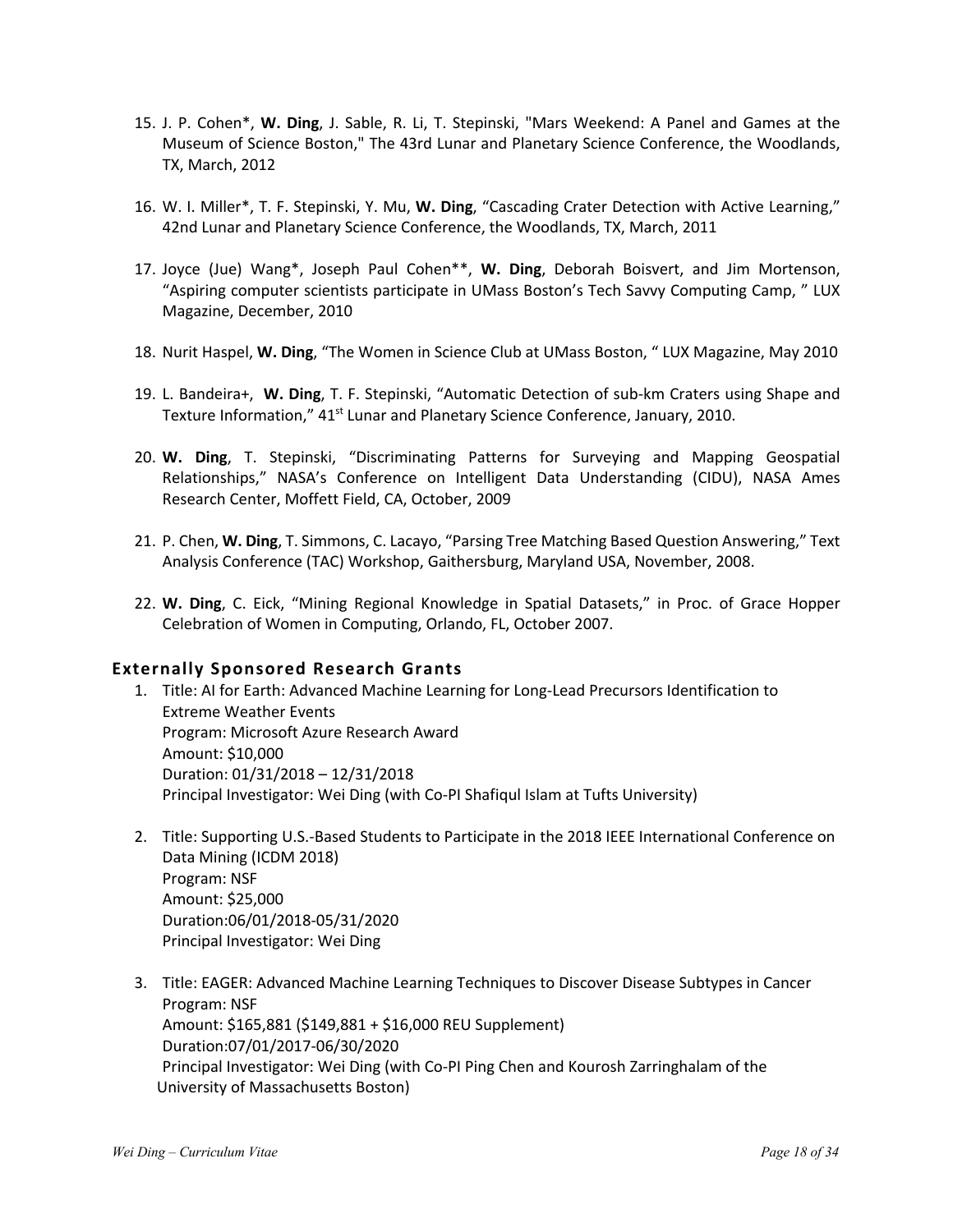- 15. J. P. Cohen\*, **W. Ding**, J. Sable, R. Li, T. Stepinski, "Mars Weekend: A Panel and Games at the Museum of Science Boston," The 43rd Lunar and Planetary Science Conference, the Woodlands, TX, March, 2012
- 16. W. I. Miller\*, T. F. Stepinski, Y. Mu, **W. Ding**, "Cascading Crater Detection with Active Learning," 42nd Lunar and Planetary Science Conference, the Woodlands, TX, March, 2011
- 17. Joyce (Jue) Wang\*, Joseph Paul Cohen\*\*, **W. Ding**, Deborah Boisvert, and Jim Mortenson, "Aspiring computer scientists participate in UMass Boston's Tech Savvy Computing Camp, " LUX Magazine, December, 2010
- 18. Nurit Haspel, **W. Ding**, "The Women in Science Club at UMass Boston, " LUX Magazine, May 2010
- 19. L. Bandeira+, **W. Ding**, T. F. Stepinski, "Automatic Detection of sub-km Craters using Shape and Texture Information," 41<sup>st</sup> Lunar and Planetary Science Conference, January, 2010.
- 20. **W. Ding**, T. Stepinski, "Discriminating Patterns for Surveying and Mapping Geospatial Relationships," NASA's Conference on Intelligent Data Understanding (CIDU), NASA Ames Research Center, Moffett Field, CA, October, 2009
- 21. P. Chen, **W. Ding**, T. Simmons, C. Lacayo, "Parsing Tree Matching Based Question Answering," Text Analysis Conference (TAC) Workshop, Gaithersburg, Maryland USA, November, 2008.
- 22. **W. Ding**, C. Eick, "Mining Regional Knowledge in Spatial Datasets," in Proc. of Grace Hopper Celebration of Women in Computing, Orlando, FL, October 2007.

#### **Externally Sponsored Research Grants**

- 1. Title: AI for Earth: Advanced Machine Learning for Long-Lead Precursors Identification to Extreme Weather Events Program: Microsoft Azure Research Award Amount: \$10,000 Duration: 01/31/2018 – 12/31/2018 Principal Investigator: Wei Ding (with Co-PI Shafiqul Islam at Tufts University)
- 2. Title: Supporting U.S.-Based Students to Participate in the 2018 IEEE International Conference on Data Mining (ICDM 2018) Program: NSF Amount: \$25,000 Duration:06/01/2018-05/31/2020 Principal Investigator: Wei Ding
- 3. Title: EAGER: Advanced Machine Learning Techniques to Discover Disease Subtypes in Cancer Program: NSF Amount: \$165,881 (\$149,881 + \$16,000 REU Supplement) Duration:07/01/2017-06/30/2020 Principal Investigator: Wei Ding (with Co-PI Ping Chen and Kourosh Zarringhalam of the University of Massachusetts Boston)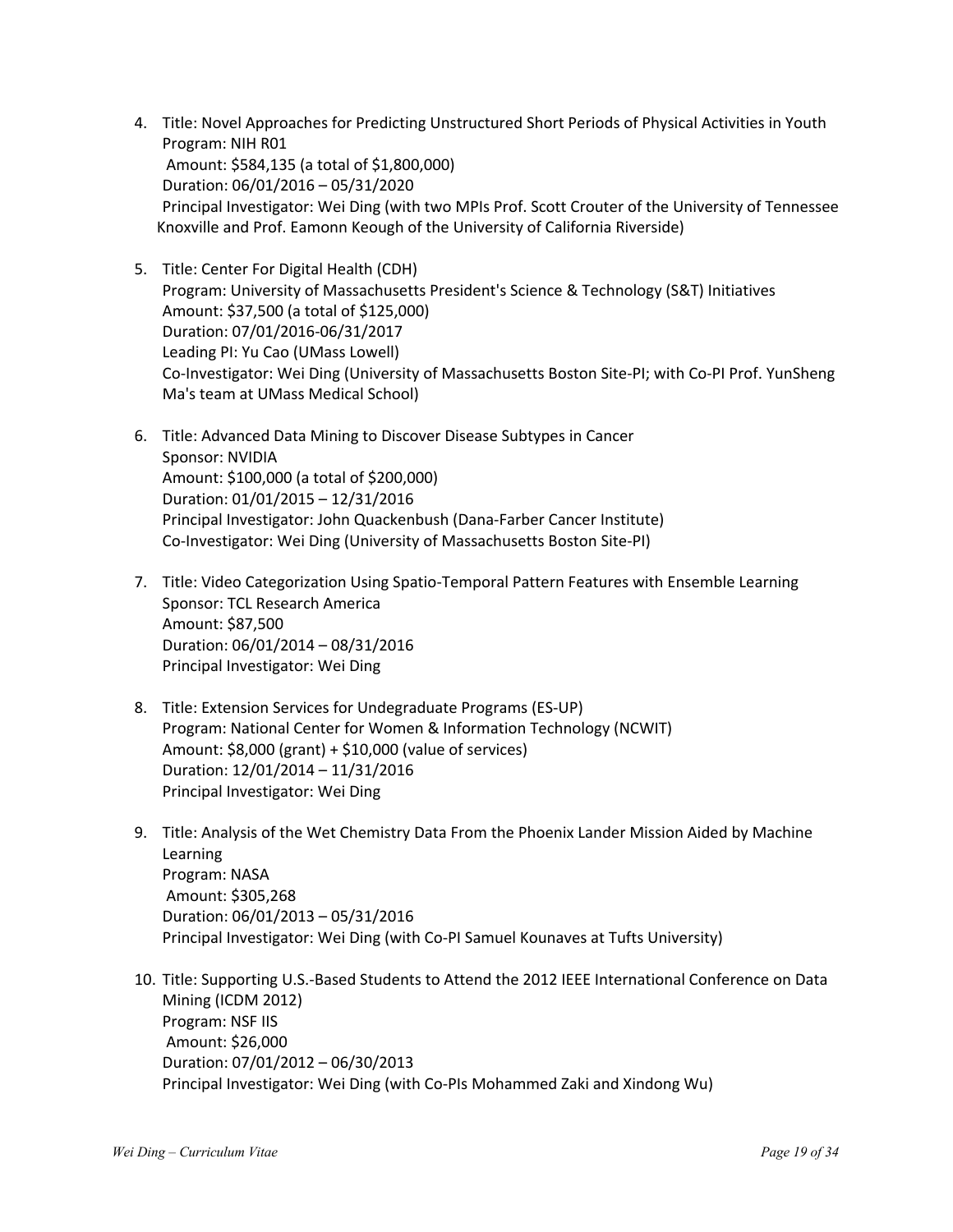- 4. Title: Novel Approaches for Predicting Unstructured Short Periods of Physical Activities in Youth Program: NIH R01 Amount: \$584,135 (a total of \$1,800,000) Duration: 06/01/2016 – 05/31/2020 Principal Investigator: Wei Ding (with two MPIs Prof. Scott Crouter of the University of Tennessee Knoxville and Prof. Eamonn Keough of the University of California Riverside)
- 5. Title: Center For Digital Health (CDH) Program: University of Massachusetts President's Science & Technology (S&T) Initiatives Amount: \$37,500 (a total of \$125,000) Duration: 07/01/2016-06/31/2017 Leading PI: Yu Cao (UMass Lowell) Co-Investigator: Wei Ding (University of Massachusetts Boston Site-PI; with Co-PI Prof. YunSheng Ma's team at UMass Medical School)
- 6. Title: Advanced Data Mining to Discover Disease Subtypes in Cancer Sponsor: NVIDIA Amount: \$100,000 (a total of \$200,000) Duration: 01/01/2015 – 12/31/2016 Principal Investigator: John Quackenbush (Dana-Farber Cancer Institute) Co-Investigator: Wei Ding (University of Massachusetts Boston Site-PI)
- 7. Title: Video Categorization Using Spatio-Temporal Pattern Features with Ensemble Learning Sponsor: TCL Research America Amount: \$87,500 Duration: 06/01/2014 – 08/31/2016 Principal Investigator: Wei Ding
- 8. Title: Extension Services for Undegraduate Programs (ES-UP) Program: National Center for Women & Information Technology (NCWIT) Amount: \$8,000 (grant) + \$10,000 (value of services) Duration: 12/01/2014 – 11/31/2016 Principal Investigator: Wei Ding
- 9. Title: Analysis of the Wet Chemistry Data From the Phoenix Lander Mission Aided by Machine Learning Program: NASA Amount: \$305,268 Duration: 06/01/2013 – 05/31/2016 Principal Investigator: Wei Ding (with Co-PI Samuel Kounaves at Tufts University)
- 10. Title: Supporting U.S.-Based Students to Attend the 2012 IEEE International Conference on Data Mining (ICDM 2012) Program: NSF IIS Amount: \$26,000 Duration: 07/01/2012 – 06/30/2013 Principal Investigator: Wei Ding (with Co-PIs Mohammed Zaki and Xindong Wu)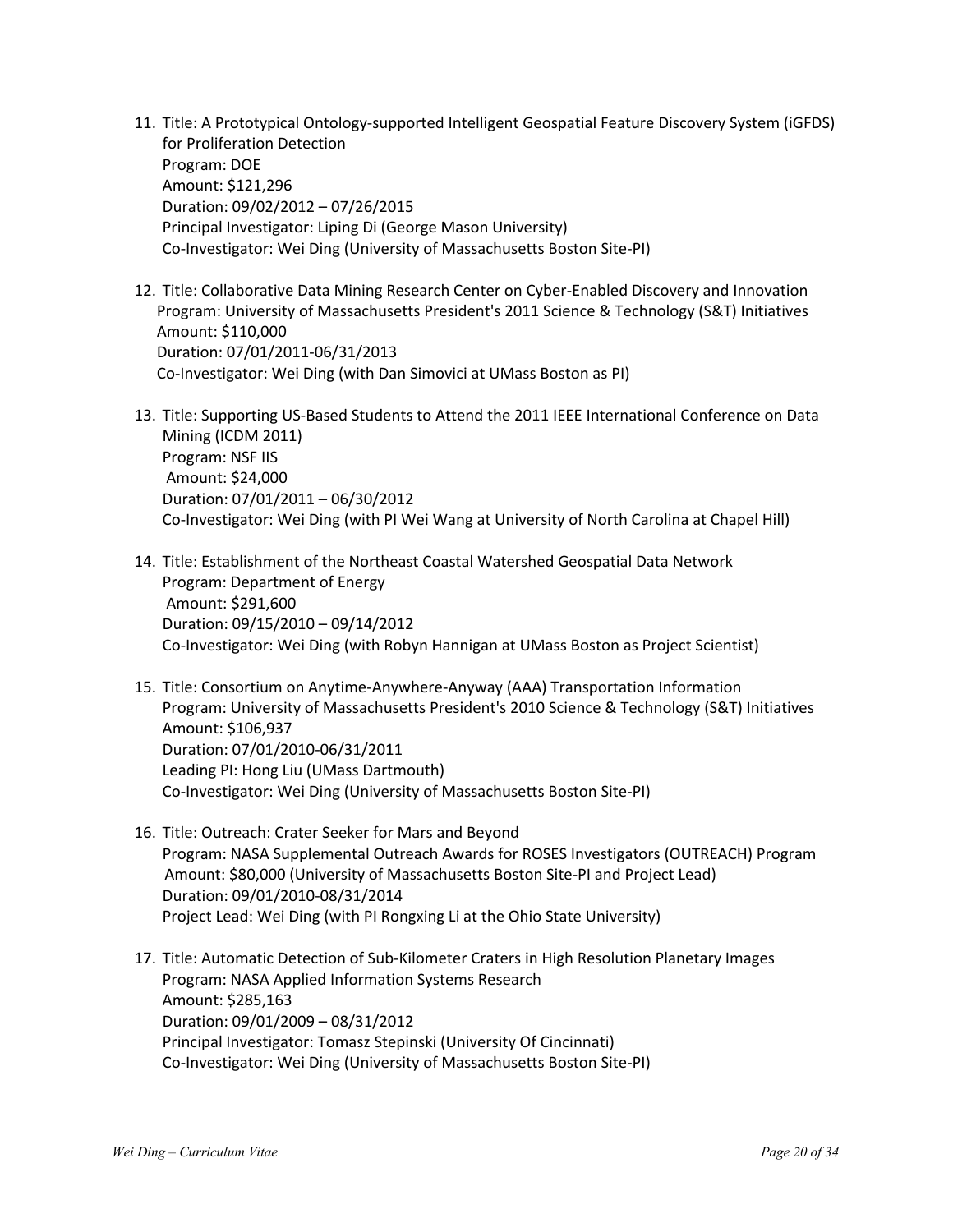- 11. Title: A Prototypical Ontology-supported Intelligent Geospatial Feature Discovery System (iGFDS) for Proliferation Detection Program: DOE Amount: \$121,296 Duration: 09/02/2012 – 07/26/2015 Principal Investigator: Liping Di (George Mason University) Co-Investigator: Wei Ding (University of Massachusetts Boston Site-PI)
- 12. Title: Collaborative Data Mining Research Center on Cyber-Enabled Discovery and Innovation Program: University of Massachusetts President's 2011 Science & Technology (S&T) Initiatives Amount: \$110,000 Duration: 07/01/2011-06/31/2013 Co-Investigator: Wei Ding (with Dan Simovici at UMass Boston as PI)
- 13. Title: Supporting US-Based Students to Attend the 2011 IEEE International Conference on Data Mining (ICDM 2011) Program: NSF IIS Amount: \$24,000 Duration: 07/01/2011 – 06/30/2012 Co-Investigator: Wei Ding (with PI Wei Wang at University of North Carolina at Chapel Hill)
- 14. Title: Establishment of the Northeast Coastal Watershed Geospatial Data Network Program: Department of Energy Amount: \$291,600 Duration: 09/15/2010 – 09/14/2012 Co-Investigator: Wei Ding (with Robyn Hannigan at UMass Boston as Project Scientist)
- 15. Title: Consortium on Anytime-Anywhere-Anyway (AAA) Transportation Information Program: University of Massachusetts President's 2010 Science & Technology (S&T) Initiatives Amount: \$106,937 Duration: 07/01/2010-06/31/2011 Leading PI: Hong Liu (UMass Dartmouth) Co-Investigator: Wei Ding (University of Massachusetts Boston Site-PI)
- 16. Title: Outreach: Crater Seeker for Mars and Beyond Program: NASA Supplemental Outreach Awards for ROSES Investigators (OUTREACH) Program Amount: \$80,000 (University of Massachusetts Boston Site-PI and Project Lead) Duration: 09/01/2010-08/31/2014 Project Lead: Wei Ding (with PI Rongxing Li at the Ohio State University)
- 17. Title: Automatic Detection of Sub-Kilometer Craters in High Resolution Planetary Images Program: NASA Applied Information Systems Research Amount: \$285,163 Duration: 09/01/2009 – 08/31/2012 Principal Investigator: Tomasz Stepinski (University Of Cincinnati) Co-Investigator: Wei Ding (University of Massachusetts Boston Site-PI)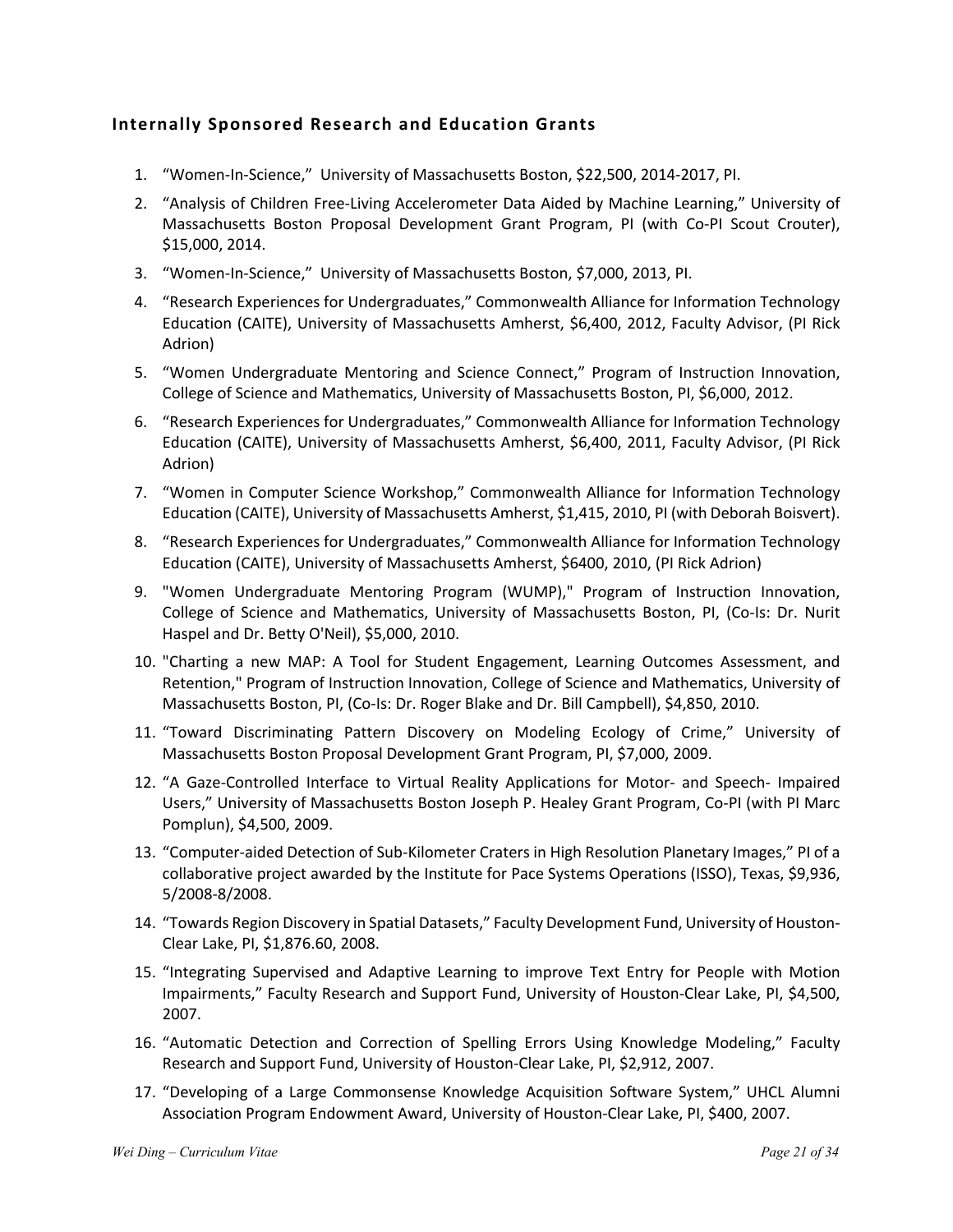## **Internally Sponsored Research and Education Grants**

- 1. "Women-In-Science," University of Massachusetts Boston, \$22,500, 2014-2017, PI.
- 2. "Analysis of Children Free-Living Accelerometer Data Aided by Machine Learning," University of Massachusetts Boston Proposal Development Grant Program, PI (with Co-PI Scout Crouter), \$15,000, 2014.
- 3. "Women-In-Science," University of Massachusetts Boston, \$7,000, 2013, PI.
- 4. "Research Experiences for Undergraduates," Commonwealth Alliance for Information Technology Education (CAITE), University of Massachusetts Amherst, \$6,400, 2012, Faculty Advisor, (PI Rick Adrion)
- 5. "Women Undergraduate Mentoring and Science Connect," Program of Instruction Innovation, College of Science and Mathematics, University of Massachusetts Boston, PI, \$6,000, 2012.
- 6. "Research Experiences for Undergraduates," Commonwealth Alliance for Information Technology Education (CAITE), University of Massachusetts Amherst, \$6,400, 2011, Faculty Advisor, (PI Rick Adrion)
- 7. "Women in Computer Science Workshop," Commonwealth Alliance for Information Technology Education (CAITE), University of Massachusetts Amherst, \$1,415, 2010, PI (with Deborah Boisvert).
- 8. "Research Experiences for Undergraduates," Commonwealth Alliance for Information Technology Education (CAITE), University of Massachusetts Amherst, \$6400, 2010, (PI Rick Adrion)
- 9. "Women Undergraduate Mentoring Program (WUMP)," Program of Instruction Innovation, College of Science and Mathematics, University of Massachusetts Boston, PI, (Co-Is: Dr. Nurit Haspel and Dr. Betty O'Neil), \$5,000, 2010.
- 10. "Charting a new MAP: A Tool for Student Engagement, Learning Outcomes Assessment, and Retention," Program of Instruction Innovation, College of Science and Mathematics, University of Massachusetts Boston, PI, (Co-Is: Dr. Roger Blake and Dr. Bill Campbell), \$4,850, 2010.
- 11. "Toward Discriminating Pattern Discovery on Modeling Ecology of Crime," University of Massachusetts Boston Proposal Development Grant Program, PI, \$7,000, 2009.
- 12. "A Gaze-Controlled Interface to Virtual Reality Applications for Motor- and Speech- Impaired Users," University of Massachusetts Boston Joseph P. Healey Grant Program, Co-PI (with PI Marc Pomplun), \$4,500, 2009.
- 13. "Computer-aided Detection of Sub-Kilometer Craters in High Resolution Planetary Images," PI of a collaborative project awarded by the Institute for Pace Systems Operations (ISSO), Texas, \$9,936, 5/2008-8/2008.
- 14. "Towards Region Discovery in Spatial Datasets," Faculty Development Fund, University of Houston-Clear Lake, PI, \$1,876.60, 2008.
- 15. "Integrating Supervised and Adaptive Learning to improve Text Entry for People with Motion Impairments," Faculty Research and Support Fund, University of Houston-Clear Lake, PI, \$4,500, 2007.
- 16. "Automatic Detection and Correction of Spelling Errors Using Knowledge Modeling," Faculty Research and Support Fund, University of Houston-Clear Lake, PI, \$2,912, 2007.
- 17. "Developing of a Large Commonsense Knowledge Acquisition Software System," UHCL Alumni Association Program Endowment Award, University of Houston-Clear Lake, PI, \$400, 2007.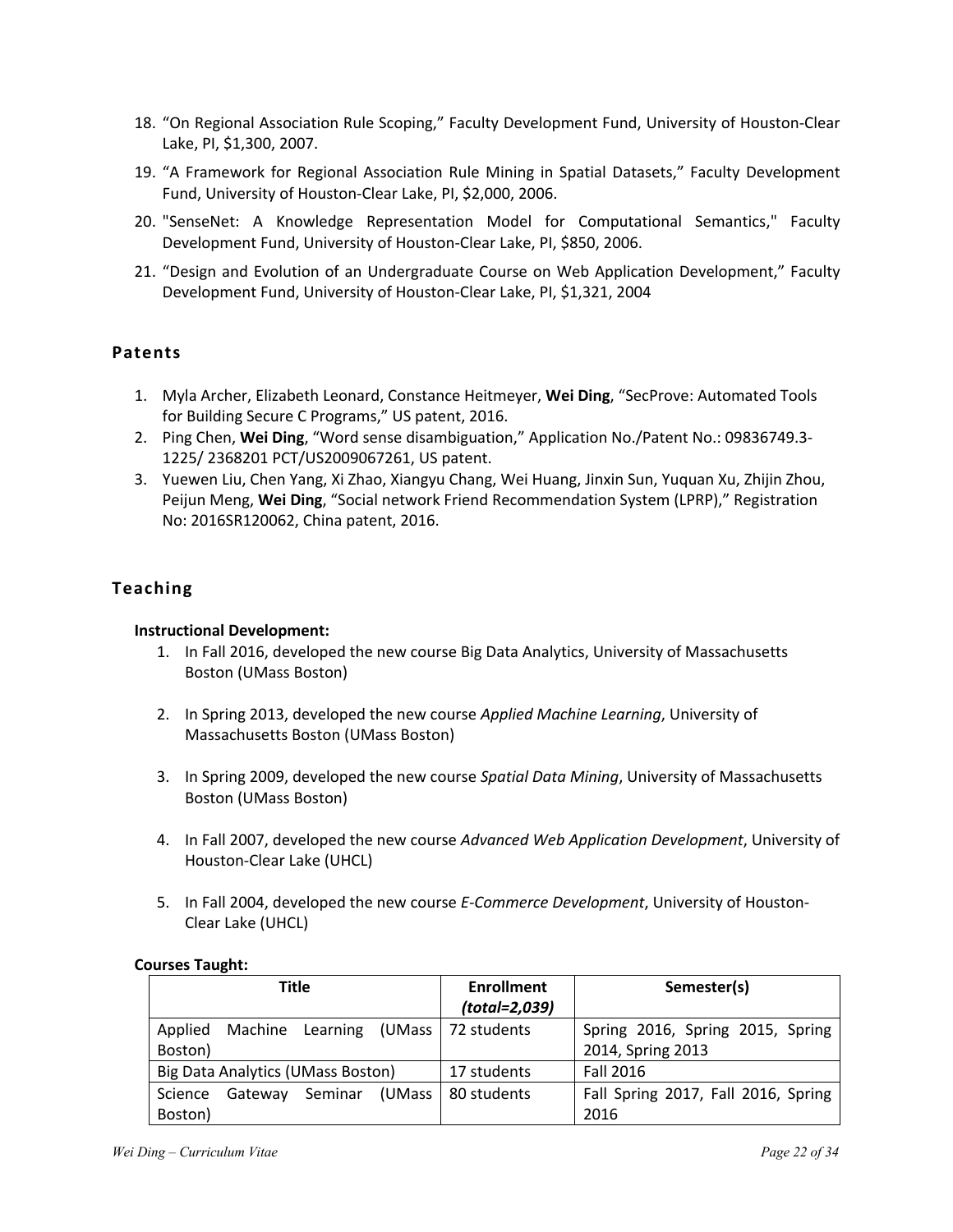- 18. "On Regional Association Rule Scoping," Faculty Development Fund, University of Houston-Clear Lake, PI, \$1,300, 2007.
- 19. "A Framework for Regional Association Rule Mining in Spatial Datasets," Faculty Development Fund, University of Houston-Clear Lake, PI, \$2,000, 2006.
- 20. "SenseNet: A Knowledge Representation Model for Computational Semantics," Faculty Development Fund, University of Houston-Clear Lake, PI, \$850, 2006.
- 21. "Design and Evolution of an Undergraduate Course on Web Application Development," Faculty Development Fund, University of Houston-Clear Lake, PI, \$1,321, 2004

### **Patents**

- 1. Myla Archer, Elizabeth Leonard, Constance Heitmeyer, **Wei Ding**, "SecProve: Automated Tools for Building Secure C Programs," US patent, 2016.
- 2. Ping Chen, **Wei Ding**, "Word sense disambiguation," Application No./Patent No.: 09836749.3- 1225/ 2368201 PCT/US2009067261, US patent.
- 3. Yuewen Liu, Chen Yang, Xi Zhao, Xiangyu Chang, Wei Huang, Jinxin Sun, Yuquan Xu, Zhijin Zhou, Peijun Meng, **Wei Ding**, "Social network Friend Recommendation System (LPRP)," Registration No: 2016SR120062, China patent, 2016.

## **Teaching**

#### **Instructional Development:**

- 1. In Fall 2016, developed the new course Big Data Analytics, University of Massachusetts Boston (UMass Boston)
- 2. In Spring 2013, developed the new course *Applied Machine Learning*, University of Massachusetts Boston (UMass Boston)
- 3. In Spring 2009, developed the new course *Spatial Data Mining*, University of Massachusetts Boston (UMass Boston)
- 4. In Fall 2007, developed the new course *Advanced Web Application Development*, University of Houston-Clear Lake (UHCL)
- 5. In Fall 2004, developed the new course *E-Commerce Development*, University of Houston-Clear Lake (UHCL)

#### **Courses Taught:**

| <b>Title</b>                      |         |         |        | <b>Enrollment</b>                     | Semester(s)                         |
|-----------------------------------|---------|---------|--------|---------------------------------------|-------------------------------------|
|                                   |         |         |        | (total=2,039)                         |                                     |
| Applied                           |         |         |        | Machine Learning (UMass   72 students | Spring 2016, Spring 2015, Spring    |
| Boston)                           |         |         |        |                                       | 2014, Spring 2013                   |
| Big Data Analytics (UMass Boston) |         |         |        | 17 students                           | <b>Fall 2016</b>                    |
| Science                           | Gateway | Seminar | (UMass | 80 students                           | Fall Spring 2017, Fall 2016, Spring |
| Boston)                           |         |         |        |                                       | 2016                                |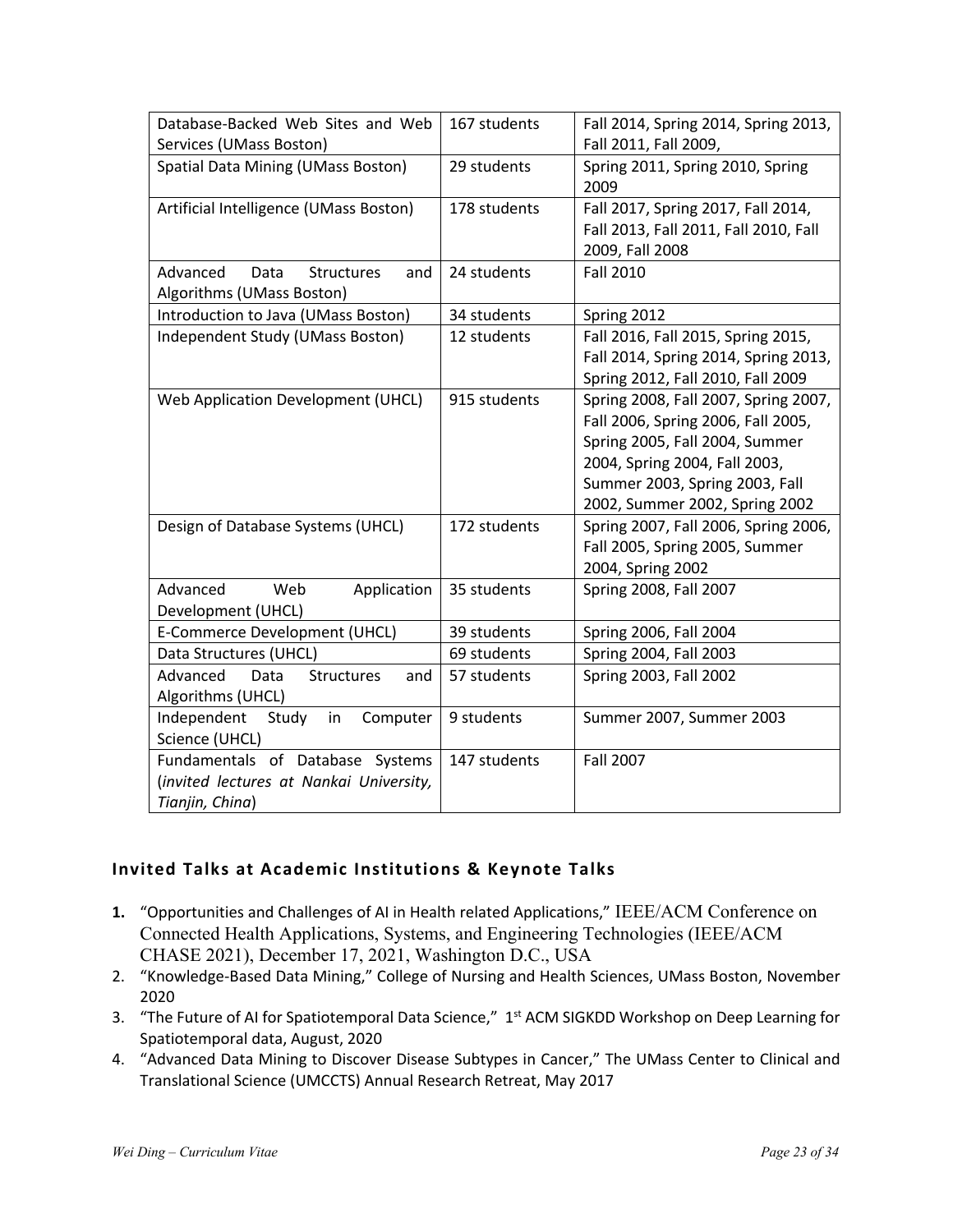| Database-Backed Web Sites and Web       | 167 students | Fall 2014, Spring 2014, Spring 2013,  |
|-----------------------------------------|--------------|---------------------------------------|
| Services (UMass Boston)                 |              | Fall 2011, Fall 2009,                 |
| Spatial Data Mining (UMass Boston)      | 29 students  | Spring 2011, Spring 2010, Spring      |
|                                         |              | 2009                                  |
| Artificial Intelligence (UMass Boston)  | 178 students | Fall 2017, Spring 2017, Fall 2014,    |
|                                         |              | Fall 2013, Fall 2011, Fall 2010, Fall |
|                                         |              | 2009, Fall 2008                       |
| Advanced<br>Data<br>Structures<br>and   | 24 students  | <b>Fall 2010</b>                      |
| Algorithms (UMass Boston)               |              |                                       |
| Introduction to Java (UMass Boston)     | 34 students  | Spring 2012                           |
| Independent Study (UMass Boston)        | 12 students  | Fall 2016, Fall 2015, Spring 2015,    |
|                                         |              | Fall 2014, Spring 2014, Spring 2013,  |
|                                         |              | Spring 2012, Fall 2010, Fall 2009     |
| Web Application Development (UHCL)      | 915 students | Spring 2008, Fall 2007, Spring 2007,  |
|                                         |              | Fall 2006, Spring 2006, Fall 2005,    |
|                                         |              | Spring 2005, Fall 2004, Summer        |
|                                         |              | 2004, Spring 2004, Fall 2003,         |
|                                         |              | Summer 2003, Spring 2003, Fall        |
|                                         |              | 2002, Summer 2002, Spring 2002        |
| Design of Database Systems (UHCL)       | 172 students | Spring 2007, Fall 2006, Spring 2006,  |
|                                         |              | Fall 2005, Spring 2005, Summer        |
|                                         |              | 2004, Spring 2002                     |
| Advanced<br>Web<br>Application          | 35 students  | Spring 2008, Fall 2007                |
| Development (UHCL)                      |              |                                       |
| E-Commerce Development (UHCL)           | 39 students  | Spring 2006, Fall 2004                |
| Data Structures (UHCL)                  | 69 students  | Spring 2004, Fall 2003                |
| Advanced<br>Data<br>Structures<br>and   | 57 students  | Spring 2003, Fall 2002                |
| Algorithms (UHCL)                       |              |                                       |
| Independent<br>Study<br>Computer<br>in  | 9 students   | Summer 2007, Summer 2003              |
| Science (UHCL)                          |              |                                       |
| Fundamentals of Database Systems        | 147 students | <b>Fall 2007</b>                      |
| (invited lectures at Nankai University, |              |                                       |
| Tianjin, China)                         |              |                                       |

## **Invited Talks at Academic Institutions & Keynote Talks**

- **1.** "Opportunities and Challenges of AI in Health related Applications," IEEE/ACM Conference on Connected Health Applications, Systems, and Engineering Technologies (IEEE/ACM CHASE 2021), December 17, 2021, Washington D.C., USA
- 2. "Knowledge-Based Data Mining," College of Nursing and Health Sciences, UMass Boston, November 2020
- 3. "The Future of AI for Spatiotemporal Data Science," 1<sup>st</sup> ACM SIGKDD Workshop on Deep Learning for Spatiotemporal data, August, 2020
- 4. "Advanced Data Mining to Discover Disease Subtypes in Cancer," The UMass Center to Clinical and Translational Science (UMCCTS) Annual Research Retreat, May 2017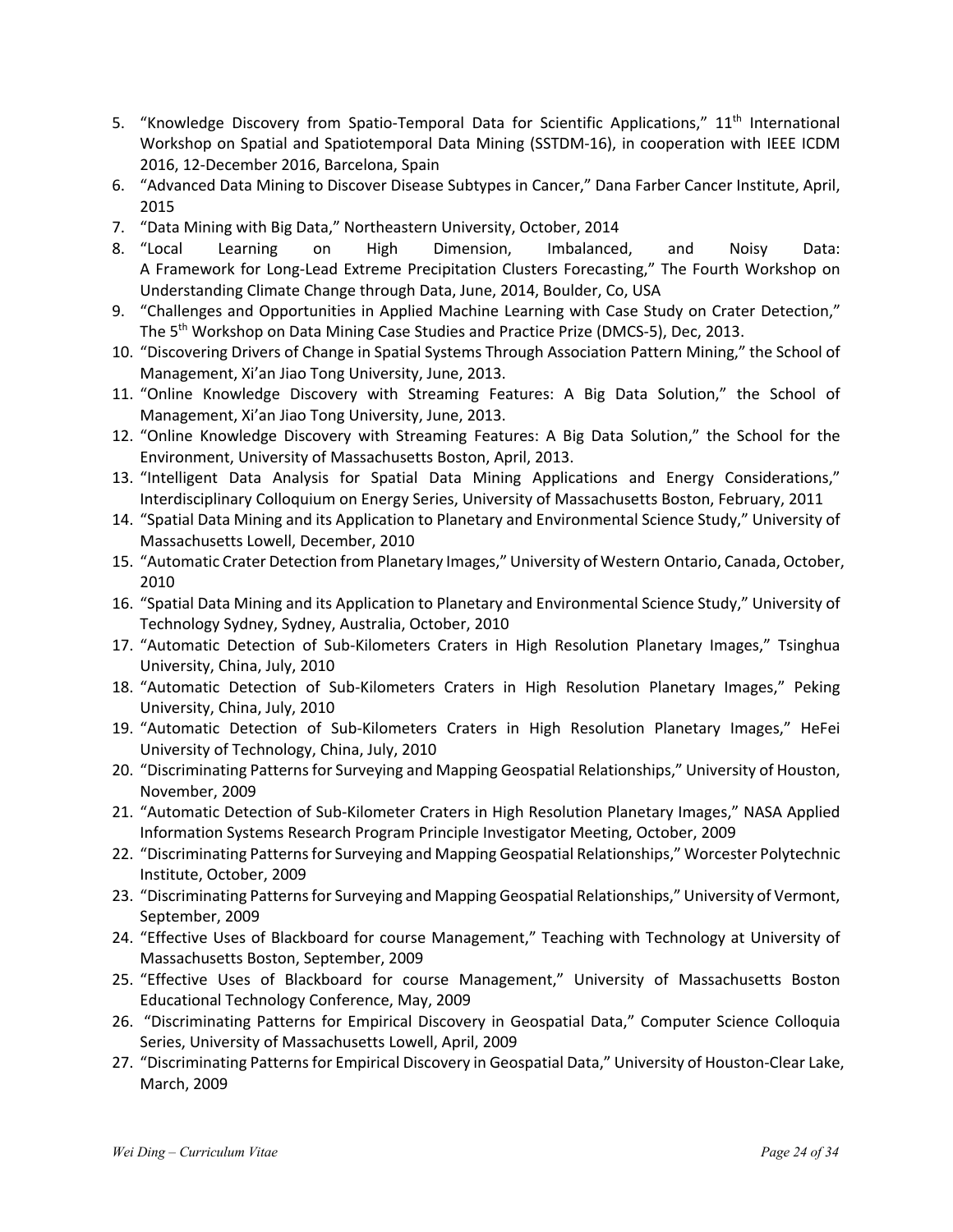- 5. "Knowledge Discovery from Spatio-Temporal Data for Scientific Applications," 11<sup>th</sup> International Workshop on Spatial and Spatiotemporal Data Mining (SSTDM-16), in cooperation with IEEE ICDM 2016, 12-December 2016, Barcelona, Spain
- 6. "Advanced Data Mining to Discover Disease Subtypes in Cancer," Dana Farber Cancer Institute, April, 2015
- 7. "Data Mining with Big Data," Northeastern University, October, 2014
- 8. "Local Learning on High Dimension, Imbalanced, and Noisy Data: A Framework for Long-Lead Extreme Precipitation Clusters Forecasting," The Fourth Workshop on Understanding Climate Change through Data, June, 2014, Boulder, Co, USA
- 9. "Challenges and Opportunities in Applied Machine Learning with Case Study on Crater Detection," The 5<sup>th</sup> Workshop on Data Mining Case Studies and Practice Prize (DMCS-5), Dec, 2013.
- 10. "Discovering Drivers of Change in Spatial Systems Through Association Pattern Mining," the School of Management, Xi'an Jiao Tong University, June, 2013.
- 11. "Online Knowledge Discovery with Streaming Features: A Big Data Solution," the School of Management, Xi'an Jiao Tong University, June, 2013.
- 12. "Online Knowledge Discovery with Streaming Features: A Big Data Solution," the School for the Environment, University of Massachusetts Boston, April, 2013.
- 13. "Intelligent Data Analysis for Spatial Data Mining Applications and Energy Considerations," Interdisciplinary Colloquium on Energy Series, University of Massachusetts Boston, February, 2011
- 14. "Spatial Data Mining and its Application to Planetary and Environmental Science Study," University of Massachusetts Lowell, December, 2010
- 15. "Automatic Crater Detection from Planetary Images," University of Western Ontario, Canada, October, 2010
- 16. "Spatial Data Mining and its Application to Planetary and Environmental Science Study," University of Technology Sydney, Sydney, Australia, October, 2010
- 17. "Automatic Detection of Sub-Kilometers Craters in High Resolution Planetary Images," Tsinghua University, China, July, 2010
- 18. "Automatic Detection of Sub-Kilometers Craters in High Resolution Planetary Images," Peking University, China, July, 2010
- 19. "Automatic Detection of Sub-Kilometers Craters in High Resolution Planetary Images," HeFei University of Technology, China, July, 2010
- 20. "Discriminating Patterns for Surveying and Mapping Geospatial Relationships," University of Houston, November, 2009
- 21. "Automatic Detection of Sub-Kilometer Craters in High Resolution Planetary Images," NASA Applied Information Systems Research Program Principle Investigator Meeting, October, 2009
- 22. "Discriminating Patterns for Surveying and Mapping Geospatial Relationships," Worcester Polytechnic Institute, October, 2009
- 23. "Discriminating Patterns for Surveying and Mapping Geospatial Relationships," University of Vermont, September, 2009
- 24. "Effective Uses of Blackboard for course Management," Teaching with Technology at University of Massachusetts Boston, September, 2009
- 25. "Effective Uses of Blackboard for course Management," University of Massachusetts Boston Educational Technology Conference, May, 2009
- 26. "Discriminating Patterns for Empirical Discovery in Geospatial Data," Computer Science Colloquia Series, University of Massachusetts Lowell, April, 2009
- 27. "Discriminating Patterns for Empirical Discovery in Geospatial Data," University of Houston-Clear Lake, March, 2009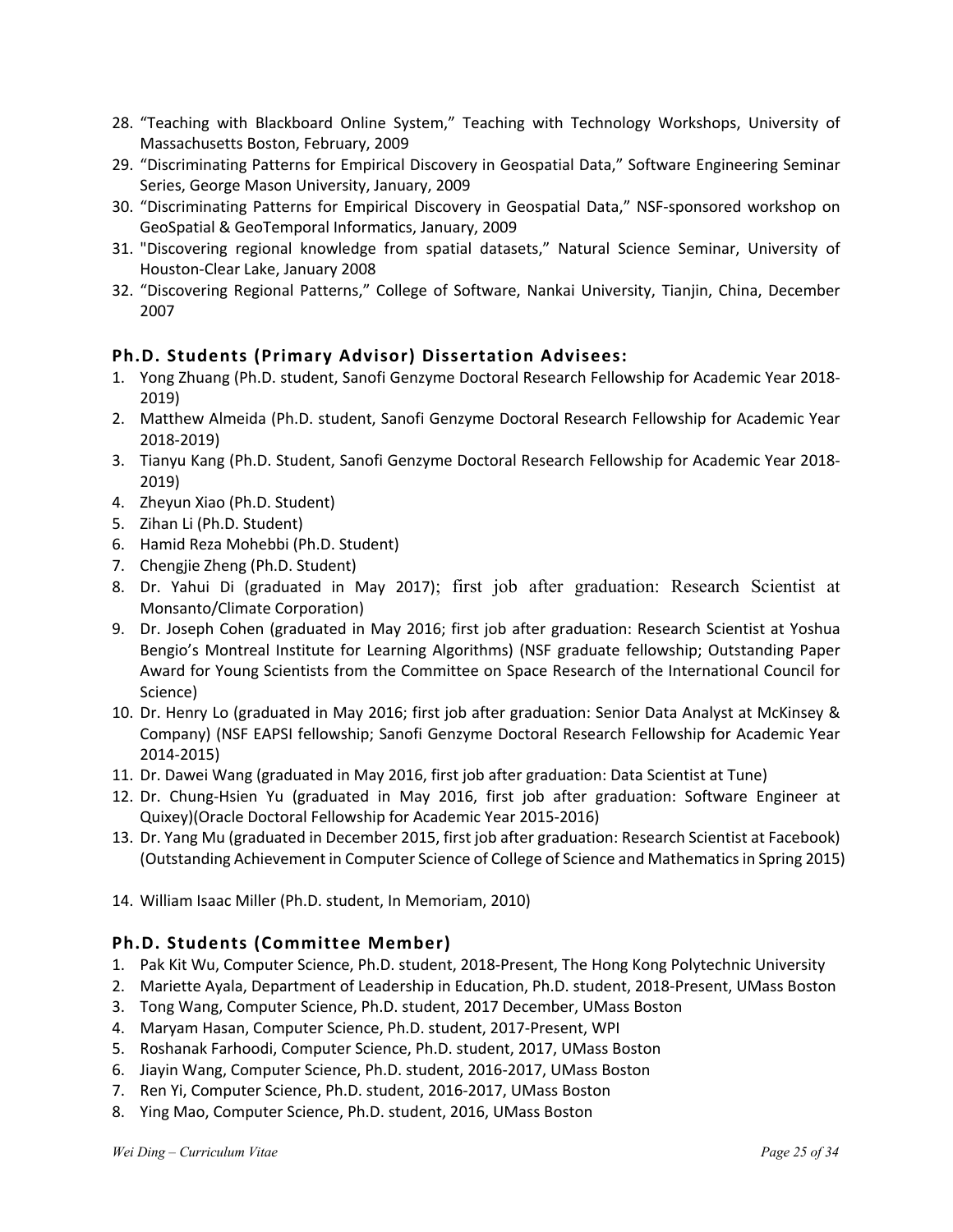- 28. "Teaching with Blackboard Online System," Teaching with Technology Workshops, University of Massachusetts Boston, February, 2009
- 29. "Discriminating Patterns for Empirical Discovery in Geospatial Data," Software Engineering Seminar Series, George Mason University, January, 2009
- 30. "Discriminating Patterns for Empirical Discovery in Geospatial Data," NSF-sponsored workshop on GeoSpatial & GeoTemporal Informatics, January, 2009
- 31. "Discovering regional knowledge from spatial datasets," Natural Science Seminar, University of Houston-Clear Lake, January 2008
- 32. "Discovering Regional Patterns," College of Software, Nankai University, Tianjin, China, December 2007

## **Ph.D. Students (Primary Advisor) Dissertation Advisees:**

- 1. Yong Zhuang (Ph.D. student, Sanofi Genzyme Doctoral Research Fellowship for Academic Year 2018- 2019)
- 2. Matthew Almeida (Ph.D. student, Sanofi Genzyme Doctoral Research Fellowship for Academic Year 2018-2019)
- 3. Tianyu Kang (Ph.D. Student, Sanofi Genzyme Doctoral Research Fellowship for Academic Year 2018- 2019)
- 4. Zheyun Xiao (Ph.D. Student)
- 5. Zihan Li (Ph.D. Student)
- 6. Hamid Reza Mohebbi (Ph.D. Student)
- 7. Chengjie Zheng (Ph.D. Student)
- 8. Dr. Yahui Di (graduated in May 2017); first job after graduation: Research Scientist at Monsanto/Climate Corporation)
- 9. Dr. Joseph Cohen (graduated in May 2016; first job after graduation: Research Scientist at Yoshua Bengio's Montreal Institute for Learning Algorithms) (NSF graduate fellowship; Outstanding Paper Award for Young Scientists from the Committee on Space Research of the International Council for Science)
- 10. Dr. Henry Lo (graduated in May 2016; first job after graduation: Senior Data Analyst at McKinsey & Company) (NSF EAPSI fellowship; Sanofi Genzyme Doctoral Research Fellowship for Academic Year 2014-2015)
- 11. Dr. Dawei Wang (graduated in May 2016, first job after graduation: Data Scientist at Tune)
- 12. Dr. Chung-Hsien Yu (graduated in May 2016, first job after graduation: Software Engineer at Quixey)(Oracle Doctoral Fellowship for Academic Year 2015-2016)
- 13. Dr. Yang Mu (graduated in December 2015, first job after graduation: Research Scientist at Facebook) (Outstanding Achievement in Computer Science of College of Science and Mathematics in Spring 2015)
- 14. William Isaac Miller (Ph.D. student, In Memoriam, 2010)

## **Ph.D. Students (Committee Member)**

- 1. Pak Kit Wu, Computer Science, Ph.D. student, 2018-Present, The Hong Kong Polytechnic University
- 2. Mariette Ayala, Department of Leadership in Education, Ph.D. student, 2018-Present, UMass Boston
- 3. Tong Wang, Computer Science, Ph.D. student, 2017 December, UMass Boston
- 4. Maryam Hasan, Computer Science, Ph.D. student, 2017-Present, WPI
- 5. Roshanak Farhoodi, Computer Science, Ph.D. student, 2017, UMass Boston
- 6. Jiayin Wang, Computer Science, Ph.D. student, 2016-2017, UMass Boston
- 7. Ren Yi, Computer Science, Ph.D. student, 2016-2017, UMass Boston
- 8. Ying Mao, Computer Science, Ph.D. student, 2016, UMass Boston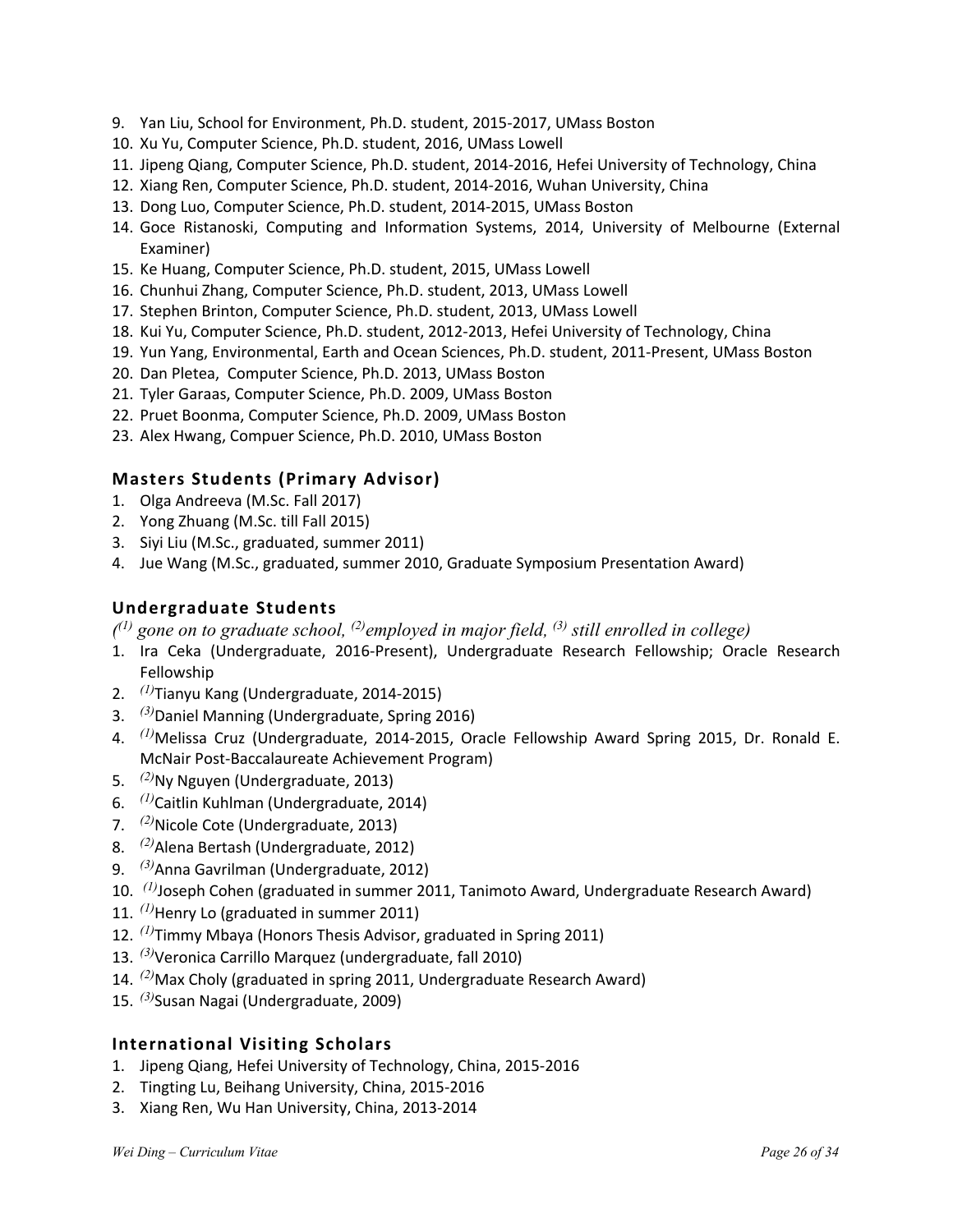- 9. Yan Liu, School for Environment, Ph.D. student, 2015-2017, UMass Boston
- 10. Xu Yu, Computer Science, Ph.D. student, 2016, UMass Lowell
- 11. Jipeng Qiang, Computer Science, Ph.D. student, 2014-2016, Hefei University of Technology, China
- 12. Xiang Ren, Computer Science, Ph.D. student, 2014-2016, Wuhan University, China
- 13. Dong Luo, Computer Science, Ph.D. student, 2014-2015, UMass Boston
- 14. Goce Ristanoski, Computing and Information Systems, 2014, University of Melbourne (External Examiner)
- 15. Ke Huang, Computer Science, Ph.D. student, 2015, UMass Lowell
- 16. Chunhui Zhang, Computer Science, Ph.D. student, 2013, UMass Lowell
- 17. Stephen Brinton, Computer Science, Ph.D. student, 2013, UMass Lowell
- 18. Kui Yu, Computer Science, Ph.D. student, 2012-2013, Hefei University of Technology, China
- 19. Yun Yang, Environmental, Earth and Ocean Sciences, Ph.D. student, 2011-Present, UMass Boston
- 20. Dan Pletea, Computer Science, Ph.D. 2013, UMass Boston
- 21. Tyler Garaas, Computer Science, Ph.D. 2009, UMass Boston
- 22. Pruet Boonma, Computer Science, Ph.D. 2009, UMass Boston
- 23. Alex Hwang, Compuer Science, Ph.D. 2010, UMass Boston

### **Masters Students (Primary Advisor)**

- 1. Olga Andreeva (M.Sc. Fall 2017)
- 2. Yong Zhuang (M.Sc. till Fall 2015)
- 3. Siyi Liu (M.Sc., graduated, summer 2011)
- 4. Jue Wang (M.Sc., graduated, summer 2010, Graduate Symposium Presentation Award)

#### **Undergraduate Students**

*( (1) gone on to graduate school, (2)employed in major field, (3) still enrolled in college)*

- 1. Ira Ceka (Undergraduate, 2016-Present), Undergraduate Research Fellowship; Oracle Research Fellowship
- 2. *(1)* Tianyu Kang (Undergraduate, 2014-2015)
- 3. *(3)*Daniel Manning (Undergraduate, Spring 2016)
- 4. *(1)* Melissa Cruz (Undergraduate, 2014-2015, Oracle Fellowship Award Spring 2015, Dr. Ronald E. McNair Post-Baccalaureate Achievement Program)
- 5. *(2)* Ny Nguyen (Undergraduate, 2013)
- 6. *(1)* Caitlin Kuhlman (Undergraduate, 2014)
- 7. *(2)* Nicole Cote (Undergraduate, 2013)
- 8. *(2)* Alena Bertash (Undergraduate, 2012)
- 9. *(3)*Anna Gavrilman (Undergraduate, 2012)
- 10. *(1)*Joseph Cohen (graduated in summer 2011, Tanimoto Award, Undergraduate Research Award)
- 11. *(1)*Henry Lo (graduated in summer 2011)
- 12. *(1)*Timmy Mbaya (Honors Thesis Advisor, graduated in Spring 2011)
- 13. *(3)*Veronica Carrillo Marquez (undergraduate, fall 2010)
- 14. *(2)*Max Choly (graduated in spring 2011, Undergraduate Research Award)
- 15. *(3)*Susan Nagai (Undergraduate, 2009)

#### **International Visiting Scholars**

- 1. Jipeng Qiang, Hefei University of Technology, China, 2015-2016
- 2. Tingting Lu, Beihang University, China, 2015-2016
- 3. Xiang Ren, Wu Han University, China, 2013-2014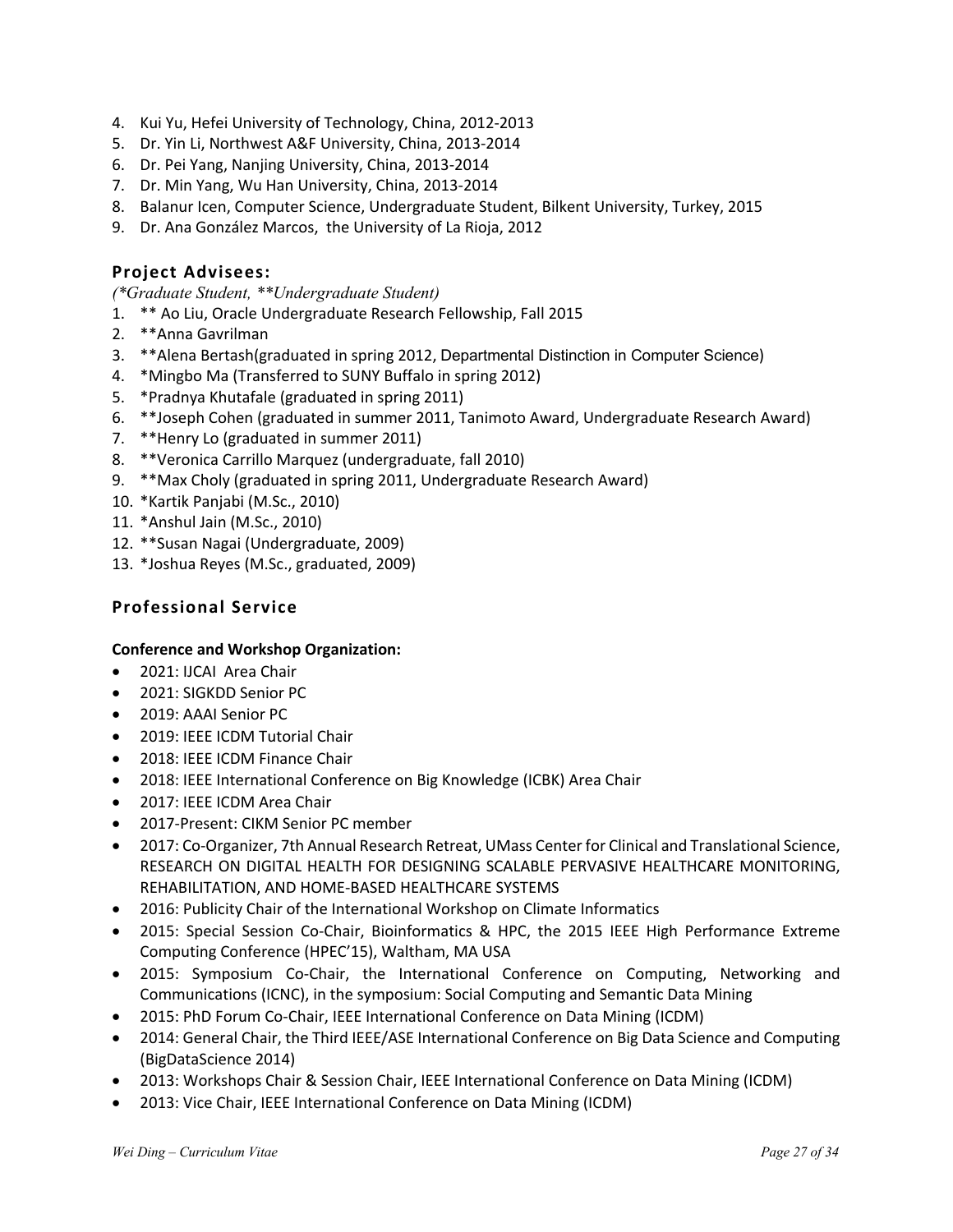- 4. Kui Yu, Hefei University of Technology, China, 2012-2013
- 5. Dr. Yin Li, Northwest A&F University, China, 2013-2014
- 6. Dr. Pei Yang, Nanjing University, China, 2013-2014
- 7. Dr. Min Yang, Wu Han University, China, 2013-2014
- 8. Balanur Icen, Computer Science, Undergraduate Student, Bilkent University, Turkey, 2015
- 9. Dr. Ana González Marcos, the University of La Rioja, 2012

### **Project Advisees:**

*(\*Graduate Student, \*\*Undergraduate Student)*

- 1. \*\* Ao Liu, Oracle Undergraduate Research Fellowship, Fall 2015
- 2. \*\*Anna Gavrilman
- 3. \*\*Alena Bertash(graduated in spring 2012, Departmental Distinction in Computer Science)
- 4. \*Mingbo Ma (Transferred to SUNY Buffalo in spring 2012)
- 5. \*Pradnya Khutafale (graduated in spring 2011)
- 6. \*\*Joseph Cohen (graduated in summer 2011, Tanimoto Award, Undergraduate Research Award)
- 7. \*\*Henry Lo (graduated in summer 2011)
- 8. \*\*Veronica Carrillo Marquez (undergraduate, fall 2010)
- 9. \*\*Max Choly (graduated in spring 2011, Undergraduate Research Award)
- 10. \*Kartik Panjabi (M.Sc., 2010)
- 11. \*Anshul Jain (M.Sc., 2010)
- 12. \*\*Susan Nagai (Undergraduate, 2009)
- 13. \*Joshua Reyes (M.Sc., graduated, 2009)

## **Professional Service**

#### **Conference and Workshop Organization:**

- 2021: IJCAI Area Chair
- 2021: SIGKDD Senior PC
- 2019: AAAI Senior PC
- 2019: IEEE ICDM Tutorial Chair
- 2018: IEEE ICDM Finance Chair
- 2018: IEEE International Conference on Big Knowledge (ICBK) Area Chair
- 2017: IEEE ICDM Area Chair
- 2017-Present: CIKM Senior PC member
- 2017: Co-Organizer, 7th Annual Research Retreat, UMass Center for Clinical and Translational Science, RESEARCH ON DIGITAL HEALTH FOR DESIGNING SCALABLE PERVASIVE HEALTHCARE MONITORING, REHABILITATION, AND HOME-BASED HEALTHCARE SYSTEMS
- 2016: Publicity Chair of the International Workshop on Climate Informatics
- 2015: Special Session Co-Chair, Bioinformatics & HPC, the 2015 IEEE High Performance Extreme Computing Conference (HPEC'15), Waltham, MA USA
- 2015: Symposium Co-Chair, the International Conference on Computing, Networking and Communications (ICNC), in the symposium: Social Computing and Semantic Data Mining
- 2015: PhD Forum Co-Chair, IEEE International Conference on Data Mining (ICDM)
- 2014: General Chair, the Third IEEE/ASE International Conference on Big Data Science and Computing (BigDataScience 2014)
- 2013: Workshops Chair & Session Chair, IEEE International Conference on Data Mining (ICDM)
- 2013: Vice Chair, IEEE International Conference on Data Mining (ICDM)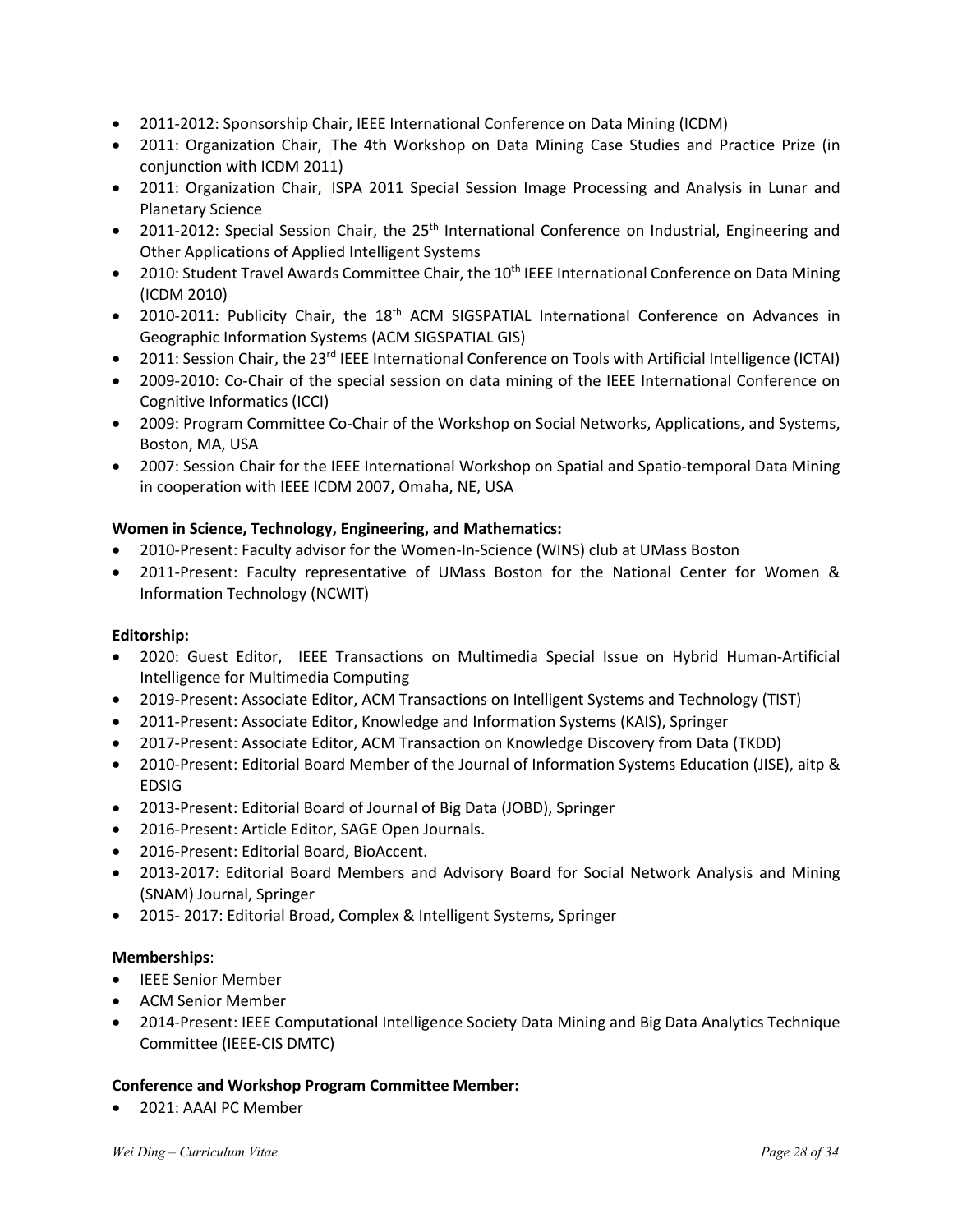- 2011-2012: Sponsorship Chair, IEEE International Conference on Data Mining (ICDM)
- 2011: Organization Chair, The 4th Workshop on Data Mining Case Studies and Practice Prize (in conjunction with ICDM 2011)
- 2011: Organization Chair, ISPA 2011 Special Session Image Processing and Analysis in Lunar and Planetary Science
- 2011-2012: Special Session Chair, the 25<sup>th</sup> International Conference on Industrial, Engineering and Other Applications of Applied Intelligent Systems
- 2010: Student Travel Awards Committee Chair, the 10<sup>th</sup> IEEE International Conference on Data Mining (ICDM 2010)
- 2010-2011: Publicity Chair, the 18<sup>th</sup> ACM SIGSPATIAL International Conference on Advances in Geographic Information Systems (ACM SIGSPATIAL GIS)
- 2011: Session Chair, the 23<sup>rd</sup> IEEE International Conference on Tools with Artificial Intelligence (ICTAI)
- 2009-2010: Co-Chair of the special session on data mining of the IEEE International Conference on Cognitive Informatics (ICCI)
- 2009: Program Committee Co-Chair of the Workshop on Social Networks, Applications, and Systems, Boston, MA, USA
- 2007: Session Chair for the IEEE International Workshop on Spatial and Spatio-temporal Data Mining in cooperation with IEEE ICDM 2007, Omaha, NE, USA

#### **Women in Science, Technology, Engineering, and Mathematics:**

- 2010-Present: Faculty advisor for the Women-In-Science (WINS) club at UMass Boston
- 2011-Present: Faculty representative of UMass Boston for the National Center for Women & Information Technology (NCWIT)

#### **Editorship:**

- 2020: Guest Editor, IEEE Transactions on Multimedia Special Issue on Hybrid Human-Artificial Intelligence for Multimedia Computing
- 2019-Present: Associate Editor, ACM Transactions on Intelligent Systems and Technology (TIST)
- 2011-Present: Associate Editor, Knowledge and Information Systems (KAIS), Springer
- 2017-Present: Associate Editor, ACM Transaction on Knowledge Discovery from Data (TKDD)
- 2010-Present: Editorial Board Member of the Journal of Information Systems Education (JISE), aitp & EDSIG
- 2013-Present: Editorial Board of Journal of Big Data (JOBD), Springer
- 2016-Present: Article Editor, SAGE Open Journals.
- 2016-Present: Editorial Board, BioAccent.
- 2013-2017: Editorial Board Members and Advisory Board for Social Network Analysis and Mining (SNAM) Journal, Springer
- 2015- 2017: Editorial Broad, Complex & Intelligent Systems, Springer

#### **Memberships**:

- IEEE Senior Member
- ACM Senior Member
- 2014-Present: IEEE Computational Intelligence Society Data Mining and Big Data Analytics Technique Committee (IEEE-CIS DMTC)

#### **Conference and Workshop Program Committee Member:**

• 2021: AAAI PC Member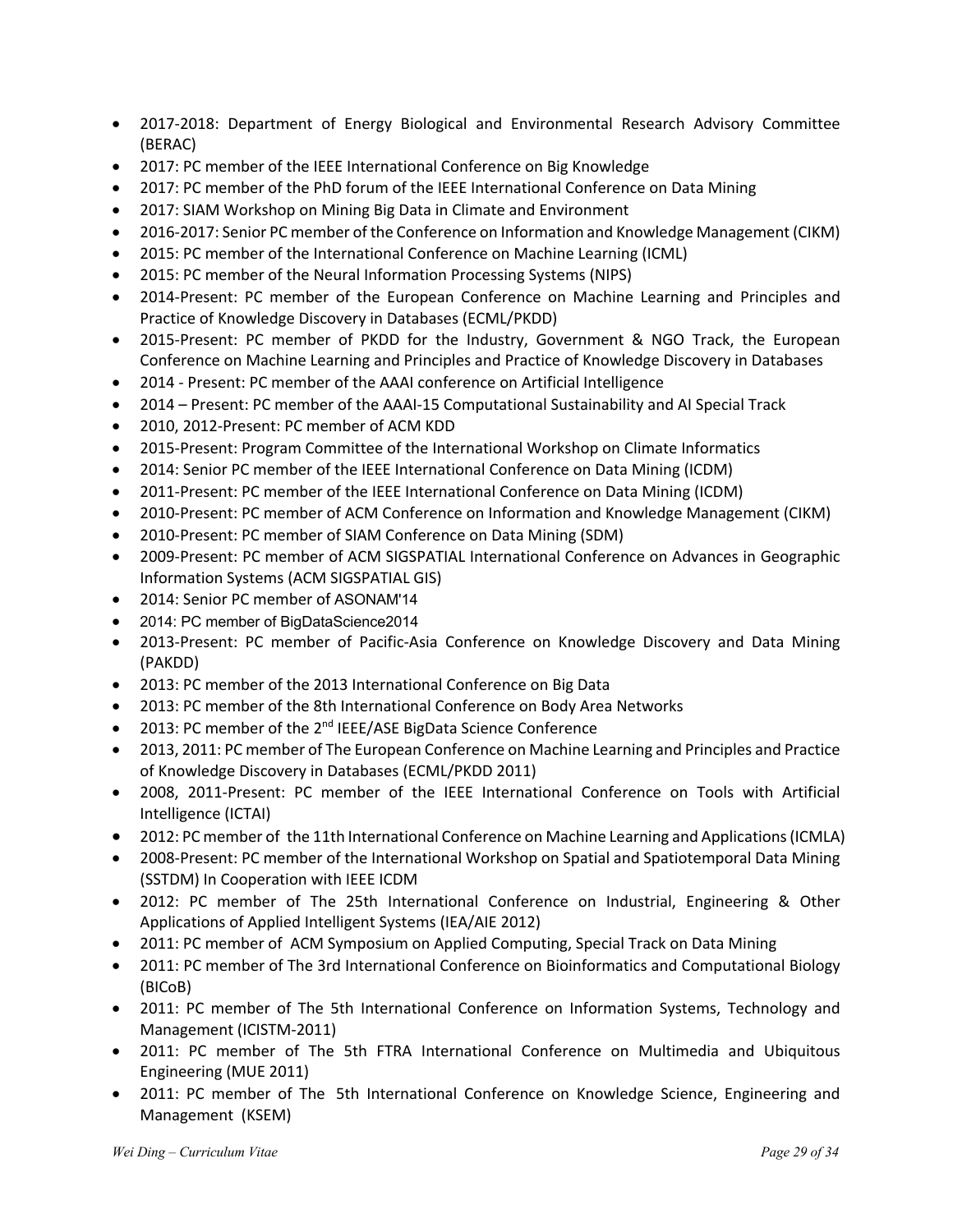- 2017-2018: Department of Energy Biological and Environmental Research Advisory Committee (BERAC)
- 2017: PC member of the IEEE International Conference on Big Knowledge
- 2017: PC member of the PhD forum of the IEEE International Conference on Data Mining
- 2017: SIAM Workshop on Mining Big Data in Climate and Environment
- 2016-2017: Senior PC member of the Conference on Information and Knowledge Management (CIKM)
- 2015: PC member of the International Conference on Machine Learning (ICML)
- 2015: PC member of the Neural Information Processing Systems (NIPS)
- 2014-Present: PC member of the European Conference on Machine Learning and Principles and Practice of Knowledge Discovery in Databases (ECML/PKDD)
- 2015-Present: PC member of PKDD for the Industry, Government & NGO Track, the European Conference on Machine Learning and Principles and Practice of Knowledge Discovery in Databases
- 2014 Present: PC member of the AAAI conference on Artificial Intelligence
- 2014 Present: PC member of the AAAI-15 Computational Sustainability and AI Special Track
- 2010, 2012-Present: PC member of ACM KDD
- 2015-Present: Program Committee of the International Workshop on Climate Informatics
- 2014: Senior PC member of the IEEE International Conference on Data Mining (ICDM)
- 2011-Present: PC member of the IEEE International Conference on Data Mining (ICDM)
- 2010-Present: PC member of ACM Conference on Information and Knowledge Management (CIKM)
- 2010-Present: PC member of SIAM Conference on Data Mining (SDM)
- 2009-Present: PC member of ACM SIGSPATIAL International Conference on Advances in Geographic Information Systems (ACM SIGSPATIAL GIS)
- 2014: Senior PC member of ASONAM'14
- 2014: PC member of BigDataScience2014
- 2013-Present: PC member of Pacific-Asia Conference on Knowledge Discovery and Data Mining (PAKDD)
- 2013: PC member of the 2013 International Conference on Big Data
- 2013: PC member of the 8th International Conference on Body Area Networks
- 2013: PC member of the 2<sup>nd</sup> IEEE/ASE BigData Science Conference
- 2013, 2011: PC member of The European Conference on Machine Learning and Principles and Practice of Knowledge Discovery in Databases (ECML/PKDD 2011)
- 2008, 2011-Present: PC member of the IEEE International Conference on Tools with Artificial Intelligence (ICTAI)
- 2012: PC member of the 11th International Conference on Machine Learning and Applications (ICMLA)
- 2008-Present: PC member of the International Workshop on Spatial and Spatiotemporal Data Mining (SSTDM) In Cooperation with IEEE ICDM
- 2012: PC member of The 25th International Conference on Industrial, Engineering & Other Applications of Applied Intelligent Systems (IEA/AIE 2012)
- 2011: PC member of ACM Symposium on Applied Computing, Special Track on Data Mining
- 2011: PC member of The 3rd International Conference on Bioinformatics and Computational Biology (BICoB)
- 2011: PC member of The 5th International Conference on Information Systems, Technology and Management (ICISTM-2011)
- 2011: PC member of The 5th FTRA International Conference on Multimedia and Ubiquitous Engineering (MUE 2011)
- 2011: PC member of The 5th International Conference on Knowledge Science, Engineering and Management (KSEM)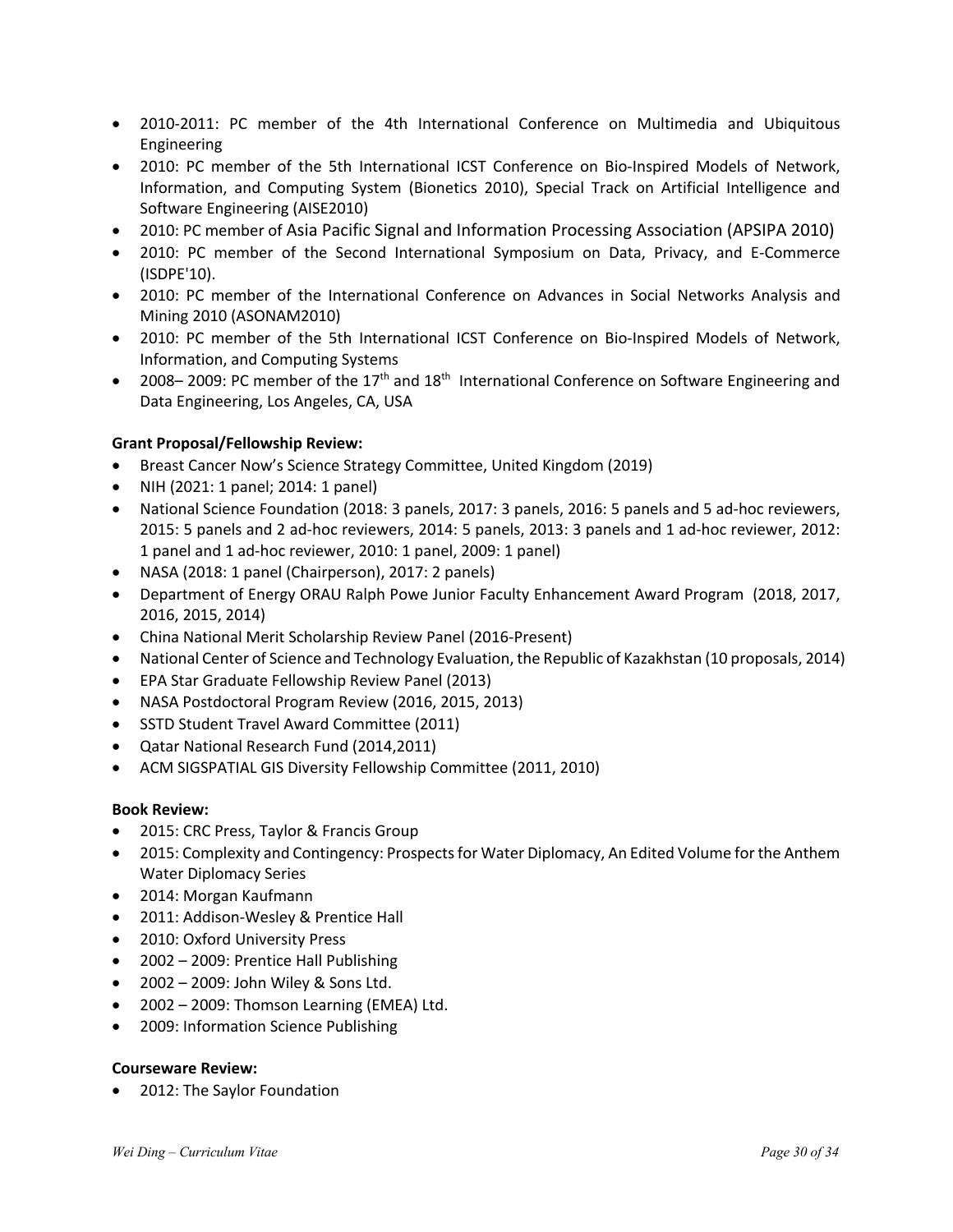- 2010-2011: PC member of the 4th International Conference on Multimedia and Ubiquitous Engineering
- 2010: PC member of the 5th International ICST Conference on Bio-Inspired Models of Network, Information, and Computing System (Bionetics 2010), Special Track on Artificial Intelligence and Software Engineering (AISE2010)
- 2010: PC member of Asia Pacific Signal and Information Processing Association (APSIPA 2010)
- 2010: PC member of the Second International Symposium on Data, Privacy, and E-Commerce (ISDPE'10).
- 2010: PC member of the International Conference on Advances in Social Networks Analysis and Mining 2010 (ASONAM2010)
- 2010: PC member of the 5th International ICST Conference on Bio-Inspired Models of Network, Information, and Computing Systems
- 2008–2009: PC member of the 17<sup>th</sup> and 18<sup>th</sup> International Conference on Software Engineering and Data Engineering, Los Angeles, CA, USA

#### **Grant Proposal/Fellowship Review:**

- Breast Cancer Now's Science Strategy Committee, United Kingdom (2019)
- NIH (2021: 1 panel; 2014: 1 panel)
- National Science Foundation (2018: 3 panels, 2017: 3 panels, 2016: 5 panels and 5 ad-hoc reviewers, 2015: 5 panels and 2 ad-hoc reviewers, 2014: 5 panels, 2013: 3 panels and 1 ad-hoc reviewer, 2012: 1 panel and 1 ad-hoc reviewer, 2010: 1 panel, 2009: 1 panel)
- NASA (2018: 1 panel (Chairperson), 2017: 2 panels)
- Department of Energy ORAU Ralph Powe Junior Faculty Enhancement Award Program (2018, 2017, 2016, 2015, 2014)
- China National Merit Scholarship Review Panel (2016-Present)
- National Center of Science and Technology Evaluation, the Republic of Kazakhstan (10 proposals, 2014)
- EPA Star Graduate Fellowship Review Panel (2013)
- NASA Postdoctoral Program Review (2016, 2015, 2013)
- SSTD Student Travel Award Committee (2011)
- Qatar National Research Fund (2014,2011)
- ACM SIGSPATIAL GIS Diversity Fellowship Committee (2011, 2010)

#### **Book Review:**

- 2015: CRC Press, Taylor & Francis Group
- 2015: Complexity and Contingency: Prospects for Water Diplomacy, An Edited Volume for the Anthem Water Diplomacy Series
- 2014: Morgan Kaufmann
- 2011: Addison-Wesley & Prentice Hall
- 2010: Oxford University Press
- 2002 2009: Prentice Hall Publishing
- 2002 2009: John Wiley & Sons Ltd.
- 2002 2009: Thomson Learning (EMEA) Ltd.
- 2009: Information Science Publishing

#### **Courseware Review:**

• 2012: The Saylor Foundation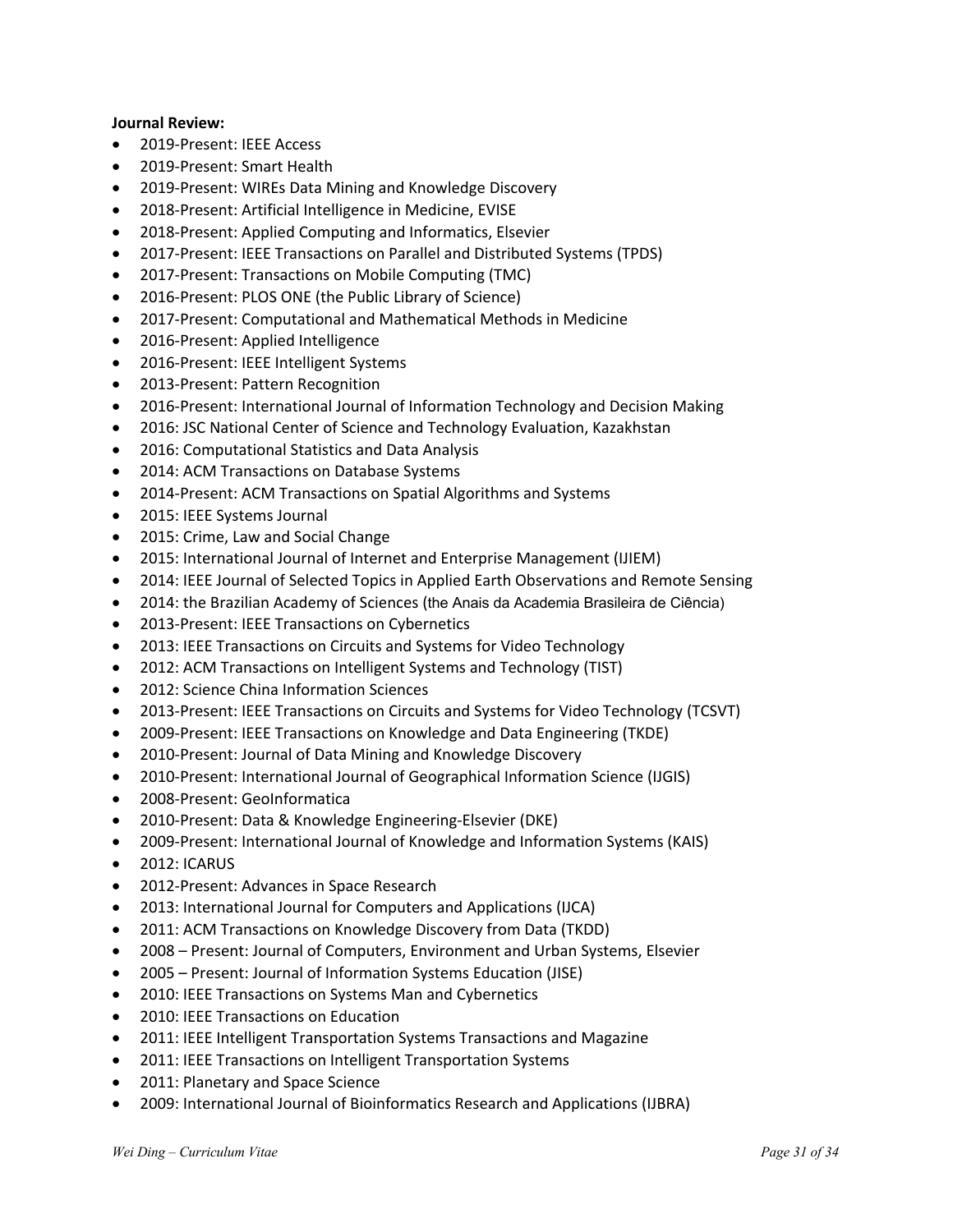#### **Journal Review:**

- 2019-Present: IEEE Access
- 2019-Present: Smart Health
- 2019-Present: WIREs Data Mining and Knowledge Discovery
- 2018-Present: Artificial Intelligence in Medicine, EVISE
- 2018-Present: Applied Computing and Informatics, Elsevier
- 2017-Present: IEEE Transactions on Parallel and Distributed Systems (TPDS)
- 2017-Present: Transactions on Mobile Computing (TMC)
- 2016-Present: PLOS ONE (the Public Library of Science)
- 2017-Present: Computational and Mathematical Methods in Medicine
- 2016-Present: Applied Intelligence
- 2016-Present: IEEE Intelligent Systems
- 2013-Present: Pattern Recognition
- 2016-Present: International Journal of Information Technology and Decision Making
- 2016: JSC National Center of Science and Technology Evaluation, Kazakhstan
- 2016: Computational Statistics and Data Analysis
- 2014: ACM Transactions on Database Systems
- 2014-Present: ACM Transactions on Spatial Algorithms and Systems
- 2015: IEEE Systems Journal
- 2015: Crime, Law and Social Change
- 2015: International Journal of Internet and Enterprise Management (IJIEM)
- 2014: IEEE Journal of Selected Topics in Applied Earth Observations and Remote Sensing
- 2014: the Brazilian Academy of Sciences (the Anais da Academia Brasileira de Ciência)
- 2013-Present: IEEE Transactions on Cybernetics
- 2013: IEEE Transactions on Circuits and Systems for Video Technology
- 2012: ACM Transactions on Intelligent Systems and Technology (TIST)
- 2012: Science China Information Sciences
- 2013-Present: IEEE Transactions on Circuits and Systems for Video Technology (TCSVT)
- 2009-Present: IEEE Transactions on Knowledge and Data Engineering (TKDE)
- 2010-Present: Journal of Data Mining and Knowledge Discovery
- 2010-Present: International Journal of Geographical Information Science (IJGIS)
- 2008-Present: GeoInformatica
- 2010-Present: Data & Knowledge Engineering-Elsevier (DKE)
- 2009-Present: International Journal of Knowledge and Information Systems (KAIS)
- 2012: ICARUS
- 2012-Present: Advances in Space Research
- 2013: International Journal for Computers and Applications (IJCA)
- 2011: ACM Transactions on Knowledge Discovery from Data (TKDD)
- 2008 Present: Journal of Computers, Environment and Urban Systems, Elsevier
- 2005 Present: Journal of Information Systems Education (JISE)
- 2010: IEEE Transactions on Systems Man and Cybernetics
- 2010: IEEE Transactions on Education
- 2011: IEEE Intelligent Transportation Systems Transactions and Magazine
- 2011: IEEE Transactions on Intelligent Transportation Systems
- 2011: Planetary and Space Science
- 2009: International Journal of Bioinformatics Research and Applications (IJBRA)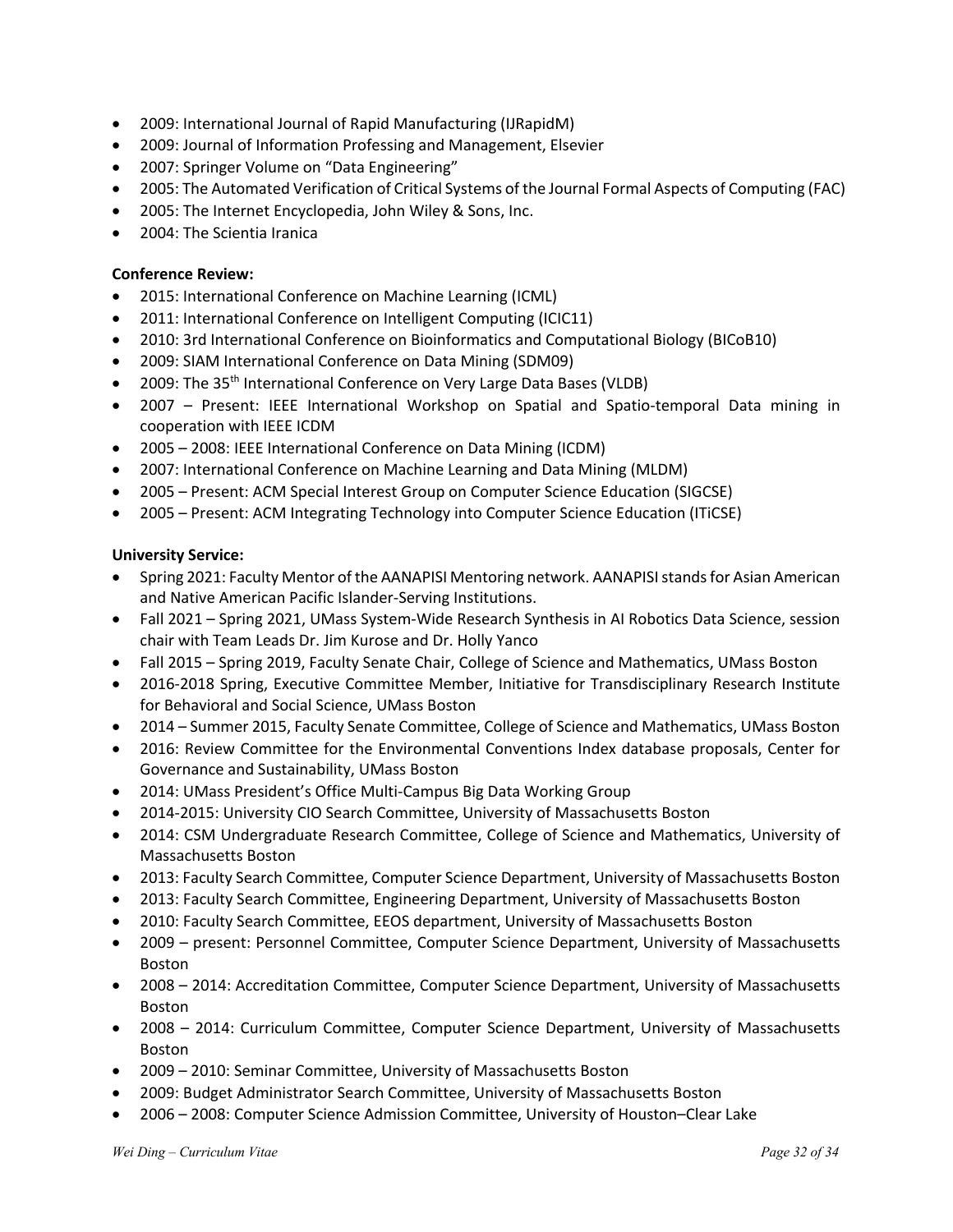- 2009: International Journal of Rapid Manufacturing (IJRapidM)
- 2009: Journal of Information Professing and Management, Elsevier
- 2007: Springer Volume on "Data Engineering"
- 2005: The Automated Verification of Critical Systems of the Journal Formal Aspects of Computing (FAC)
- 2005: The Internet Encyclopedia, John Wiley & Sons, Inc.
- 2004: The Scientia Iranica

#### **Conference Review:**

- 2015: International Conference on Machine Learning (ICML)
- 2011: International Conference on Intelligent Computing (ICIC11)
- 2010: 3rd International Conference on Bioinformatics and Computational Biology (BICoB10)
- 2009: SIAM International Conference on Data Mining (SDM09)
- 2009: The 35<sup>th</sup> International Conference on Very Large Data Bases (VLDB)
- 2007 Present: IEEE International Workshop on Spatial and Spatio-temporal Data mining in cooperation with IEEE ICDM
- 2005 2008: IEEE International Conference on Data Mining (ICDM)
- 2007: International Conference on Machine Learning and Data Mining (MLDM)
- 2005 Present: ACM Special Interest Group on Computer Science Education (SIGCSE)
- 2005 Present: ACM Integrating Technology into Computer Science Education (ITiCSE)

#### **University Service:**

- Spring 2021: Faculty Mentor of the AANAPISI Mentoring network. AANAPISI stands for Asian American and Native American Pacific Islander-Serving Institutions.
- Fall 2021 Spring 2021, UMass System-Wide Research Synthesis in AI Robotics Data Science, session chair with Team Leads Dr. Jim Kurose and Dr. Holly Yanco
- Fall 2015 Spring 2019, Faculty Senate Chair, College of Science and Mathematics, UMass Boston
- 2016-2018 Spring, Executive Committee Member, Initiative for Transdisciplinary Research Institute for Behavioral and Social Science, UMass Boston
- 2014 Summer 2015, Faculty Senate Committee, College of Science and Mathematics, UMass Boston
- 2016: Review Committee for the Environmental Conventions Index database proposals, Center for Governance and Sustainability, UMass Boston
- 2014: UMass President's Office Multi-Campus Big Data Working Group
- 2014-2015: University CIO Search Committee, University of Massachusetts Boston
- 2014: CSM Undergraduate Research Committee, College of Science and Mathematics, University of Massachusetts Boston
- 2013: Faculty Search Committee, Computer Science Department, University of Massachusetts Boston
- 2013: Faculty Search Committee, Engineering Department, University of Massachusetts Boston
- 2010: Faculty Search Committee, EEOS department, University of Massachusetts Boston
- 2009 present: Personnel Committee, Computer Science Department, University of Massachusetts Boston
- 2008 2014: Accreditation Committee, Computer Science Department, University of Massachusetts Boston
- 2008 2014: Curriculum Committee, Computer Science Department, University of Massachusetts Boston
- 2009 2010: Seminar Committee, University of Massachusetts Boston
- 2009: Budget Administrator Search Committee, University of Massachusetts Boston
- 2006 2008: Computer Science Admission Committee, University of Houston–Clear Lake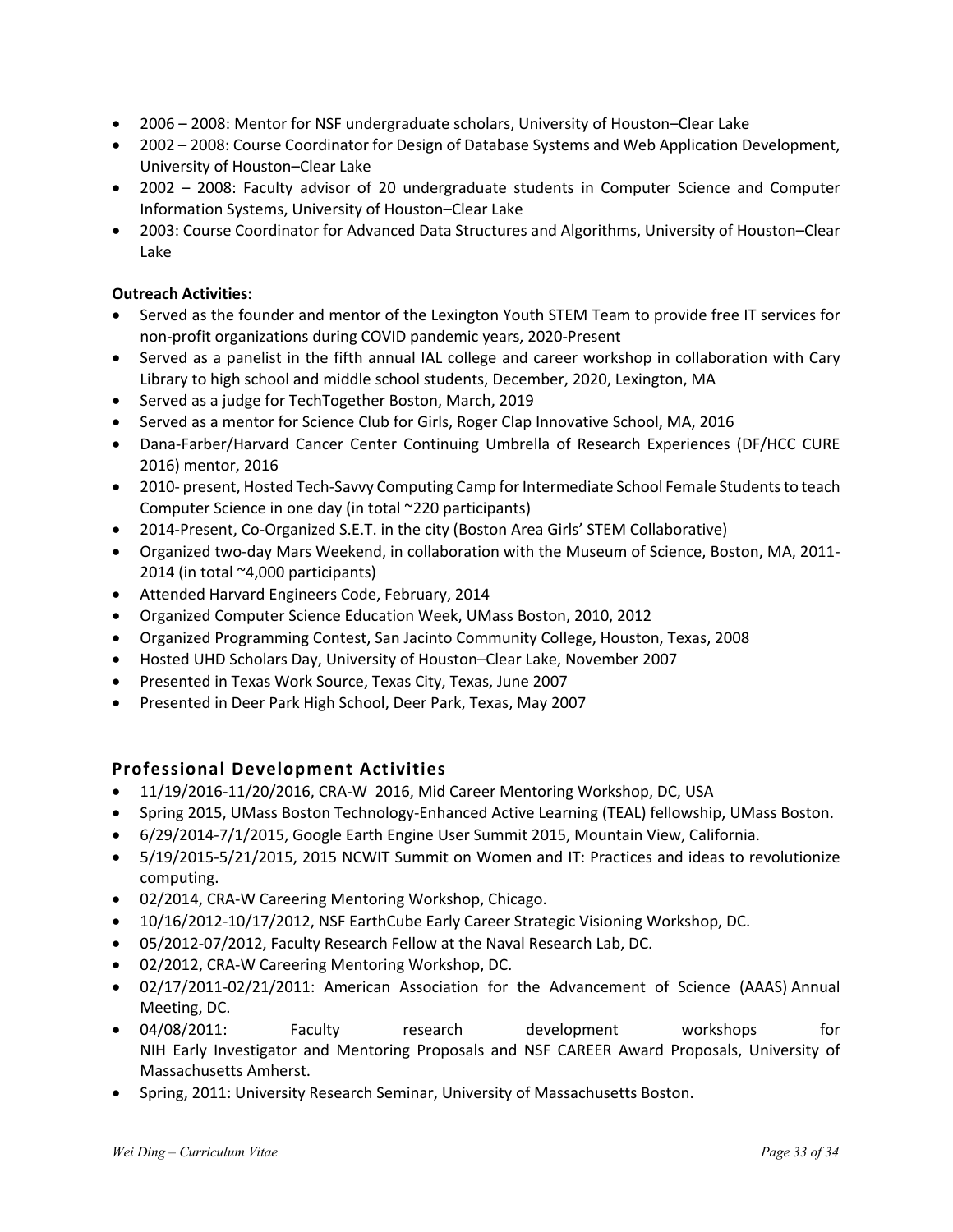- 2006 2008: Mentor for NSF undergraduate scholars, University of Houston–Clear Lake
- 2002 2008: Course Coordinator for Design of Database Systems and Web Application Development, University of Houston–Clear Lake
- 2002 2008: Faculty advisor of 20 undergraduate students in Computer Science and Computer Information Systems, University of Houston–Clear Lake
- 2003: Course Coordinator for Advanced Data Structures and Algorithms, University of Houston–Clear Lake

#### **Outreach Activities:**

- Served as the founder and mentor of the Lexington Youth STEM Team to provide free IT services for non-profit organizations during COVID pandemic years, 2020-Present
- Served as a panelist in the fifth annual IAL college and career workshop in collaboration with Cary Library to high school and middle school students, December, 2020, Lexington, MA
- Served as a judge for TechTogether Boston, March, 2019
- Served as a mentor for Science Club for Girls, Roger Clap Innovative School, MA, 2016
- Dana-Farber/Harvard Cancer Center Continuing Umbrella of Research Experiences (DF/HCC CURE 2016) mentor, 2016
- 2010- present, Hosted Tech-Savvy Computing Camp for Intermediate School Female Students to teach Computer Science in one day (in total ~220 participants)
- 2014-Present, Co-Organized S.E.T. in the city (Boston Area Girls' STEM Collaborative)
- Organized two-day Mars Weekend, in collaboration with the Museum of Science, Boston, MA, 2011- 2014 (in total ~4,000 participants)
- Attended Harvard Engineers Code, February, 2014
- Organized Computer Science Education Week, UMass Boston, 2010, 2012
- Organized Programming Contest, San Jacinto Community College, Houston, Texas, 2008
- Hosted UHD Scholars Day, University of Houston–Clear Lake, November 2007
- Presented in Texas Work Source, Texas City, Texas, June 2007
- Presented in Deer Park High School, Deer Park, Texas, May 2007

## **Professional Development Activities**

- 11/19/2016-11/20/2016, CRA-W 2016, Mid Career Mentoring Workshop, DC, USA
- Spring 2015, UMass Boston Technology-Enhanced Active Learning (TEAL) fellowship, UMass Boston.
- 6/29/2014-7/1/2015, Google Earth Engine User Summit 2015, Mountain View, California.
- 5/19/2015-5/21/2015, 2015 NCWIT Summit on Women and IT: Practices and ideas to revolutionize computing.
- 02/2014, CRA-W Careering Mentoring Workshop, Chicago.
- 10/16/2012-10/17/2012, NSF EarthCube Early Career Strategic Visioning Workshop, DC.
- 05/2012-07/2012, Faculty Research Fellow at the Naval Research Lab, DC.
- 02/2012, CRA-W Careering Mentoring Workshop, DC.
- 02/17/2011-02/21/2011: American Association for the Advancement of Science (AAAS) Annual Meeting, DC.
- 04/08/2011: Faculty research development workshops for NIH Early Investigator and Mentoring Proposals and NSF CAREER Award Proposals, University of Massachusetts Amherst.
- Spring, 2011: University Research Seminar, University of Massachusetts Boston.